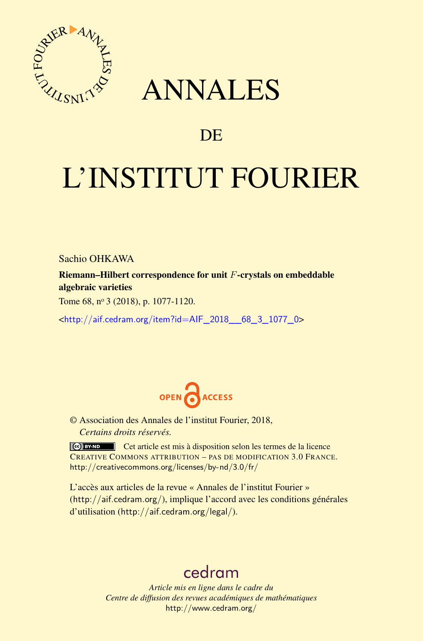

# ANNALES

# **DE**

# L'INSTITUT FOURIER

Sachio OHKAWA

Riemann–Hilbert correspondence for unit *F*-crystals on embeddable algebraic varieties

Tome 68, nº 3 (2018), p. 1077-1120.

<[http://aif.cedram.org/item?id=AIF\\_2018\\_\\_68\\_3\\_1077\\_0](http://aif.cedram.org/item?id=AIF_2018__68_3_1077_0)>



© Association des Annales de l'institut Fourier, 2018, *Certains droits réservés.*

Cet article est mis à disposition selon les termes de la licence CREATIVE COMMONS ATTRIBUTION – PAS DE MODIFICATION 3.0 FRANCE. <http://creativecommons.org/licenses/by-nd/3.0/fr/>

L'accès aux articles de la revue « Annales de l'institut Fourier » (<http://aif.cedram.org/>), implique l'accord avec les conditions générales d'utilisation (<http://aif.cedram.org/legal/>).

# [cedram](http://www.cedram.org/)

*Article mis en ligne dans le cadre du Centre de diffusion des revues académiques de mathématiques* <http://www.cedram.org/>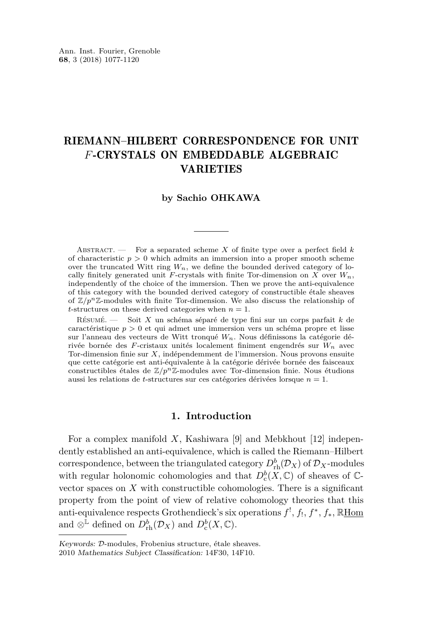# RIEMANN–HILBERT CORRESPONDENCE FOR UNIT *F*-CRYSTALS ON EMBEDDABLE ALGEBRAIC VARIETIES

#### **by Sachio OHKAWA**

ABSTRACT.  $\qquad$  For a separated scheme *X* of finite type over a perfect field *k* of characteristic  $p > 0$  which admits an immersion into a proper smooth scheme over the truncated Witt ring  $W_n$ , we define the bounded derived category of locally finitely generated unit *F*-crystals with finite Tor-dimension on X over  $W_n$ , independently of the choice of the immersion. Then we prove the anti-equivalence of this category with the bounded derived category of constructible étale sheaves of  $\mathbb{Z}/p^n\mathbb{Z}$ -modules with finite Tor-dimension. We also discuss the relationship of *t*-structures on these derived categories when  $n = 1$ .

Résumé. — Soit *X* un schéma séparé de type fini sur un corps parfait *k* de caractéristique *p >* 0 et qui admet une immersion vers un schéma propre et lisse sur l'anneau des vecteurs de Witt tronqué *Wn.* Nous définissons la catégorie dérivée bornée des *F*-cristaux unités localement finiment engendrés sur *Wn* avec Tor-dimension finie sur *X*, indépendemment de l'immersion. Nous provons ensuite que cette catégorie est anti-équivalente à la catégorie dérivée bornée des faisceaux constructibles étales de  $\mathbb{Z}/p^n\mathbb{Z}$ -modules avec Tor-dimension finie. Nous étudions aussi les relations de *t*-structures sur ces catégories dérivées lorsque *n* = 1.

#### **1. Introduction**

For a complex manifold *X*, Kashiwara [\[9\]](#page-44-0) and Mebkhout [\[12\]](#page-44-1) independently established an anti-equivalence, which is called the Riemann–Hilbert correspondence, between the triangulated category  $D^b_{\text{rh}}(\mathcal{D}_X)$  of  $\mathcal{D}_X$ -modules with regular holonomic cohomologies and that  $D_{\rm c}^b(X, \mathbb{C})$  of sheaves of  $\mathbb{C}$ vector spaces on *X* with constructible cohomologies. There is a significant property from the point of view of relative cohomology theories that this anti-equivalence respects Grothendieck's six operations *f* ! , *f*! , *f* ∗ , *f*∗, RHom and  $\otimes^{\mathbb{L}}$  defined on  $D_{\text{rh}}^b(\mathcal{D}_X)$  and  $D_{\text{c}}^b(X,\mathbb{C})$ .

Keywords: D-modules, Frobenius structure, étale sheaves.

<sup>2010</sup> Mathematics Subject Classification: 14F30, 14F10.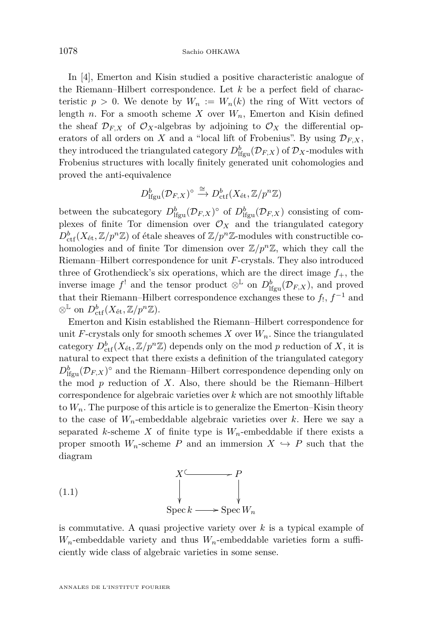In [\[4\]](#page-44-2), Emerton and Kisin studied a positive characteristic analogue of the Riemann–Hilbert correspondence. Let *k* be a perfect field of characteristic  $p > 0$ . We denote by  $W_n := W_n(k)$  the ring of Witt vectors of length *n*. For a smooth scheme *X* over  $W_n$ , Emerton and Kisin defined the sheaf  $\mathcal{D}_{F,X}$  of  $\mathcal{O}_X$ -algebras by adjoining to  $\mathcal{O}_X$  the differential operators of all orders on *X* and a "local lift of Frobenius". By using  $\mathcal{D}_{F,X}$ , they introduced the triangulated category  $D_{\text{lfgu}}^b(\mathcal{D}_{F,X})$  of  $\mathcal{D}_X$ -modules with Frobenius structures with locally finitely generated unit cohomologies and proved the anti-equivalence

$$
D^b_{\text{lfgu}}(\mathcal{D}_{F,X})^\circ \xrightarrow{\cong} D^b_{\text{ctf}}(X_\text{\'et}, \mathbb{Z}/p^n\mathbb{Z})
$$

between the subcategory  $D_{\text{lfgu}}^b(\mathcal{D}_{F,X})^{\circ}$  of  $D_{\text{lfgu}}^b(\mathcal{D}_{F,X})$  consisting of complexes of finite Tor dimension over  $\mathcal{O}_X$  and the triangulated category  $D_{\mathrm{ctf}}^{b}(X_{\mathrm{\acute{e}t}},\mathbb{Z}/p^{n}\mathbb{Z})$  of étale sheaves of  $\mathbb{Z}/p^{n}\mathbb{Z}$ -modules with constructible cohomologies and of finite Tor dimension over  $\mathbb{Z}/p^n\mathbb{Z}$ , which they call the Riemann–Hilbert correspondence for unit *F*-crystals. They also introduced three of Grothendieck's six operations, which are the direct image  $f_{+}$ , the inverse image  $f^!$  and the tensor product  $\otimes^{\mathbb{L}}$  on  $D^b_{\text{lfgu}}(\mathcal{D}_{F,X})$ , and proved that their Riemann–Hilbert correspondence exchanges these to  $f_!$ ,  $f^{-1}$  and  $\otimes^{\mathbb{L}}$  on  $D^b_{\text{ctf}}(X_{\text{\'et}}, \mathbb{Z}/p^n\mathbb{Z})$ .

Emerton and Kisin established the Riemann–Hilbert correspondence for unit *F*-crystals only for smooth schemes *X* over  $W_n$ . Since the triangulated category  $D^b_{\text{ctf}}(X_{\text{\'et}}, \mathbb{Z}/p^n\mathbb{Z})$  depends only on the mod  $p$  reduction of  $X$ , it is natural to expect that there exists a definition of the triangulated category  $D_{\text{lfgu}}^b(\mathcal{D}_{F,X})^{\circ}$  and the Riemann–Hilbert correspondence depending only on the mod *p* reduction of *X*. Also, there should be the Riemann–Hilbert correspondence for algebraic varieties over *k* which are not smoothly liftable to  $W_n$ . The purpose of this article is to generalize the Emerton–Kisin theory to the case of  $W_n$ -embeddable algebraic varieties over k. Here we say a separated *k*-scheme *X* of finite type is  $W_n$ -embeddable if there exists a proper smooth  $W_n$ -scheme *P* and an immersion  $X \hookrightarrow P$  such that the diagram

<span id="page-2-0"></span>(1.1) 
$$
\begin{array}{c}\nX^{\mathcal{L}} \\
\downarrow \\
\downarrow \\
\text{Spec } k \longrightarrow \text{Spec } W_n\n\end{array}
$$

is commutative. A quasi projective variety over *k* is a typical example of *Wn*-embeddable variety and thus *Wn*-embeddable varieties form a sufficiently wide class of algebraic varieties in some sense.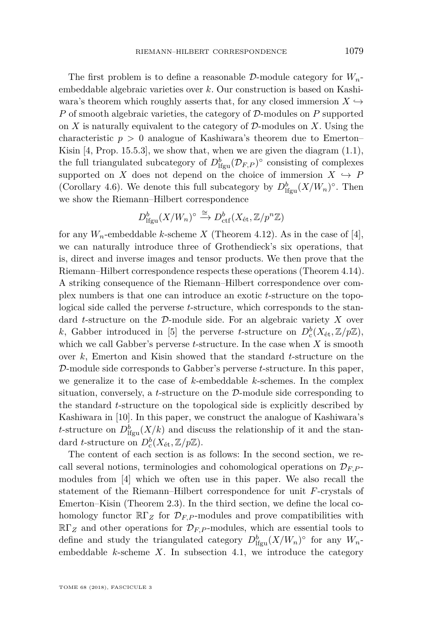The first problem is to define a reasonable D-module category for *Wn*embeddable algebraic varieties over *k*. Our construction is based on Kashiwara's theorem which roughly asserts that, for any closed immersion  $X \hookrightarrow$ *P* of smooth algebraic varieties, the category of D-modules on *P* supported on  $X$  is naturally equivalent to the category of  $\mathcal{D}$ -modules on  $X$ . Using the characteristic *p >* 0 analogue of Kashiwara's theorem due to Emerton– Kisin  $[4, Prop. 15.5.3]$  $[4, Prop. 15.5.3]$ , we show that, when we are given the diagram  $(1.1)$ , the full triangulated subcategory of  $D^b_{\text{lfgu}}(\mathcal{D}_{F,P})^{\circ}$  consisting of complexes supported on *X* does not depend on the choice of immersion  $X \hookrightarrow P$ (Corollary [4.6\)](#page-21-0). We denote this full subcategory by  $D_{\text{lfgu}}^b(X/W_n)^\circ$ . Then we show the Riemann–Hilbert correspondence

$$
D^b_{\text{lfgu}}(X/W_n)^\circ \xrightarrow{\cong} D^b_{\text{ctf}}(X_{\text{\'et}},\mathbb{Z}/p^n\mathbb{Z})
$$

for any  $W_n$ -embeddable *k*-scheme *X* (Theorem [4.12\)](#page-26-0). As in the case of [\[4\]](#page-44-2), we can naturally introduce three of Grothendieck's six operations, that is, direct and inverse images and tensor products. We then prove that the Riemann–Hilbert correspondence respects these operations (Theorem [4.14\)](#page-27-0). A striking consequence of the Riemann–Hilbert correspondence over complex numbers is that one can introduce an exotic *t*-structure on the topological side called the perverse *t*-structure, which corresponds to the standard *t*-structure on the D-module side. For an algebraic variety *X* over *k*, Gabber introduced in [\[5\]](#page-44-3) the perverse *t*-structure on  $D_c^b(X_{\text{\'et}}, \mathbb{Z}/p\mathbb{Z})$ , which we call Gabber's perverse *t*-structure. In the case when *X* is smooth over *k*, Emerton and Kisin showed that the standard *t*-structure on the D-module side corresponds to Gabber's perverse *t*-structure. In this paper, we generalize it to the case of *k*-embeddable *k*-schemes. In the complex situation, conversely, a *t*-structure on the D-module side corresponding to the standard *t*-structure on the topological side is explicitly described by Kashiwara in [\[10\]](#page-44-4). In this paper, we construct the analogue of Kashiwara's *t*-structure on  $D^b_{\text{lfgu}}(X/k)$  and discuss the relationship of it and the standard *t*-structure on  $D_c^b(X_{\text{\'et}}, \mathbb{Z}/p\mathbb{Z})$ .

The content of each section is as follows: In the second section, we recall several notions, terminologies and cohomological operations on  $\mathcal{D}_{F,P}$ modules from [\[4\]](#page-44-2) which we often use in this paper. We also recall the statement of the Riemann–Hilbert correspondence for unit *F*-crystals of Emerton–Kisin (Theorem [2.3\)](#page-10-0). In the third section, we define the local cohomology functor  $\mathbb{R}\Gamma_Z$  for  $\mathcal{D}_{F,P}$ -modules and prove compatibilities with  $\mathbb{R}\Gamma_Z$  and other operations for  $\mathcal{D}_{F,P}$ -modules, which are essential tools to define and study the triangulated category  $D_{\text{lfgu}}^b(X/W_n)$ <sup>°</sup> for any  $W_n$ embeddable *k*-scheme *X*. In subsection [4.1,](#page-17-0) we introduce the category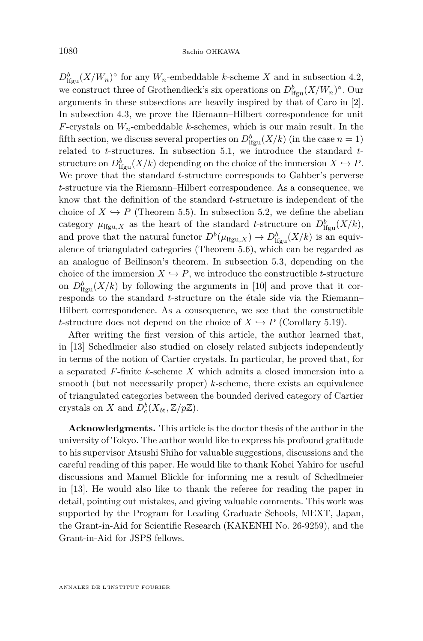$D_{\text{lfgu}}^b(X/W_n)$ <sup>°</sup> for any  $W_n$ -embeddable *k*-scheme *X* and in subsection [4.2,](#page-22-0) we construct three of Grothendieck's six operations on  $D_{\text{lfgu}}^b(X/W_n)^\circ$ . Our arguments in these subsections are heavily inspired by that of Caro in [\[2\]](#page-44-5). In subsection [4.3,](#page-25-0) we prove the Riemann–Hilbert correspondence for unit *F*-crystals on  $W_n$ -embeddable *k*-schemes, which is our main result. In the fifth section, we discuss several properties on  $D_{\text{lfgu}}^b(X/k)$  (in the case  $n = 1$ ) related to *t*-structures. In subsection [5.1,](#page-30-0) we introduce the standard *t*structure on  $D_{\text{lfgu}}^b(X/k)$  depending on the choice of the immersion  $X \hookrightarrow P$ . We prove that the standard *t*-structure corresponds to Gabber's perverse *t*-structure via the Riemann–Hilbert correspondence. As a consequence, we know that the definition of the standard *t*-structure is independent of the choice of  $X \hookrightarrow P$  (Theorem [5.5\)](#page-32-0). In subsection [5.2,](#page-32-1) we define the abelian category  $\mu_{\text{lfgu},X}$  as the heart of the standard *t*-structure on  $D^b_{\text{lfgu}}(X/k)$ , and prove that the natural functor  $D^b(\mu_{\text{Ifgu},X}) \to D^b_{\text{Ifgu}}(X/k)$  is an equivalence of triangulated categories (Theorem [5.6\)](#page-33-0), which can be regarded as an analogue of Beilinson's theorem. In subsection [5.3,](#page-38-0) depending on the choice of the immersion  $X \hookrightarrow P$ , we introduce the constructible *t*-structure on  $D_{\text{Hgu}}^b(X/k)$  by following the arguments in [\[10\]](#page-44-4) and prove that it corresponds to the standard *t*-structure on the étale side via the Riemann– Hilbert correspondence. As a consequence, we see that the constructible *t*-structure does not depend on the choice of  $X \hookrightarrow P$  (Corollary [5.19\)](#page-43-0).

After writing the first version of this article, the author learned that, in [\[13\]](#page-44-6) Schedlmeier also studied on closely related subjects independently in terms of the notion of Cartier crystals. In particular, he proved that, for a separated *F*-finite *k*-scheme *X* which admits a closed immersion into a smooth (but not necessarily proper) *k*-scheme, there exists an equivalence of triangulated categories between the bounded derived category of Cartier crystals on *X* and  $D_c^b(X_{\text{\'et}}, \mathbb{Z}/p\mathbb{Z})$ .

**Acknowledgments.** This article is the doctor thesis of the author in the university of Tokyo. The author would like to express his profound gratitude to his supervisor Atsushi Shiho for valuable suggestions, discussions and the careful reading of this paper. He would like to thank Kohei Yahiro for useful discussions and Manuel Blickle for informing me a result of Schedlmeier in [\[13\]](#page-44-6). He would also like to thank the referee for reading the paper in detail, pointing out mistakes, and giving valuable comments. This work was supported by the Program for Leading Graduate Schools, MEXT, Japan, the Grant-in-Aid for Scientific Research (KAKENHI No. 26-9259), and the Grant-in-Aid for JSPS fellows.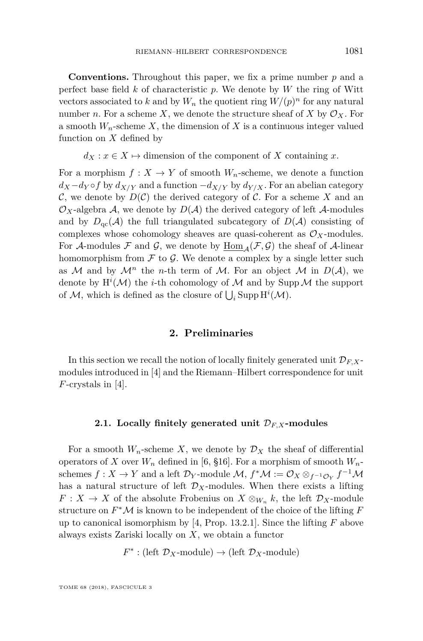**Conventions.** Throughout this paper, we fix a prime number *p* and a perfect base field *k* of characteristic *p*. We denote by *W* the ring of Witt vectors associated to *k* and by  $W_n$  the quotient ring  $W/(p)^n$  for any natural number *n*. For a scheme X, we denote the structure sheaf of X by  $\mathcal{O}_X$ . For a smooth  $W_n$ -scheme  $X$ , the dimension of  $X$  is a continuous integer valued function on *X* defined by

 $d_X: x \in X \mapsto$  dimension of the component of *X* containing *x*.

For a morphism  $f: X \to Y$  of smooth  $W_n$ -scheme, we denote a function  $d_X - d_Y \circ f$  by  $d_{X/Y}$  and a function  $-d_{X/Y}$  by  $d_{Y/X}$ . For an abelian category C, we denote by  $D(\mathcal{C})$  the derived category of C. For a scheme X and an  $\mathcal{O}_X$ -algebra A, we denote by  $D(\mathcal{A})$  the derived category of left  $\mathcal{A}$ -modules and by  $D_{\text{qc}}(\mathcal{A})$  the full triangulated subcategory of  $D(\mathcal{A})$  consisting of complexes whose cohomology sheaves are quasi-coherent as  $\mathcal{O}_X$ -modules. For A-modules F and G, we denote by  $\underline{\text{Hom}}_{A}(\mathcal{F}, \mathcal{G})$  the sheaf of A-linear homomorphism from  $\mathcal F$  to  $\mathcal G$ . We denote a complex by a single letter such as M and by  $\mathcal{M}^n$  the *n*-th term of M. For an object M in  $D(\mathcal{A})$ , we denote by  $H^i(\mathcal{M})$  the *i*-th cohomology of  $\mathcal M$  and by Supp  $\mathcal M$  the support of  $M$ , which is defined as the closure of  $\bigcup_i$  Supp  $\mathrm{H}^i(M)$ .

#### **2. Preliminaries**

In this section we recall the notion of locally finitely generated unit  $\mathcal{D}_{F,X}$ modules introduced in [\[4\]](#page-44-2) and the Riemann–Hilbert correspondence for unit *F*-crystals in [\[4\]](#page-44-2).

#### **2.1. Locally finitely generated unit** D*F,X***-modules**

For a smooth  $W_n$ -scheme X, we denote by  $\mathcal{D}_X$  the sheaf of differential operators of *X* over  $W_n$  defined in [\[6,](#page-44-7) §16]. For a morphism of smooth  $W_n$ schemes  $f: X \to Y$  and a left  $\mathcal{D}_Y$ -module  $\mathcal{M}, f^*\mathcal{M} := \mathcal{O}_X \otimes_{f^{-1}\mathcal{O}_Y} f^{-1}\mathcal{M}$ has a natural structure of left  $\mathcal{D}_X$ -modules. When there exists a lifting  $F: X \to X$  of the absolute Frobenius on  $X \otimes_{W_n} k$ , the left  $\mathcal{D}_X$ -module structure on  $F^*M$  is known to be independent of the choice of the lifting  $F$ up to canonical isomorphism by [\[4,](#page-44-2) Prop. 13.2.1]. Since the lifting *F* above always exists Zariski locally on *X*, we obtain a functor

 $F^*$ : (left  $\mathcal{D}_X$ -module)  $\rightarrow$  (left  $\mathcal{D}_X$ -module)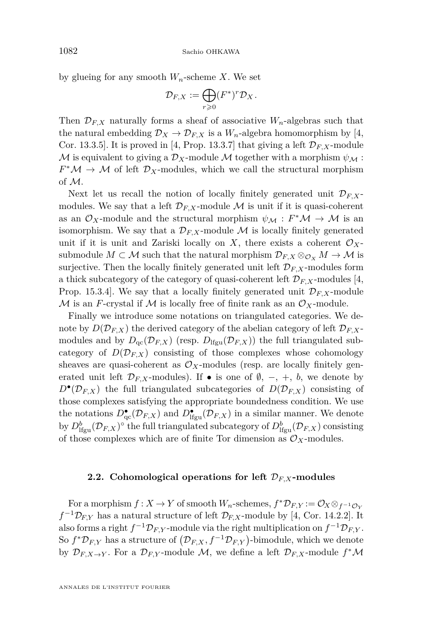by glueing for any smooth  $W_n$ -scheme X. We set

$$
\mathcal{D}_{F,X} := \bigoplus_{r \geqslant 0} (F^*)^r \mathcal{D}_X.
$$

Then  $\mathcal{D}_{FX}$  naturally forms a sheaf of associative  $W_n$ -algebras such that the natural embedding  $\mathcal{D}_X \to \mathcal{D}_{F,X}$  is a  $W_n$ -algebra homomorphism by [\[4,](#page-44-2) Cor. 13.3.5]. It is proved in [\[4,](#page-44-2) Prop. 13.3.7] that giving a left  $\mathcal{D}_{F,X}$ -module M is equivalent to giving a  $\mathcal{D}_X$ -module M together with a morphism  $\psi_{\mathcal{M}}$ :  $F^{\ast} \mathcal{M} \to \mathcal{M}$  of left  $\mathcal{D}_X$ -modules, which we call the structural morphism of M.

Next let us recall the notion of locally finitely generated unit  $\mathcal{D}_{F,X}$ modules. We say that a left  $\mathcal{D}_{F,X}$ -module M is unit if it is quasi-coherent as an  $\mathcal{O}_X$ -module and the structural morphism  $\psi_{\mathcal{M}} : F^* \mathcal{M} \to \mathcal{M}$  is an isomorphism. We say that a  $\mathcal{D}_{F,X}$ -module M is locally finitely generated unit if it is unit and Zariski locally on *X*, there exists a coherent  $\mathcal{O}_X$ submodule  $M \subset \mathcal{M}$  such that the natural morphism  $\mathcal{D}_{F,X} \otimes_{\mathcal{O}_X} M \to \mathcal{M}$  is surjective. Then the locally finitely generated unit left  $\mathcal{D}_{F,X}$ -modules form a thick subcategory of the category of quasi-coherent left  $\mathcal{D}_{F,X}$ -modules [\[4,](#page-44-2) Prop. 15.3.4. We say that a locally finitely generated unit  $\mathcal{D}_{F,X}$ -module M is an *F*-crystal if M is locally free of finite rank as an  $\mathcal{O}_X$ -module.

Finally we introduce some notations on triangulated categories. We denote by  $D(\mathcal{D}_{F,X})$  the derived category of the abelian category of left  $\mathcal{D}_{F,X}$ modules and by  $D_{\text{qc}}(\mathcal{D}_{F,X})$  (resp.  $D_{\text{lfgu}}(\mathcal{D}_{F,X})$ ) the full triangulated subcategory of  $D(\mathcal{D}_{F,X})$  consisting of those complexes whose cohomology sheaves are quasi-coherent as  $\mathcal{O}_X$ -modules (resp. are locally finitely generated unit left  $\mathcal{D}_{F,X}$ -modules). If  $\bullet$  is one of  $\emptyset$ ,  $-$ ,  $+$ ,  $b$ , we denote by  $D^{\bullet}(\mathcal{D}_{F,X})$  the full triangulated subcategories of  $D(\mathcal{D}_{F,X})$  consisting of those complexes satisfying the appropriate boundedness condition. We use the notations  $D_{\text{qc}}^{\bullet}(\mathcal{D}_{F,X})$  and  $D_{\text{lfgu}}^{\bullet}(\mathcal{D}_{F,X})$  in a similar manner. We denote by  $D_{\text{lfgu}}^b(\mathcal{D}_{F,X})^{\circ}$  the full triangulated subcategory of  $D_{\text{lfgu}}^b(\mathcal{D}_{F,X})$  consisting of those complexes which are of finite Tor dimension as  $\mathcal{O}_X$ -modules.

#### **2.2. Cohomological operations for left** D*F,X***-modules**

For a morphism  $f: X \to Y$  of smooth  $W_n$ -schemes,  $f^* \mathcal{D}_{F,Y} := \mathcal{O}_X \otimes_{f^{-1} \mathcal{O}_Y} f$  $f^{-1}\mathcal{D}_{F,Y}$  has a natural structure of left  $\mathcal{D}_{F,X}$ -module by [\[4,](#page-44-2) Cor. 14.2.2]. It also forms a right  $f^{-1} \mathcal{D}_{F,Y}$ -module via the right multiplication on  $f^{-1} \mathcal{D}_{F,Y}$ . So  $f^* \mathcal{D}_{F,Y}$  has a structure of  $(\mathcal{D}_{F,X}, f^{-1} \mathcal{D}_{F,Y})$ -bimodule, which we denote by  $\mathcal{D}_{F,X\to Y}$ . For a  $\mathcal{D}_{F,Y}$ -module  $\mathcal{M}$ , we define a left  $\mathcal{D}_{F,X}$ -module  $f^*\mathcal{M}$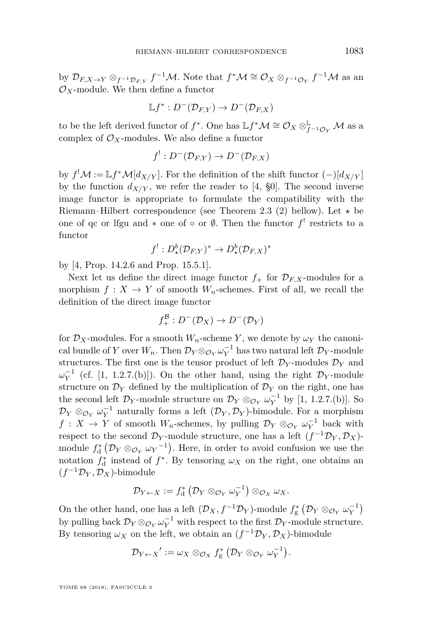by  $\mathcal{D}_{F,X\to Y}\otimes_{f^{-1}\mathcal{D}_{F,Y}}f^{-1}\mathcal{M}$ . Note that  $f^*\mathcal{M}\cong\mathcal{O}_X\otimes_{f^{-1}\mathcal{O}_Y}f^{-1}\mathcal{M}$  as an  $\mathcal{O}_X$ -module. We then define a functor

$$
\mathbb{L} f^* : D^-(\mathcal{D}_{F,Y}) \to D^-(\mathcal{D}_{F,X})
$$

to be the left derived functor of  $f^*$ . One has  $\mathbb{L} f^* \mathcal{M} \cong \mathcal{O}_X \otimes^{\mathbb{L}}_{f^{-1}\mathcal{O}_Y} \mathcal{M}$  as a complex of  $\mathcal{O}_X$ -modules. We also define a functor

$$
f^!: D^-(\mathcal{D}_{F,Y}) \to D^-(\mathcal{D}_{F,X})
$$

by  $f^! \mathcal{M} := \mathbb{L} f^* \mathcal{M}[d_{X/Y}]$ . For the definition of the shift functor  $(-)[d_{X/Y}]$ by the function  $d_{X/Y}$ , we refer the reader to [\[4,](#page-44-2) §0]. The second inverse image functor is appropriate to formulate the compatibility with the Riemann–Hilbert correspondence (see Theorem [2.3](#page-10-0) (2) bellow). Let  $\star$  be one of qc or lfgu and  $*$  one of  $\circ$  or  $\emptyset$ . Then the functor  $f'$  restricts to a functor

$$
f^!: D^b_\star(\mathcal{D}_{F,Y})^* \to D^b_\star(\mathcal{D}_{F,X})^*
$$

by [\[4,](#page-44-2) Prop. 14.2.6 and Prop. 15.5.1].

Next let us define the direct image functor  $f_+$  for  $\mathcal{D}_{F,X}$ -modules for a morphism  $f: X \to Y$  of smooth  $W_n$ -schemes. First of all, we recall the definition of the direct image functor

$$
f_+^{\mathcal{B}}: D^-(\mathcal{D}_X) \to D^-(\mathcal{D}_Y)
$$

for  $\mathcal{D}_X$ -modules. For a smooth  $W_n$ -scheme *Y*, we denote by  $\omega_Y$  the canonical bundle of *Y* over  $W_n$ . Then  $\mathcal{D}_Y \otimes_{\mathcal{O}_Y} \omega_Y^{-1}$  has two natural left  $\mathcal{D}_Y$ -module structures. The first one is the tensor product of left  $\mathcal{D}_Y$ -modules  $\mathcal{D}_Y$  and  $\omega_Y^{-1}$  (cf. [\[1,](#page-44-8) 1.2.7.(b)]). On the other hand, using the right  $\mathcal{D}_Y$ -module structure on  $\mathcal{D}_Y$  defined by the multiplication of  $\mathcal{D}_Y$  on the right, one has the second left  $\mathcal{D}_Y$ -module structure on  $\mathcal{D}_Y \otimes_{\mathcal{O}_Y} \omega_Y^{-1}$  by [\[1,](#page-44-8) 1.2.7.(b)]. So  $\mathcal{D}_Y \otimes_{\mathcal{O}_Y} \omega_Y^{-1}$  naturally forms a left  $(\mathcal{D}_Y, \mathcal{D}_Y)$ -bimodule. For a morphism *f* : *X* → *Y* of smooth *W*<sub>n</sub>-schemes, by pulling  $\mathcal{D}_Y \otimes_{\mathcal{O}_Y} \omega_Y^{-1}$  back with respect to the second  $\mathcal{D}_Y$ -module structure, one has a left  $(f^{-1}\mathcal{D}_Y, \mathcal{D}_X)$ module  $f_d^*$  ( $\mathcal{D}_Y \otimes_{\mathcal{O}_Y} \omega_Y^{-1}$ ). Here, in order to avoid confusion we use the notation  $f_d^*$  instead of  $f^*$ . By tensoring  $\omega_X$  on the right, one obtains an  $(f^{-1}\mathcal{D}_Y, \mathcal{D}_X)$ -bimodule

$$
\mathcal{D}_{Y \leftarrow X} := f_{\mathrm{d}}^* \left( \mathcal{D}_Y \otimes_{\mathcal{O}_Y} \omega_Y^{-1} \right) \otimes_{\mathcal{O}_X} \omega_X.
$$

On the other hand, one has a left  $(\mathcal{D}_X, f^{-1}\mathcal{D}_Y)$ -module  $f_g^* (\mathcal{D}_Y \otimes_{\mathcal{O}_Y} \omega_Y^{-1})$ by pulling back  $\mathcal{D}_Y \otimes_{\mathcal{O}_Y} \omega_Y^{-1}$  with respect to the first  $\mathcal{D}_Y$ -module structure. By tensoring  $\omega_X$  on the left, we obtain an  $(f^{-1}\mathcal{D}_Y, \mathcal{D}_X)$ -bimodule

$$
\mathcal{D}_{Y\leftarrow X}':=\omega_X\otimes_{\mathcal{O}_X}f_{\mathrm{g}}^*\left(\mathcal{D}_Y\otimes_{\mathcal{O}_Y}\omega_Y^{-1}\right).
$$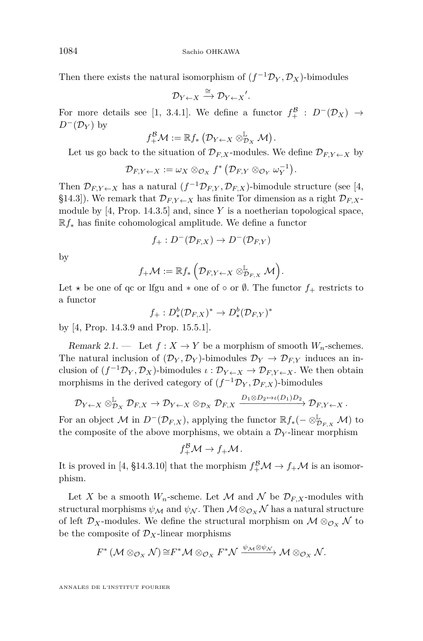Then there exists the natural isomorphism of  $(f^{-1}\mathcal{D}_Y, \mathcal{D}_X)$ -bimodules

$$
\mathcal{D}_{Y\leftarrow X}\xrightarrow{\cong}\mathcal{D}_{Y\leftarrow X}'.
$$

For more details see [\[1,](#page-44-8) 3.4.1]. We define a functor  $f_+^{\mathcal{B}}$  :  $D^-(\mathcal{D}_X) \rightarrow$  $D^{-}(\mathcal{D}_Y)$  by

$$
f^{\mathcal{B}}_{+}\mathcal{M}:=\mathbb{R}f_*\left(\mathcal{D}_{Y\leftarrow X}\otimes^{\mathbb{L}}_{\mathcal{D}_X}\mathcal{M}\right).
$$

Let us go back to the situation of  $\mathcal{D}_{F,X}$ -modules. We define  $\mathcal{D}_{F,Y \leftarrow X}$  by

$$
\mathcal{D}_{F,Y\leftarrow X}:=\omega_X\otimes_{\mathcal{O}_X}f^*\left(\mathcal{D}_{F,Y}\otimes_{\mathcal{O}_Y}\omega_Y^{-1}\right).
$$

Then  $\mathcal{D}_{F,Y\leftarrow X}$  has a natural  $(f^{-1}\mathcal{D}_{F,Y}, \mathcal{D}_{F,X})$ -bimodule structure (see [\[4,](#page-44-2) §14.3]). We remark that  $\mathcal{D}_{F,Y\leftarrow X}$  has finite Tor dimension as a right  $\mathcal{D}_{F,X}$ module by [\[4,](#page-44-2) Prop. 14.3.5] and, since *Y* is a noetherian topological space, R*f*<sup>∗</sup> has finite cohomological amplitude. We define a functor

$$
f_+:D^-(\mathcal{D}_{F,X})\to D^-(\mathcal{D}_{F,Y})
$$

by

$$
f_{+}\mathcal{M}:=\mathbb{R}f_*\left(\mathcal{D}_{F,Y\leftarrow X}\otimes^{\mathbb{L}}_{\mathcal{D}_{F,X}}\mathcal{M}\right).
$$

Let  $\star$  be one of qc or lfgu and  $\star$  one of  $\circ$  or  $\emptyset$ . The functor  $f_+$  restricts to a functor

$$
f_+ : D^b_{\star}(\mathcal{D}_{F,X})^* \to D^b_{\star}(\mathcal{D}_{F,Y})^*
$$

by [\[4,](#page-44-2) Prop. 14.3.9 and Prop. 15.5.1].

<span id="page-8-0"></span>Remark 2.1. — Let  $f: X \to Y$  be a morphism of smooth  $W_n$ -schemes. The natural inclusion of  $(\mathcal{D}_Y, \mathcal{D}_Y)$ -bimodules  $\mathcal{D}_Y \to \mathcal{D}_{F,Y}$  induces an inclusion of  $(f^{-1}\mathcal{D}_Y, \mathcal{D}_X)$ -bimodules  $\iota : \mathcal{D}_{Y \leftarrow X} \to \mathcal{D}_{F,Y \leftarrow X}$ . We then obtain morphisms in the derived category of  $(f^{-1}\mathcal{D}_Y, \mathcal{D}_{F,X})$ -bimodules

$$
\mathcal{D}_{Y\leftarrow X}\otimes^{\mathbb{L}}_{\mathcal{D}_X}\mathcal{D}_{F,X}\to \mathcal{D}_{Y\leftarrow X}\otimes_{\mathcal{D}_X}\mathcal{D}_{F,X}\xrightarrow{D_1\otimes D_2\mapsto \iota(D_1)D_2}\mathcal{D}_{F,Y\leftarrow X}.
$$

For an object  $\mathcal M$  in  $D^-(\mathcal D_{F,X})$ , applying the functor  $\mathbb R f_*(- \otimes^{\mathbb L}_{\mathcal D_{F,X}} \mathcal M)$  to the composite of the above morphisms, we obtain a  $\mathcal{D}_Y$ -linear morphism

$$
f_+^{\mathcal{B}} \mathcal{M} \to f_+ \mathcal{M}.
$$

It is proved in [\[4,](#page-44-2) §14.3.10] that the morphism  $f^{\mathcal{B}}_+\mathcal{M} \to f_+\mathcal{M}$  is an isomorphism.

Let X be a smooth  $W_n$ -scheme. Let M and N be  $\mathcal{D}_{F,X}$ -modules with structural morphisms  $\psi_{\mathcal{M}}$  and  $\psi_{\mathcal{N}}$ . Then  $\mathcal{M} \otimes_{\mathcal{O}_X} \mathcal{N}$  has a natural structure of left  $\mathcal{D}_X$ -modules. We define the structural morphism on  $\mathcal{M} \otimes_{\mathcal{O}_X} \mathcal{N}$  to be the composite of  $\mathcal{D}_X$ -linear morphisms

$$
F^* \left( \mathcal{M} \otimes_{\mathcal{O}_X} \mathcal{N} \right) \cong F^* \mathcal{M} \otimes_{\mathcal{O}_X} F^* \mathcal{N} \xrightarrow{\psi_{\mathcal{M}} \otimes \psi_{\mathcal{N}}} \mathcal{M} \otimes_{\mathcal{O}_X} \mathcal{N}.
$$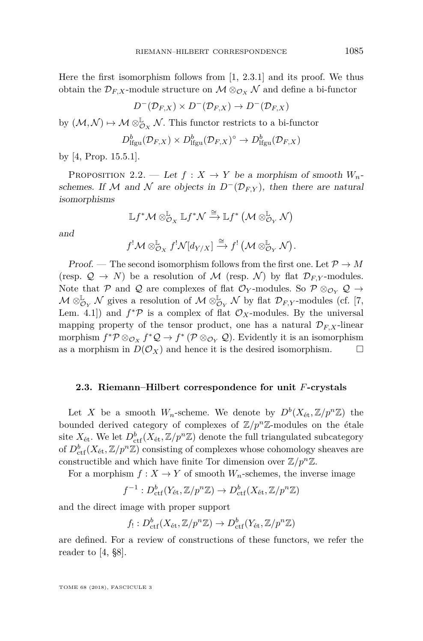Here the first isomorphism follows from  $[1, 2.3.1]$  $[1, 2.3.1]$  and its proof. We thus obtain the  $\mathcal{D}_{F,X}$ -module structure on  $\mathcal{M} \otimes_{\mathcal{O}_X} \mathcal{N}$  and define a bi-functor

$$
D^{-}(\mathcal{D}_{F,X}) \times D^{-}(\mathcal{D}_{F,X}) \to D^{-}(\mathcal{D}_{F,X})
$$

by  $(\mathcal{M}, \mathcal{N}) \mapsto \mathcal{M} \otimes_{\mathcal{O}_X}^{\mathbb{L}} \mathcal{N}$ . This functor restricts to a bi-functor

$$
D^b_{\text{lfgu}}(\mathcal{D}_{F,X}) \times D^b_{\text{lfgu}}(\mathcal{D}_{F,X})^\circ \to D^b_{\text{lfgu}}(\mathcal{D}_{F,X})
$$

by [\[4,](#page-44-2) Prop. 15.5.1].

<span id="page-9-0"></span>PROPOSITION 2.2. — Let  $f: X \to Y$  be a morphism of smooth  $W_n$ schemes. If M and N are objects in  $D^{-}(D_{F,Y})$ , then there are natural isomorphisms

$$
\mathbb{L} f^\ast \mathcal{M} \otimes^{\mathbb{L}}_{\mathcal{O}_{X}} \mathbb{L} f^\ast \mathcal{N} \xrightarrow{\cong} \mathbb{L} f^\ast \left(\mathcal{M} \otimes^{\mathbb{L}}_{\mathcal{O}_{Y}} \mathcal{N}\right)
$$

and

$$
f^{!}\mathcal{M} \otimes_{\mathcal{O}_{X}}^{\mathbb{L}} f^{!}\mathcal{N}[d_{Y/X}] \xrightarrow{\cong} f^{!}(\mathcal{M} \otimes_{\mathcal{O}_{Y}}^{\mathbb{L}} \mathcal{N}).
$$

Proof. — The second isomorphism follows from the first one. Let  $\mathcal{P} \to M$ (resp.  $\mathcal{Q} \to N$ ) be a resolution of M (resp. N) by flat  $\mathcal{D}_{F,Y}$ -modules. Note that P and Q are complexes of flat  $\mathcal{O}_Y$ -modules. So  $\mathcal{P} \otimes_{\mathcal{O}_Y} \mathcal{Q} \rightarrow$  $\mathcal{M} \otimes_{\mathcal{O}_Y}^{\mathbb{L}} \mathcal{N}$  gives a resolution of  $\mathcal{M} \otimes_{\mathcal{O}_Y}^{\mathbb{L}} \mathcal{N}$  by flat  $\mathcal{D}_{F,Y}$ -modules (cf. [\[7,](#page-44-9) Lem. 4.1]) and  $f^*\mathcal{P}$  is a complex of flat  $\mathcal{O}_X$ -modules. By the universal mapping property of the tensor product, one has a natural  $\mathcal{D}_{F,X}$ -linear morphism  $f^* \mathcal{P} \otimes_{\mathcal{O}_X} f^* \mathcal{Q} \to f^* \left( \mathcal{P} \otimes_{\mathcal{O}_Y} \mathcal{Q} \right)$ . Evidently it is an isomorphism as a morphism in  $D(\mathcal{O}_X)$  and hence it is the desired isomorphism.  $\square$ 

#### **2.3. Riemann–Hilbert correspondence for unit** *F***-crystals**

Let *X* be a smooth  $W_n$ -scheme. We denote by  $D^b(X_{\text{\'et}}, \mathbb{Z}/p^n\mathbb{Z})$  the bounded derived category of complexes of  $\mathbb{Z}/p^n\mathbb{Z}$ -modules on the étale site  $X_{\text{\'et}}$ . We let  $D^b_{\text{ctf}}(X_{\text{\'et}}, \mathbb{Z}/p^n\mathbb{Z})$  denote the full triangulated subcategory of  $D^b_{\text{ctf}}(X_{\text{\'et}}, \mathbb{Z}/p^n\mathbb{Z})$  consisting of complexes whose cohomology sheaves are constructible and which have finite Tor dimension over  $\mathbb{Z}/p^n\mathbb{Z}$ .

For a morphism  $f: X \to Y$  of smooth  $W_n$ -schemes, the inverse image

$$
f^{-1}: D_{\mathrm{ctf}}^b(Y_{\mathrm{\acute{e}t}}, \mathbb{Z}/p^n\mathbb{Z}) \to D_{\mathrm{ctf}}^b(X_{\mathrm{\acute{e}t}}, \mathbb{Z}/p^n\mathbb{Z})
$$

and the direct image with proper support

$$
f_! : D^b_{\mathrm{ctf}}(X_{\mathrm{\acute{e}t}}, \mathbb{Z}/p^n\mathbb{Z}) \to D^b_{\mathrm{ctf}}(Y_{\mathrm{\acute{e}t}}, \mathbb{Z}/p^n\mathbb{Z})
$$

are defined. For a review of constructions of these functors, we refer the reader to [\[4,](#page-44-2) §8].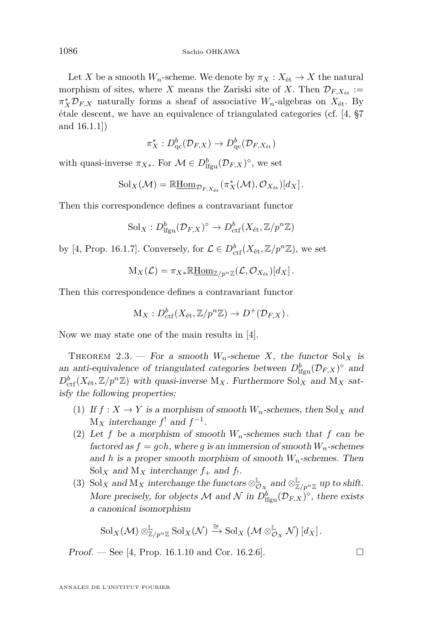Let *X* be a smooth  $W_n$ -scheme. We denote by  $\pi_X : X_{\text{\'et}} \to X$  the natural morphism of sites, where *X* means the Zariski site of *X*. Then  $\mathcal{D}_{F,X_{\text{\'et}}}:=$  $\pi_X^* \mathcal{D}_{F,X}$  naturally forms a sheaf of associative *W<sub>n</sub>*-algebras on  $X_{\text{\'et}}$ . By étale descent, we have an equivalence of triangulated categories (cf. [\[4,](#page-44-2) §7 and 16.1.1])

$$
\pi_X^*: D^b_{\mathrm{qc}}(\mathcal{D}_{F,X}) \to D^b_{\mathrm{qc}}(\mathcal{D}_{F,X_{\mathrm{\acute{e}t}}})
$$

with quasi-inverse  $\pi_{X*}$ . For  $\mathcal{M} \in D^b_{\text{lfgu}}(\mathcal{D}_{F,X})^{\circ}$ , we set

$$
Sol_X(\mathcal{M}) = \mathbb{R} \underline{\text{Hom}}_{\mathcal{D}_{F,X_{\text{\'et}}}}(\pi_X^*(\mathcal{M}), \mathcal{O}_{X_{\text{\'et}}})[d_X].
$$

Then this correspondence defines a contravariant functor

$$
Sol_X: D^b_{\mathrm{lfgu}}(\mathcal{D}_{F,X})^\circ \to D^b_{\mathrm{ctf}}(X_{\mathrm{\acute{e}t}}, \mathbb{Z}/p^n\mathbb{Z})
$$

by [\[4,](#page-44-2) Prop. 16.1.7]. Conversely, for  $\mathcal{L} \in D^b_{\text{ctf}}(X_{\text{\'et}}, \mathbb{Z}/p^n\mathbb{Z})$ , we set

$$
M_X(\mathcal{L}) = \pi_{X*} \mathbb{R} \underline{\text{Hom}}_{\mathbb{Z}/p^n \mathbb{Z}}(\mathcal{L}, \mathcal{O}_{X_{\text{\'et}}})[d_X].
$$

Then this correspondence defines a contravariant functor

$$
\mathcal{M}_X: D^b_{\mathrm{ctf}}(X_{\mathrm{\acute{e}t}}, \mathbb{Z}/p^n\mathbb{Z}) \to D^+(\mathcal{D}_{F,X}).
$$

Now we may state one of the main results in [\[4\]](#page-44-2).

<span id="page-10-0"></span>THEOREM 2.3. — For a smooth  $W_n$ -scheme X, the functor  $Sol_X$  is an anti-equivalence of triangulated categories between  $D_{\text{lfgu}}^b(\mathcal{D}_{F,X})^{\circ}$  and  $D_{\text{ctf}}^{b}(X_{\text{\'et}}, \mathbb{Z}/p^n\mathbb{Z})$  with quasi-inverse M<sub>X</sub>. Furthermore Sol<sub>X</sub> and M<sub>X</sub> satisfy the following properties:

- (1) If  $f: X \to Y$  is a morphism of smooth  $W_n$ -schemes, then Sol<sub>X</sub> and  $M_X$  interchange  $f^!$  and  $f^{-1}$ .
- (2) Let f be a morphism of smooth  $W_n$ -schemes such that f can be factored as  $f = g \circ h$ , where g is an immersion of smooth  $W_n$ -schemes and *h* is a proper smooth morphism of smooth  $W_n$ -schemes. Then  $Sol_X$  and  $M_X$  interchange  $f_+$  and  $f_!$ .
- (3) Sol<sub>X</sub> and M<sub>X</sub> interchange the functors  $\otimes_{\mathcal{O}_X}^{\mathbb{L}}$  and  $\otimes_{\mathbb{Z}/p^n\mathbb{Z}}^{\mathbb{L}}$  up to shift. More precisely, for objects  $\mathcal M$  and  $\mathcal N$  in  $D^b_{\text{lfgu}}(\mathcal D_{F,X})^{\circ}$ , there exists a canonical isomorphism

$$
\mathrm{Sol}_X(\mathcal{M}) \otimes_{\mathbb{Z}/p^n \mathbb{Z}}^{\mathbb{L}} \mathrm{Sol}_X(\mathcal{N}) \xrightarrow{\cong} \mathrm{Sol}_X \left(\mathcal{M} \otimes_{\mathcal{O}_X}^{\mathbb{L}} \mathcal{N}\right)[d_X].
$$

**Proof.** — See [\[4,](#page-44-2) Prop. 16.1.10 and Cor. 16.2.6].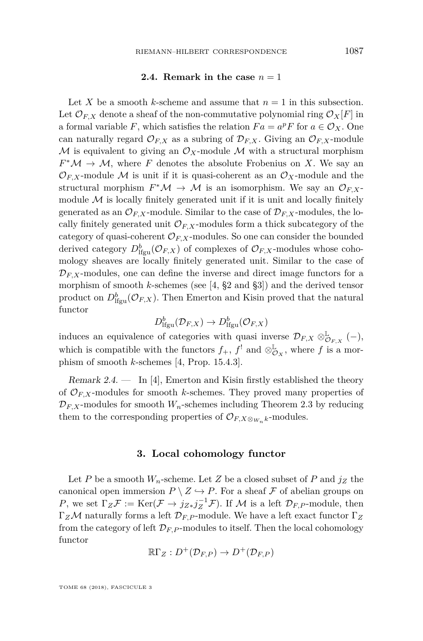#### **2.4. Remark in the case**  $n = 1$

<span id="page-11-0"></span>Let *X* be a smooth *k*-scheme and assume that  $n = 1$  in this subsection. Let  $\mathcal{O}_{F,X}$  denote a sheaf of the non-commutative polynomial ring  $\mathcal{O}_X[F]$  in a formal variable *F*, which satisfies the relation  $Fa = a^p F$  for  $a \in \mathcal{O}_X$ . One can naturally regard  $\mathcal{O}_{F,X}$  as a subring of  $\mathcal{D}_{F,X}$ . Giving an  $\mathcal{O}_{F,X}$ -module  $M$  is equivalent to giving an  $\mathcal{O}_X$ -module  $M$  with a structural morphism  $F^*M \to M$ , where *F* denotes the absolute Frobenius on *X*. We say an  $\mathcal{O}_{F,X}$ -module M is unit if it is quasi-coherent as an  $\mathcal{O}_X$ -module and the structural morphism  $F^*\mathcal{M} \to \mathcal{M}$  is an isomorphism. We say an  $\mathcal{O}_{F,X}$ module  $M$  is locally finitely generated unit if it is unit and locally finitely generated as an  $\mathcal{O}_{F,X}$ -module. Similar to the case of  $\mathcal{D}_{F,X}$ -modules, the locally finitely generated unit  $\mathcal{O}_{F,X}$ -modules form a thick subcategory of the category of quasi-coherent  $\mathcal{O}_{F,X}$ -modules. So one can consider the bounded derived category  $D_{\text{lfgu}}^b(\mathcal{O}_{F,X})$  of complexes of  $\mathcal{O}_{F,X}$ -modules whose cohomology sheaves are locally finitely generated unit. Similar to the case of  $\mathcal{D}_{F,X}$ -modules, one can define the inverse and direct image functors for a morphism of smooth *k*-schemes (see [\[4,](#page-44-2) §2 and §3]) and the derived tensor product on  $D_{\text{lfgu}}^b(\mathcal{O}_{F,X})$ . Then Emerton and Kisin proved that the natural functor

$$
D^b_{\text{lfgu}}(\mathcal{D}_{F,X}) \to D^b_{\text{lfgu}}(\mathcal{O}_{F,X})
$$

induces an equivalence of categories with quasi inverse  $\mathcal{D}_{F,X} \otimes_{\mathcal{O}_{F,X}}^{\mathbb{L}} (-)$ , which is compatible with the functors  $f_+$ ,  $f'$  and  $\otimes_{\mathcal{O}_X}^{\mathbb{L}}$ , where  $f$  is a morphism of smooth *k*-schemes [\[4,](#page-44-2) Prop. 15.4.3].

Remark 2.4.  $\qquad$  In [\[4\]](#page-44-2), Emerton and Kisin firstly established the theory of  $\mathcal{O}_{F,X}$ -modules for smooth *k*-schemes. They proved many properties of  $\mathcal{D}_{F,X}$ -modules for smooth  $W_n$ -schemes including Theorem [2.3](#page-10-0) by reducing them to the corresponding properties of  $\mathcal{O}_{F,X\otimes_{W}k}$ -modules.

#### **3. Local cohomology functor**

Let *P* be a smooth  $W_n$ -scheme. Let *Z* be a closed subset of *P* and  $j_Z$  the canonical open immersion  $P \setminus Z \hookrightarrow P$ . For a sheaf F of abelian groups on *P*, we set  $\Gamma_Z \mathcal{F} := \text{Ker}(\mathcal{F} \to j_{Z*} j_Z^{-1} \mathcal{F})$ . If *M* is a left  $\mathcal{D}_{F,P}$ -module, then Γ*Z*M naturally forms a left D*F,P* -module. We have a left exact functor Γ*<sup>Z</sup>* from the category of left  $\mathcal{D}_{F,P}$ -modules to itself. Then the local cohomology functor

$$
\mathbb{R}\Gamma_Z:D^+(\mathcal{D}_{F,P})\to D^+(\mathcal{D}_{F,P})
$$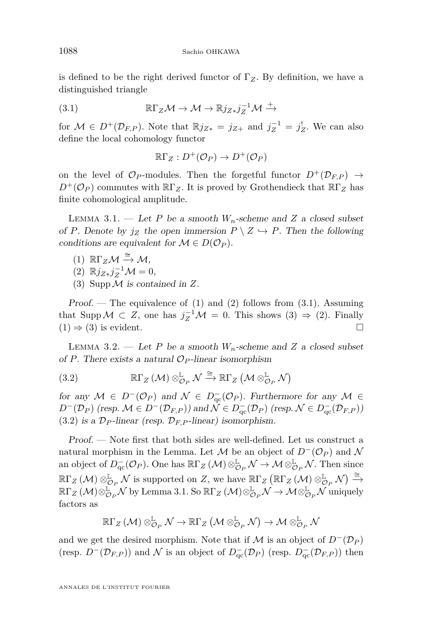is defined to be the right derived functor of Γ*Z*. By definition, we have a distinguished triangle

(3.1) 
$$
\mathbb{R}\Gamma_Z\mathcal{M}\to\mathcal{M}\to\mathbb{R}j_{Z*}j_Z^{-1}\mathcal{M}\xrightarrow{+}
$$

for  $\mathcal{M} \in D^+(\mathcal{D}_{F,P})$ . Note that  $\mathbb{R}j_{Z*} = j_{Z+}$  and  $j_Z^{-1} = j_Z^!$ . We can also define the local cohomology functor

<span id="page-12-2"></span>
$$
\mathbb{R}\Gamma_Z:D^+(\mathcal{O}_P)\to D^+(\mathcal{O}_P)
$$

on the level of  $\mathcal{O}_P$ -modules. Then the forgetful functor  $D^+(\mathcal{D}_{F,P}) \rightarrow$  $D^+(\mathcal{O}_P)$  commutes with  $\mathbb{R}\Gamma_Z$ . It is proved by Grothendieck that  $\mathbb{R}\Gamma_Z$  has finite cohomological amplitude.

<span id="page-12-5"></span>LEMMA 3.1. — Let *P* be a smooth  $W_n$ -scheme and *Z* a closed subset of *P*. Denote by  $j_Z$  the open immersion  $P \setminus Z \hookrightarrow P$ . Then the following conditions are equivalent for  $\mathcal{M} \in D(\mathcal{O}_P)$ .

- <span id="page-12-0"></span> $(1)$   $\mathbb{R}\Gamma_Z\mathcal{M} \stackrel{\cong}{\rightarrow} \mathcal{M},$
- <span id="page-12-1"></span> $(2)$   $\mathbb{R}j_{Z*}j_Z^{-1}\mathcal{M}=0,$
- <span id="page-12-3"></span>(3) SuppM is contained in *Z*.

Proof. — The equivalence of  $(1)$  and  $(2)$  follows from  $(3.1)$ . Assuming that Supp  $M \subset Z$ , one has  $j_Z^{-1}M = 0$ . This shows [\(3\)](#page-12-3)  $\Rightarrow$  [\(2\)](#page-12-1). Finally  $(1) \Rightarrow (3)$  $(1) \Rightarrow (3)$  $(1) \Rightarrow (3)$  is evident.

<span id="page-12-6"></span>LEMMA 3.2. — Let *P* be a smooth  $W_n$ -scheme and *Z* a closed subset of *P*. There exists a natural  $\mathcal{O}_P$ -linear isomorphism

<span id="page-12-4"></span>(3.2) 
$$
\mathbb{R}\Gamma_Z\left(\mathcal{M}\right)\otimes_{\mathcal{O}_P}^{\mathbb{L}}\mathcal{N}\xrightarrow{\cong}\mathbb{R}\Gamma_Z\left(\mathcal{M}\otimes_{\mathcal{O}_P}^{\mathbb{L}}\mathcal{N}\right)
$$

for any  $M \in D^-(\mathcal{O}_P)$  and  $\mathcal{N} \in D^-_{\text{qc}}(\mathcal{O}_P)$ . Furthermore for any  $\mathcal{M} \in$ *D*<sup>−</sup>( $\mathcal{D}_P$ ) (resp.  $\mathcal{M}$  ∈ *D*<sup>−</sup>( $\mathcal{D}_{F,P}$ )) and  $\mathcal{N}$  ∈  $D_{qc}^-$ ( $\mathcal{D}_P$ ) (resp.  $\mathcal{N}$  ∈  $D_{qc}^-$ ( $\mathcal{D}_{F,P}$ ))  $(3.2)$  is a  $\mathcal{D}_P$ -linear (resp.  $\mathcal{D}_{F,P}$ -linear) isomorphism.

Proof. — Note first that both sides are well-defined. Let us construct a natural morphism in the Lemma. Let M be an object of  $D^{-}(\mathcal{O}_P)$  and N an object of  $D_{\text{qc}}^-(\mathcal{O}_P)$ . One has  $\mathbb{R}\Gamma_Z(\mathcal{M})\otimes_{\mathcal{O}_P}^{\mathbb{L}}\mathcal{N}\to\mathcal{M}\otimes_{\mathcal{O}_P}^{\mathbb{L}}\mathcal{N}$ . Then since  $\mathbb{R}\Gamma_Z(\mathcal{M})\otimes_{\mathcal{O}_P}^{\mathbb{L}}\mathcal{N}$  is supported on *Z*, we have  $\mathbb{R}\Gamma_Z(\mathbb{R}\Gamma_Z(\mathcal{M})\otimes_{\mathcal{O}_P}^{\mathbb{L}}\mathcal{N})\xrightarrow{\cong}$  $\mathbb{R}\Gamma_Z\left(\mathcal{M}\right)\otimes_{\mathcal{O}_P}^{\mathbb{L}}\mathcal{N}$  by Lemma [3.1.](#page-12-5) So  $\mathbb{R}\Gamma_Z\left(\mathcal{M}\right)\otimes_{\mathcal{O}_P}^{\mathbb{L}}\mathcal{N}\to\mathcal{M}\otimes_{\mathcal{O}_P}^{\mathbb{L}}\mathcal{N}$  uniquely factors as

$$
\R\Gamma_Z\left(\mathcal{M}\right)\otimes^{\mathbb{L}}_{\mathcal{O}_P}\mathcal{N}\rightarrow \R\Gamma_Z\left(\mathcal{M}\otimes^{\mathbb{L}}_{\mathcal{O}_P}\mathcal{N}\right)\rightarrow \mathcal{M}\otimes^{\mathbb{L}}_{\mathcal{O}_P}\mathcal{N}
$$

and we get the desired morphism. Note that if  $\mathcal M$  is an object of  $D^{-}(\mathcal D_{P})$ (resp.  $D^-(\mathcal{D}_{F,P})$ ) and  $\mathcal N$  is an object of  $D^-_{\text{qc}}(\mathcal{D}_P)$  (resp.  $D^-_{\text{qc}}(\mathcal{D}_{F,P})$ ) then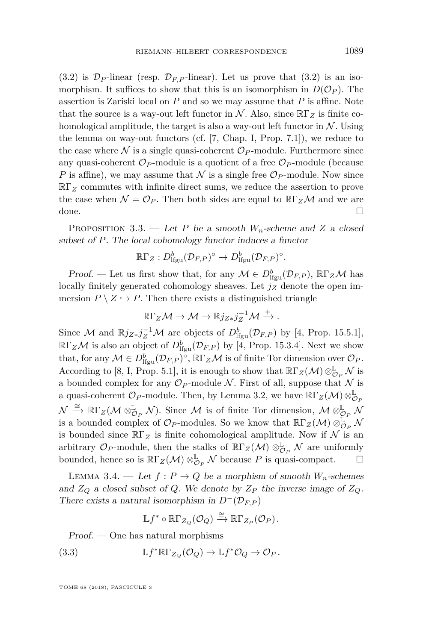$(3.2)$  is  $\mathcal{D}_P$ -linear (resp.  $\mathcal{D}_F$ <sub>P</sub>-linear). Let us prove that  $(3.2)$  is an isomorphism. It suffices to show that this is an isomorphism in  $D(\mathcal{O}_P)$ . The assertion is Zariski local on *P* and so we may assume that *P* is affine. Note that the source is a way-out left functor in  $\mathcal N$ . Also, since  $\mathbb{R}\Gamma_Z$  is finite cohomological amplitude, the target is also a way-out left functor in  $\mathcal N$ . Using the lemma on way-out functors (cf. [\[7,](#page-44-9) Chap. I, Prop. 7.1]), we reduce to the case where  $\mathcal N$  is a single quasi-coherent  $\mathcal O_P$ -module. Furthermore since any quasi-coherent  $\mathcal{O}_P$ -module is a quotient of a free  $\mathcal{O}_P$ -module (because *P* is affine), we may assume that  $\mathcal N$  is a single free  $\mathcal O_P$ -module. Now since RΓ*<sup>Z</sup>* commutes with infinite direct sums, we reduce the assertion to prove the case when  $\mathcal{N} = \mathcal{O}_P$ . Then both sides are equal to  $\mathbb{R}\Gamma_Z\mathcal{M}$  and we are done.

PROPOSITION 3.3. — Let *P* be a smooth  $W_n$ -scheme and *Z* a closed subset of *P*. The local cohomology functor induces a functor

$$
\mathbb{R}\Gamma_Z:D^b_{\mathrm{lfgu}}(\mathcal{D}_{F,P})^\circ\to D^b_{\mathrm{lfgu}}(\mathcal{D}_{F,P})^\circ.
$$

Proof. — Let us first show that, for any  $M \in D^b_{\text{lfgu}}(\mathcal{D}_{F,P}), \ \mathbb{R}\Gamma_Z\mathcal{M}$  has locally finitely generated cohomology sheaves. Let *j<sup>Z</sup>* denote the open immersion  $P \setminus Z \hookrightarrow P$ . Then there exists a distinguished triangle

$$
\mathbb{R}\Gamma_Z\mathcal{M}\to\mathcal{M}\to\mathbb{R}j_{Z*}j_Z^{-1}\mathcal{M}\xrightarrow{+}.
$$

Since M and  $\mathbb{R}j_{Z*}j_Z^{-1}\mathcal{M}$  are objects of  $D_{\text{lfgu}}^b(\mathcal{D}_{F,P})$  by [\[4,](#page-44-2) Prop. 15.5.1],  $\mathbb{R}\Gamma_Z\mathcal{M}$  is also an object of  $D^b_{\text{lfgu}}(\mathcal{D}_{F,P})$  by [\[4,](#page-44-2) Prop. 15.3.4]. Next we show that, for any  $M \in D^b_{\text{lfgu}}(\mathcal{D}_{F,P})^{\circ}, \mathbb{R}\Gamma_Z\mathcal{M}$  is of finite Tor dimension over  $\mathcal{O}_P$ . According to [\[8,](#page-44-10) I, Prop. 5.1], it is enough to show that  $\mathbb{R}\Gamma_Z(\mathcal{M})\otimes_{\mathcal{O}_P}^{\mathbb{L}}\mathcal{N}$  is a bounded complex for any  $\mathcal{O}_P$ -module N. First of all, suppose that N is a quasi-coherent  $\mathcal{O}_P$ -module. Then, by Lemma [3.2,](#page-12-6) we have  $\mathbb{R}\Gamma_Z(\mathcal{M})\otimes^{\mathbb{L}}_{\mathcal{O}_P}$  $\mathcal{N} \stackrel{\cong}{\to} \mathbb{R}\Gamma_Z(\mathcal{M} \otimes_{\mathcal{O}_P}^{\mathbb{L}} \mathcal{N})$ . Since  $\mathcal{M}$  is of finite Tor dimension,  $\mathcal{M} \otimes_{\mathcal{O}_P}^{\mathbb{L}} \mathcal{N}$ is a bounded complex of  $\mathcal{O}_P$ -modules. So we know that  $\mathbb{R}\Gamma_Z(\mathcal{M}) \otimes_{\mathcal{O}_P}^{\mathbb{L}^*} \mathcal{N}$ is bounded since  $\mathbb{R}\Gamma_Z$  is finite cohomological amplitude. Now if N is an arbitrary  $\mathcal{O}_P$ -module, then the stalks of  $\mathbb{R}\Gamma_Z(\mathcal{M})\otimes^{\mathbb{L}}_{\mathcal{O}_P}\mathcal{N}$  are uniformly bounded, hence so is  $\mathbb{R}\Gamma_Z(\mathcal{M})\otimes_{\mathcal{O}_P}^{\mathbb{L}}\mathcal{N}$  because *P* is quasi-compact.  $\Box$ 

<span id="page-13-1"></span>LEMMA 3.4. — Let  $f: P \to Q$  be a morphism of smooth  $W_n$ -schemes and  $Z_Q$  a closed subset of *Q*. We denote by  $Z_P$  the inverse image of  $Z_Q$ . There exists a natural isomorphism in  $D^{-}(\mathcal{D}_{F,P})$ 

<span id="page-13-0"></span>
$$
\mathbb{L} f^* \circ \mathbb{R}\Gamma_{Z_Q}(\mathcal{O}_Q) \xrightarrow{\cong} \mathbb{R}\Gamma_{Z_P}(\mathcal{O}_P).
$$

Proof. — One has natural morphisms

(3.3) 
$$
\mathbb{L}f^*\mathbb{R}\Gamma_{Z_Q}(\mathcal{O}_Q)\to \mathbb{L}f^*\mathcal{O}_Q\to \mathcal{O}_P.
$$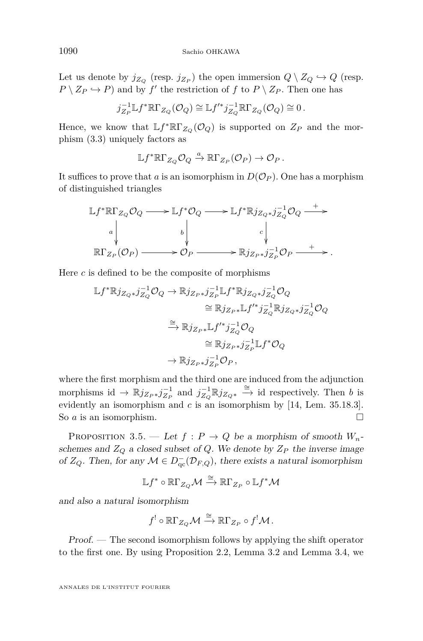Let us denote by  $j_{Z_Q}$  (resp.  $j_{Z_P}$ ) the open immersion  $Q \setminus Z_Q \hookrightarrow Q$  (resp.  $P \setminus Z_P \hookrightarrow P$  and by  $f'$  the restriction of  $f$  to  $P \setminus Z_P$ . Then one has

$$
j_{Z_P}^{-1} \mathbb{L} f^* \mathbb{R} \Gamma_{Z_Q}(\mathcal{O}_Q) \cong \mathbb{L} f'^* j_{Z_Q}^{-1} \mathbb{R} \Gamma_{Z_Q}(\mathcal{O}_Q) \cong 0.
$$

Hence, we know that  $\mathbb{L} f^* \mathbb{R} \Gamma_{Z_Q} (\mathcal{O}_Q)$  is supported on  $Z_P$  and the morphism [\(3.3\)](#page-13-0) uniquely factors as

$$
\mathbb{L}f^*\mathbb{R}\Gamma_{Z_Q}\mathcal{O}_Q\xrightarrow{a}\mathbb{R}\Gamma_{Z_P}(\mathcal{O}_P)\to\mathcal{O}_P.
$$

It suffices to prove that *a* is an isomorphism in  $D(\mathcal{O}_P)$ . One has a morphism of distinguished triangles

$$
\mathbb{L}f^*\mathbb{R}\Gamma_{Z_Q}\mathcal{O}_Q \longrightarrow \mathbb{L}f^*\mathcal{O}_Q \longrightarrow \mathbb{L}f^*\mathbb{R}j_{Z_Q*}j_{Z_Q}^{-1}\mathcal{O}_Q \longrightarrow
$$
  
\n
$$
\downarrow \qquad \qquad \downarrow \qquad \qquad c \qquad \downarrow
$$
  
\n
$$
\mathbb{R}\Gamma_{Z_P}(\mathcal{O}_P) \longrightarrow \mathcal{O}_P \longrightarrow \mathbb{R}j_{Z_P*}j_{Z_P}^{-1}\mathcal{O}_P \longrightarrow.
$$

Here *c* is defined to be the composite of morphisms

$$
\mathbb{L}f^*\mathbb{R}j_{Z_Q*}j_{Z_Q}^{-1}\mathcal{O}_Q \to \mathbb{R}j_{Z_{P}*}j_{Z_{P}}^{-1}\mathbb{L}f^*\mathbb{R}j_{Z_Q*}j_{Z_Q}^{-1}\mathcal{O}_Q
$$
  
\n
$$
\cong \mathbb{R}j_{Z_{P}*}\mathbb{L}f'^*j_{Z_Q}^{-1}\mathbb{R}j_{Z_Q*}j_{Z_Q}^{-1}\mathcal{O}_Q
$$
  
\n
$$
\cong \mathbb{R}j_{Z_{P}*}\mathbb{L}f'^*j_{Z_Q}^{-1}\mathcal{O}_Q
$$
  
\n
$$
\cong \mathbb{R}j_{Z_{P}*}j_{Z_{P}}^{-1}\mathbb{L}f^*\mathcal{O}_Q
$$
  
\n
$$
\to \mathbb{R}j_{Z_{P}*}j_{Z_{P}}^{-1}\mathcal{O}_P,
$$

where the first morphism and the third one are induced from the adjunction morphisms id  $\rightarrow \mathbb{R} j_{Z_P *} j_{Z_P}^{-1}$  and  $j_{Z_Q}^{-1} \mathbb{R} j_{Z_{Q} *} \stackrel{\cong}{\rightarrow}$  id respectively. Then *b* is evidently an isomorphism and *c* is an isomorphism by [\[14,](#page-44-11) Lem. 35.18.3]. So *a* is an isomorphism.

<span id="page-14-0"></span>PROPOSITION 3.5. — Let  $f : P \to Q$  be a morphism of smooth  $W_n$ schemes and  $Z_Q$  a closed subset of  $Q$ . We denote by  $Z_P$  the inverse image of  $Z_Q$ . Then, for any  $M \in D^-_{qc}(\mathcal{D}_{F,Q})$ , there exists a natural isomorphism

$$
\mathbb{L} f^* \circ \mathbb{R}\Gamma_{Z_Q} \mathcal{M} \xrightarrow{\cong} \mathbb{R}\Gamma_{Z_P} \circ \mathbb{L} f^* \mathcal{M}
$$

and also a natural isomorphism

$$
f^! \circ \mathbb{R}\Gamma_{Z_Q} \mathcal{M} \xrightarrow{\cong} \mathbb{R}\Gamma_{Z_P} \circ f^! \mathcal{M}.
$$

Proof. — The second isomorphism follows by applying the shift operator to the first one. By using Proposition [2.2,](#page-9-0) Lemma [3.2](#page-12-6) and Lemma [3.4,](#page-13-1) we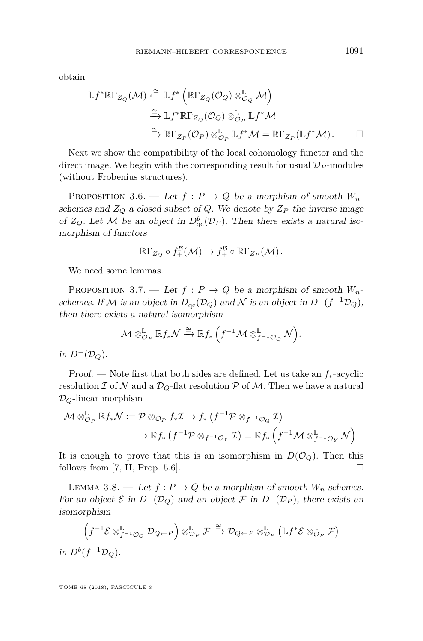obtain

$$
\mathbb{L}f^* \mathbb{R}\Gamma_{Z_Q}(\mathcal{M}) \xleftarrow{\cong} \mathbb{L}f^* \left( \mathbb{R}\Gamma_{Z_Q}(\mathcal{O}_Q) \otimes_{\mathcal{O}_Q}^{\mathbb{L}} \mathcal{M} \right)
$$

$$
\xrightarrow{\cong} \mathbb{L}f^* \mathbb{R}\Gamma_{Z_Q}(\mathcal{O}_Q) \otimes_{\mathcal{O}_P}^{\mathbb{L}} \mathbb{L}f^* \mathcal{M}
$$

$$
\xrightarrow{\cong} \mathbb{R}\Gamma_{Z_P}(\mathcal{O}_P) \otimes_{\mathcal{O}_P}^{\mathbb{L}} \mathbb{L}f^* \mathcal{M} = \mathbb{R}\Gamma_{Z_P}(\mathbb{L}f^* \mathcal{M}). \qquad \Box
$$

Next we show the compatibility of the local cohomology functor and the direct image. We begin with the corresponding result for usual  $\mathcal{D}_P$ -modules (without Frobenius structures).

<span id="page-15-0"></span>PROPOSITION 3.6. — Let  $f: P \to Q$  be a morphism of smooth  $W_n$ schemes and  $Z_Q$  a closed subset of  $Q$ . We denote by  $Z_P$  the inverse image of  $Z_Q$ . Let M be an object in  $D^b_{qc}(\mathcal{D}_P)$ . Then there exists a natural isomorphism of functors

$$
\mathbb{R}\Gamma_{Z_Q}\circ f^{\mathcal{B}}_+(\mathcal{M})\to f^{\mathcal{B}}_+\circ \mathbb{R}\Gamma_{Z_P}(\mathcal{M}).
$$

We need some lemmas.

<span id="page-15-1"></span>PROPOSITION 3.7. — Let  $f: P \to Q$  be a morphism of smooth  $W_n$ schemes. If M is an object in  $D_{qc}^-(\mathcal{D}_Q)$  and N is an object in  $D^-(f^{-1}\mathcal{D}_Q)$ , then there exists a natural isomorphism

$$
\mathcal{M} \otimes_{\mathcal{O}_P}^{\mathbb{L}} \mathbb{R} f_*\mathcal{N} \xrightarrow{\cong} \mathbb{R} f_* \left( f^{-1} \mathcal{M} \otimes_{f^{-1}\mathcal{O}_Q}^{\mathbb{L}} \mathcal{N} \right).
$$

in  $D^{-}(D_{Q})$ .

Proof. — Note first that both sides are defined. Let us take an *f*∗-acyclic resolution  $\mathcal I$  of  $\mathcal N$  and a  $\mathcal D_Q$ -flat resolution  $\mathcal P$  of  $\mathcal M$ . Then we have a natural D*Q*-linear morphism

$$
\mathcal{M} \otimes_{\mathcal{O}_P}^{\mathbb{L}} \mathbb{R} f_* \mathcal{N} := \mathcal{P} \otimes_{\mathcal{O}_P} f_* \mathcal{I} \to f_* \left( f^{-1} \mathcal{P} \otimes_{f^{-1} \mathcal{O}_Q} \mathcal{I} \right) \n\to \mathbb{R} f_* \left( f^{-1} \mathcal{P} \otimes_{f^{-1} \mathcal{O}_Y} \mathcal{I} \right) = \mathbb{R} f_* \left( f^{-1} \mathcal{M} \otimes_{f^{-1} \mathcal{O}_Y}^{\mathbb{L}} \mathcal{N} \right).
$$

It is enough to prove that this is an isomorphism in  $D(\mathcal{O}_Q)$ . Then this follows from [\[7,](#page-44-9) II, Prop. 5.6].

<span id="page-15-2"></span>LEMMA 3.8. — Let  $f: P \to Q$  be a morphism of smooth  $W_n$ -schemes. For an object  $\mathcal E$  in  $D^{-}(D_Q)$  and an object  $\mathcal F$  in  $D^{-}(D_P)$ , there exists an isomorphism

$$
\left(f^{-1}\mathcal{E}\otimes^{\mathbb{L}}_{f^{-1}\mathcal{O}_{Q}}\mathcal{D}_{Q\leftarrow P}\right)\otimes^{\mathbb{L}}_{\mathcal{D}_P}\mathcal{F}\xrightarrow{\cong}\mathcal{D}_{Q\leftarrow P}\otimes^{\mathbb{L}}_{\mathcal{D}_P}\left(\mathbb{L}f^*\mathcal{E}\otimes^{\mathbb{L}}_{\mathcal{O}_P}\mathcal{F}\right)
$$
  
in  $D^b(f^{-1}\mathcal{D}_Q).$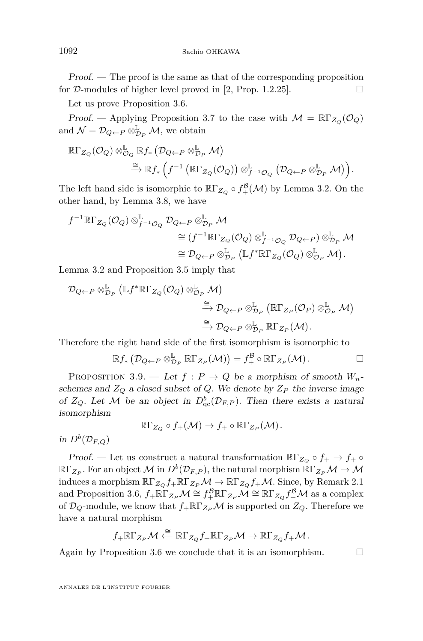Proof. — The proof is the same as that of the corresponding proposition for  $D$ -modules of higher level proved in [\[2,](#page-44-5) Prop. 1.2.25].

Let us prove Proposition [3.6.](#page-15-0)

Proof. — Applying Proposition [3.7](#page-15-1) to the case with  $\mathcal{M} = \mathbb{R}\Gamma_{Z_O}(\mathcal{O}_Q)$ and  $\mathcal{N} = \mathcal{D}_{Q \leftarrow P} \otimes_{\mathcal{D}_P}^{\mathbb{L}} \mathcal{M}$ , we obtain

$$
\begin{split} \mathbb{R}\Gamma_{Z_Q}(\mathcal{O}_Q) \otimes_{\mathcal{O}_Q}^{\mathbb{L}} \mathbb{R}f_* \left(\mathcal{D}_{Q \leftarrow P} \otimes_{\mathcal{D}_P}^{\mathbb{L}} \mathcal{M}\right) \\ \qquad \qquad \stackrel{\cong}{\longrightarrow} \mathbb{R}f_* \left(f^{-1}\left(\mathbb{R}\Gamma_{Z_Q}(\mathcal{O}_Q)\right) \otimes_{f^{-1}\mathcal{O}_Q}^{\mathbb{L}} \left(\mathcal{D}_{Q \leftarrow P} \otimes_{\mathcal{D}_P}^{\mathbb{L}} \mathcal{M}\right)\right). \end{split}
$$

The left hand side is isomorphic to  $\mathbb{R}\Gamma_{Z_Q} \circ f_{+}^{\mathcal{B}}(\mathcal{M})$  by Lemma [3.2.](#page-12-6) On the other hand, by Lemma [3.8,](#page-15-2) we have

$$
\begin{split} f^{-1}\mathbb{R}\Gamma_{Z_Q}(\mathcal{O}_Q) \otimes_{f^{-1}\mathcal{O}_Q}^{\mathbb{L}} \mathcal{D}_{Q \leftarrow P} \otimes_{\mathcal{D}_P}^{\mathbb{L}} \mathcal{M} \\ &\cong (f^{-1}\mathbb{R}\Gamma_{Z_Q}(\mathcal{O}_Q) \otimes_{f^{-1}\mathcal{O}_Q}^{\mathbb{L}} \mathcal{D}_{Q \leftarrow P}) \otimes_{\mathcal{D}_P}^{\mathbb{L}} \mathcal{M} \\ &\cong \mathcal{D}_{Q \leftarrow P} \otimes_{\mathcal{D}_P}^{\mathbb{L}} (\mathbb{L} f^*\mathbb{R}\Gamma_{Z_Q}(\mathcal{O}_Q) \otimes_{\mathcal{O}_P}^{\mathbb{L}} \mathcal{M}). \end{split}
$$

Lemma [3.2](#page-12-6) and Proposition [3.5](#page-14-0) imply that

$$
\begin{split} \mathcal{D}_{Q \leftarrow P} \otimes^{\mathbb{L}}_{\mathcal{D}_P} \left( \mathbb{L} f^* \mathbb{R} \Gamma_{Z_Q} (\mathcal{O}_Q) \otimes^{\mathbb{L}}_{\mathcal{O}_P} \mathcal{M} \right) \\ \xrightarrow{\cong} \mathcal{D}_{Q \leftarrow P} \otimes^{\mathbb{L}}_{\mathcal{D}_P} \left( \mathbb{R} \Gamma_{Z_P} (\mathcal{O}_P) \otimes^{\mathbb{L}}_{\mathcal{O}_P} \mathcal{M} \right) \\ \xrightarrow{\cong} \mathcal{D}_{Q \leftarrow P} \otimes^{\mathbb{L}}_{\mathcal{D}_P} \mathbb{R} \Gamma_{Z_P} (\mathcal{M}). \end{split}
$$

Therefore the right hand side of the first isomorphism is isomorphic to

$$
\mathbb{R} f_* \left( \mathcal{D}_{Q \leftarrow P} \otimes_{\mathcal{D}_P}^{\mathbb{L}} \mathbb{R} \Gamma_{Z_P}(\mathcal{M}) \right) = f_+^{\mathcal{B}} \circ \mathbb{R} \Gamma_{Z_P}(\mathcal{M}). \square
$$

<span id="page-16-0"></span>PROPOSITION 3.9. — Let  $f: P \to Q$  be a morphism of smooth  $W_n$ schemes and  $Z_Q$  a closed subset of  $Q$ . We denote by  $Z_P$  the inverse image of  $Z_Q$ . Let M be an object in  $D^b_{\text{qc}}(\mathcal{D}_{F,P})$ . Then there exists a natural isomorphism

$$
\mathbb{R}\Gamma_{Z_Q}\circ f_+(\mathcal{M})\to f_+\circ \mathbb{R}\Gamma_{Z_P}(\mathcal{M}).
$$

in  $D^b(\mathcal{D}_{F,Q})$ 

Proof. — Let us construct a natural transformation  $\mathbb{R}\Gamma_{Z_O} \circ f_+ \to f_+ \circ$  $\R\Gamma_{Z_P}.$  For an object  $\mathcal M$  in  $D^b(\mathcal{D}_{F,P}),$  the natural morphism  $\R\Gamma_{Z_P}\mathcal M\to\mathcal M$ induces a morphism  $\mathbb{R}\Gamma_{Z_O} f_+\mathbb{R}\Gamma_{Z_P}\mathcal{M} \to \mathbb{R}\Gamma_{Z_O} f_+\mathcal{M}$ . Since, by Remark [2.1](#page-8-0) and Proposition [3.6,](#page-15-0)  $f_+\R\Gamma_{Z_P}\mathcal{M} \cong f_+^{\mathcal{B}}\R\Gamma_{Z_P}\mathcal{M} \cong \R\Gamma_{Z_Q}f_+^{\mathcal{B}}\mathcal{M}$  as a complex of  $\mathcal{D}_Q$ -module, we know that  $f_{+}\R\Gamma_{Z_P}\mathcal{M}$  is supported on  $Z_Q$ . Therefore we have a natural morphism

$$
f_{+}\mathbb{R}\Gamma_{Z_{P}}\mathcal{M} \xleftarrow{\cong} \mathbb{R}\Gamma_{Z_{Q}}f_{+}\mathbb{R}\Gamma_{Z_{P}}\mathcal{M} \to \mathbb{R}\Gamma_{Z_{Q}}f_{+}\mathcal{M}.
$$

Again by Proposition [3.6](#page-15-0) we conclude that it is an isomorphism.  $\Box$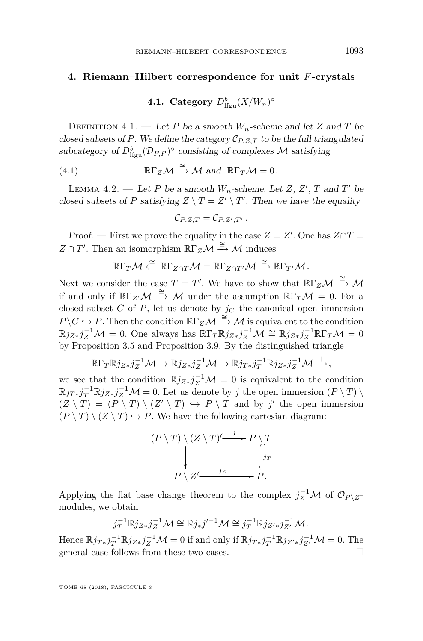#### <span id="page-17-0"></span>**4. Riemann–Hilbert correspondence for unit** *F***-crystals**

## $\mathbf{4.1.} \ \mathbf{Categorical} \ D^b_{\text{lfgu}}(X/W_n)^\circ$

DEFINITION 4.1. — Let *P* be a smooth  $W_n$ -scheme and let *Z* and *T* be closed subsets of P. We define the category  $C_{P,Z,T}$  to be the full triangulated subcategory of  $D^b_{\text{lfgu}}(\mathcal{D}_{F,P})^{\circ}$  consisting of complexes  $\mathcal M$  satisfying

(4.1) 
$$
\mathbb{R}\Gamma_Z\mathcal{M} \xrightarrow{\cong} \mathcal{M} \text{ and } \mathbb{R}\Gamma_T\mathcal{M} = 0.
$$

<span id="page-17-1"></span>LEMMA 4.2. — Let *P* be a smooth  $W_n$ -scheme. Let *Z*, *Z'*, *T* and *T'* be closed subsets of *P* satisfying  $Z \setminus T = Z' \setminus T'$ . Then we have the equality

$$
\mathcal{C}_{P,Z,T}=\mathcal{C}_{P,Z',T'}.
$$

Proof. — First we prove the equality in the case  $Z = Z'$ . One has  $Z \cap T =$  $Z \cap T'$ . Then an isomorphism  $\mathbb{R} \Gamma_Z \mathcal{M} \stackrel{\cong}{\rightarrow} \mathcal{M}$  induces

$$
\R\Gamma_T\mathcal{M}\stackrel{\cong}{\longleftarrow}\R\Gamma_{Z\cap T}\mathcal{M}=\R\Gamma_{Z\cap T'}\mathcal{M}\stackrel{\cong}{\longrightarrow}\R\Gamma_{T'}\mathcal{M}.
$$

Next we consider the case  $T = T'$ . We have to show that  $\mathbb{R}\Gamma_Z\mathcal{M} \stackrel{\cong}{\to} \mathcal{M}$ if and only if  $\mathbb{R}\Gamma_{Z}\mathcal{M} \stackrel{\cong}{\to} \mathcal{M}$  under the assumption  $\mathbb{R}\Gamma_T\mathcal{M} = 0$ . For a closed subset *C* of *P*, let us denote by  $j<sub>C</sub>$  the canonical open immersion  $P \setminus C \hookrightarrow P$ . Then the condition  $\mathbb{R} \Gamma_Z \mathcal{M} \stackrel{\cong}{\to} \mathcal{M}$  is equivalent to the condition  $\mathbb{R}j_{Z*}j_Z^{-1}\mathcal{M} = 0$ . One always has  $\mathbb{R}\Gamma_T\mathbb{R}j_{Z*}j_Z^{-1}\mathcal{M} \cong \mathbb{R}j_{Z*}j_Z^{-1}\mathbb{R}\Gamma_T\mathcal{M} = 0$ by Proposition [3.5](#page-14-0) and Proposition [3.9.](#page-16-0) By the distinguished triangle

$$
\mathbb{R}\Gamma_{T}\mathbb{R}j_{Z*}j_{Z}^{-1}\mathcal{M}\to\mathbb{R}j_{Z*}j_{Z}^{-1}\mathcal{M}\to\mathbb{R}j_{T*}j_{T}^{-1}\mathbb{R}j_{Z*}j_{Z}^{-1}\mathcal{M}\xrightarrow{+},
$$

we see that the condition  $\mathbb{R} j_{Z*} j_Z^{-1} \mathcal{M} = 0$  is equivalent to the condition  $\mathbb{R}j_{T*}j_T^{-1}\mathbb{R}j_{Z*}j_Z^{-1}\mathcal{M} = 0$ . Let us denote by *j* the open immersion  $(P \setminus T) \setminus$  $(Z \setminus T) = (P \setminus T) \setminus (Z' \setminus T) \hookrightarrow P \setminus T$  and by *j'* the open immersion  $(P \setminus T) \setminus (Z \setminus T) \hookrightarrow P$ . We have the following cartesian diagram:



Applying the flat base change theorem to the complex  $j_Z^{-1}$  *M* of  $\mathcal{O}_{P \setminus Z}$ modules, we obtain

$$
j_T^{-1}\mathbb{R}j_{Z*}j_Z^{-1}\mathcal{M}\cong\mathbb{R}j_*j'^{-1}\mathcal{M}\cong j_T^{-1}\mathbb{R}j_{Z'*}j_{Z'}^{-1}\mathcal{M}.
$$

Hence  $\mathbb{R}j_{T*}j_T^{-1}\mathbb{R}j_{Z*}j_Z^{-1}\mathcal{M} = 0$  if and only if  $\mathbb{R}j_{T*}j_T^{-1}\mathbb{R}j_{Z'*}j_{Z'}^{-1}\mathcal{M} = 0$ . The general case follows from these two cases.  $\Box$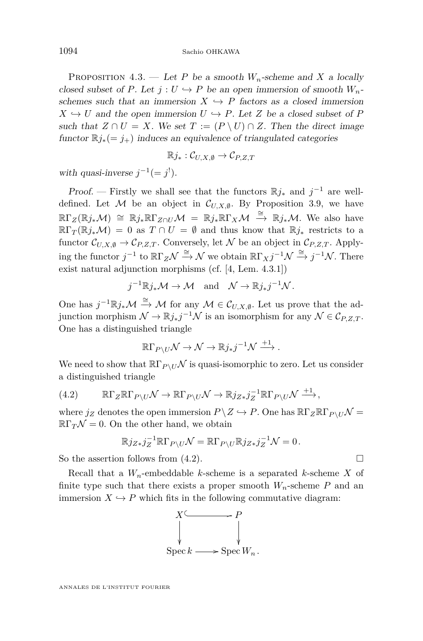<span id="page-18-1"></span>PROPOSITION 4.3. — Let *P* be a smooth  $W_n$ -scheme and *X* a locally closed subset of *P*. Let  $j: U \hookrightarrow P$  be an open immersion of smooth  $W_n$ schemes such that an immersion  $X \hookrightarrow P$  factors as a closed immersion  $X \hookrightarrow U$  and the open immersion  $U \hookrightarrow P$ . Let *Z* be a closed subset of *P* such that  $Z \cap U = X$ . We set  $T := (P \setminus U) \cap Z$ . Then the direct image functor  $\mathbb{R}j_*(-j_+)$  induces an equivalence of triangulated categories

$$
\mathbb{R}j_*:\mathcal{C}_{U,X,\emptyset}\to\mathcal{C}_{P,Z,T}
$$

with quasi-inverse  $j^{-1}(=j!)$ .

Proof. — Firstly we shall see that the functors  $\mathbb{R}j_*$  and  $j^{-1}$  are welldefined. Let M be an object in  $C_{U,X,\emptyset}$ . By Proposition [3.9,](#page-16-0) we have  $\mathbb{R}\Gamma_Z(\mathbb{R}j_*\mathcal{M}) \cong \mathbb{R}j_*\mathbb{R}\Gamma_{Z\cap U}\mathcal{M} = \mathbb{R}j_*\mathbb{R}\Gamma_X\mathcal{M} \stackrel{\cong}{\to} \mathbb{R}j_*\mathcal{M}$ . We also have  $\mathbb{R}\Gamma_T(\mathbb{R}j_*\mathcal{M}) = 0$  as  $T \cap U = \emptyset$  and thus know that  $\mathbb{R}j_*$  restricts to a functor  $\mathcal{C}_{U,X,\emptyset} \to \mathcal{C}_{P,Z,T}$ . Conversely, let N be an object in  $\mathcal{C}_{P,Z,T}$ . Applying the functor  $j^{-1}$  to  $\mathbb{R}\Gamma_Z\mathcal{N} \stackrel{\cong}{\longrightarrow} \mathcal{N}$  we obtain  $\mathbb{R}\Gamma_Xj^{-1}\mathcal{N} \stackrel{\cong}{\longrightarrow} j^{-1}\mathcal{N}$ . There exist natural adjunction morphisms (cf. [\[4,](#page-44-2) Lem. 4.3.1])

$$
j^{-1}\mathbb{R}j_*\mathcal{M} \to \mathcal{M}
$$
 and  $\mathcal{N} \to \mathbb{R}j_*j^{-1}\mathcal{N}$ .

One has  $j^{-1}\mathbb{R}j_*\mathcal{M} \stackrel{\cong}{\to} \mathcal{M}$  for any  $\mathcal{M} \in \mathcal{C}_{U,X,\emptyset}$ . Let us prove that the adjunction morphism  $\mathcal{N} \to \mathbb{R}j_*j^{-1}\mathcal{N}$  is an isomorphism for any  $\mathcal{N} \in \mathcal{C}_{P,Z,T}$ . One has a distinguished triangle

$$
\mathbb{R}\Gamma_{P\setminus U}\mathcal{N}\to\mathcal{N}\to\mathbb{R}j_*j^{-1}\mathcal{N}\xrightarrow{+1}.
$$

We need to show that  $\mathbb{R}\Gamma_{P\setminus U}\mathcal{N}$  is quasi-isomorphic to zero. Let us consider a distinguished triangle

<span id="page-18-0"></span>(4.2) 
$$
\mathbb{R}\Gamma_Z\mathbb{R}\Gamma_{P\setminus U}\mathcal{N}\to\mathbb{R}\Gamma_{P\setminus U}\mathcal{N}\to\mathbb{R}j_{Z*}j_Z^{-1}\mathbb{R}\Gamma_{P\setminus U}\mathcal{N}\xrightarrow{+1},
$$

where  $j_Z$  denotes the open immersion  $P \setminus Z \hookrightarrow P$ . One has  $\mathbb{R}\Gamma_Z\mathbb{R}\Gamma_{P\setminus U}\mathcal{N} =$  $\mathbb{R}\Gamma_T\mathcal{N}=0$ . On the other hand, we obtain

$$
\mathbb{R}j_{Z*}j_Z^{-1}\mathbb{R}\Gamma_{P\setminus U}\mathcal{N} = \mathbb{R}\Gamma_{P\setminus U}\mathbb{R}j_{Z*}j_Z^{-1}\mathcal{N} = 0.
$$

So the assertion follows from  $(4.2)$ .

Recall that a *Wn*-embeddable *k*-scheme is a separated *k*-scheme *X* of finite type such that there exists a proper smooth  $W_n$ -scheme  $P$  and an immersion  $X \hookrightarrow P$  which fits in the following commutative diagram:

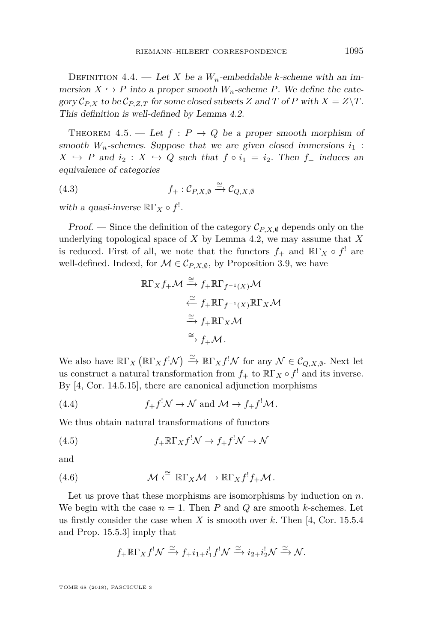DEFINITION 4.4. — Let *X* be a  $W_n$ -embeddable *k*-scheme with an immersion  $X \hookrightarrow P$  into a proper smooth  $W_n$ -scheme *P*. We define the category  $C_{P,X}$  to be  $C_{P,Z,T}$  for some closed subsets *Z* and *T* of *P* with  $X = Z \T$ . This definition is well-defined by Lemma [4.2.](#page-17-1)

<span id="page-19-2"></span>THEOREM 4.5. — Let  $f : P \to Q$  be a proper smooth morphism of smooth  $W_n$ -schemes. Suppose that we are given closed immersions  $i_1$ :  $X \rightarrow P$  and  $i_2 : X \rightarrow Q$  such that  $f \circ i_1 = i_2$ . Then  $f_+$  induces an equivalence of categories

(4.3) 
$$
f_+:\mathcal{C}_{P,X,\emptyset}\xrightarrow{\cong}\mathcal{C}_{Q,X,\emptyset}
$$

with a quasi-inverse  $\mathbb{R}\Gamma_X \circ f^!$ .

Proof. — Since the definition of the category  $\mathcal{C}_{P,X,\emptyset}$  depends only on the underlying topological space of *X* by Lemma [4.2,](#page-17-1) we may assume that *X* is reduced. First of all, we note that the functors  $f_+$  and  $\mathbb{R}\Gamma_X \circ f^!$  are well-defined. Indeed, for  $M \in \mathcal{C}_{P,X,\emptyset}$ , by Proposition [3.9,](#page-16-0) we have

$$
\mathbb{R}\Gamma_X f_+\mathcal{M} \xrightarrow{\cong} f_+\mathbb{R}\Gamma_{f^{-1}(X)}\mathcal{M}
$$
  

$$
\xleftarrow{\cong} f_+\mathbb{R}\Gamma_{f^{-1}(X)}\mathbb{R}\Gamma_X\mathcal{M}
$$
  

$$
\xrightarrow{\cong} f_+\mathbb{R}\Gamma_X\mathcal{M}
$$
  

$$
\xrightarrow{\cong} f_+\mathcal{M}.
$$

We also have  $\mathbb{R}\Gamma_X(\mathbb{R}\Gamma_X f^!\mathcal{N}) \stackrel{\cong}{\to} \mathbb{R}\Gamma_X f^!\mathcal{N}$  for any  $\mathcal{N} \in \mathcal{C}_{Q,X,\emptyset}$ . Next let us construct a natural transformation from  $f_+$  to  $\mathbb{R}\Gamma_X \circ f^!$  and its inverse. By [\[4,](#page-44-2) Cor. 14.5.15], there are canonical adjunction morphisms

(4.4) 
$$
f_+ f^! \mathcal{N} \to \mathcal{N}
$$
 and  $\mathcal{M} \to f_+ f^! \mathcal{M}$ .

We thus obtain natural transformations of functors

<span id="page-19-0"></span>(4.5) 
$$
f_{+}\mathbb{R}\Gamma_{X}f^{!}\mathcal{N}\to f_{+}f^{!}\mathcal{N}\to\mathcal{N}
$$

and

(4.6) 
$$
\mathcal{M} \stackrel{\cong}{\longleftarrow} \mathbb{R}\Gamma_X \mathcal{M} \to \mathbb{R}\Gamma_X f^! f_+ \mathcal{M}.
$$

Let us prove that these morphisms are isomorphisms by induction on *n*. We begin with the case  $n = 1$ . Then P and Q are smooth *k*-schemes. Let us firstly consider the case when *X* is smooth over *k*. Then [\[4,](#page-44-2) Cor. 15.5.4 and Prop. 15.5.3] imply that

<span id="page-19-1"></span>
$$
f_{+}\mathbb{R}\Gamma_{X}f^{!}\mathcal{N} \xrightarrow{\simeq} f_{+}i_{1+}i_{1}^{!}f^{!}\mathcal{N} \xrightarrow{\simeq} i_{2+}i_{2}^{!}\mathcal{N} \xrightarrow{\simeq} \mathcal{N}.
$$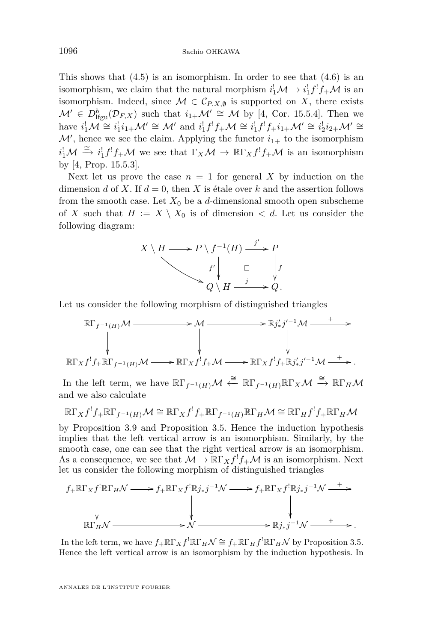This shows that  $(4.5)$  is an isomorphism. In order to see that  $(4.6)$  is an isomorphism, we claim that the natural morphism  $i_1^! \mathcal{M} \to i_1^! f^! f_+ \mathcal{M}$  is an isomorphism. Indeed, since  $\mathcal{M} \in \mathcal{C}_{P,X,\emptyset}$  is supported on *X*, there exists  $\mathcal{M}' \in D^b_{\text{lfgu}}(\mathcal{D}_{F,X})$  such that  $i_{1+} \mathcal{M}' \cong \mathcal{M}$  by [\[4,](#page-44-2) Cor. 15.5.4]. Then we have  $i_1^!\mathcal{M} \cong i_1^!i_{1+}\mathcal{M}' \cong \mathcal{M}'$  and  $i_1^!f^!f_+\mathcal{M} \cong i_1^!f^!f_+i_{1+}\mathcal{M}' \cong i_2^!i_{2+}\mathcal{M}' \cong$  $\mathcal{M}'$ , hence we see the claim. Applying the functor  $i_{1+}$  to the isomorphism  $i_1^{\dagger}M \stackrel{\cong}{\to} i_1^{\dagger}f^{\dagger}f+\mathcal{M}$  we see that  $\Gamma_X\mathcal{M} \to \mathbb{R}\Gamma_X f^{\dagger}f+\mathcal{M}$  is an isomorphism by [\[4,](#page-44-2) Prop. 15.5.3].

Next let us prove the case  $n = 1$  for general X by induction on the dimension *d* of *X*. If  $d = 0$ , then *X* is étale over *k* and the assertion follows from the smooth case. Let  $X_0$  be a *d*-dimensional smooth open subscheme of *X* such that  $H := X \setminus X_0$  is of dimension  $\lt d$ . Let us consider the following diagram:



Let us consider the following morphism of distinguished triangles

$$
\mathbb{R}\Gamma_{f^{-1}(H)}\mathcal{M} \longrightarrow \mathcal{M} \longrightarrow \mathbb{R}j'_{*}j'^{-1}\mathcal{M} \longrightarrow +
$$
  
\n
$$
\downarrow \qquad \qquad \downarrow \qquad \qquad \downarrow
$$
  
\n
$$
\mathbb{R}\Gamma_{X}f^{1}f_{+}\mathbb{R}\Gamma_{f^{-1}(H)}\mathcal{M} \longrightarrow \mathbb{R}\Gamma_{X}f^{1}f_{+}\mathcal{M} \longrightarrow \mathbb{R}\Gamma_{X}f^{1}f_{+}\mathbb{R}j'_{*}j'^{-1}\mathcal{M} \longrightarrow +
$$

In the left term, we have  $\mathbb{R}\Gamma_{f^{-1}(H)}\mathcal{M} \stackrel{\cong}{\leftarrow} \mathbb{R}\Gamma_{f^{-1}(H)}\mathbb{R}\Gamma_X\mathcal{M} \stackrel{\cong}{\rightarrow} \mathbb{R}\Gamma_H\mathcal{M}$ and we also calculate

$$
\mathbb{R}\Gamma_X f^! f_{+}\mathbb{R}\Gamma_{f^{-1}(H)}\mathcal{M}\cong \mathbb{R}\Gamma_X f^! f_{+}\mathbb{R}\Gamma_{f^{-1}(H)}\mathbb{R}\Gamma_H\mathcal{M}\cong \mathbb{R}\Gamma_H f^! f_{+}\mathbb{R}\Gamma_H\mathcal{M}
$$

by Proposition [3.9](#page-16-0) and Proposition [3.5.](#page-14-0) Hence the induction hypothesis implies that the left vertical arrow is an isomorphism. Similarly, by the smooth case, one can see that the right vertical arrow is an isomorphism. As a consequence, we see that  $\mathcal{M} \to \mathbb{R}\Gamma_X f^! f_+ \mathcal{M}$  is an isomorphism. Next let us consider the following morphism of distinguished triangles



In the left term, we have  $f_{+}\R\Gamma_{X}f' \R\Gamma_{H}\mathcal{N} \cong f_{+}\R\Gamma_{H}f' \R\Gamma_{H}\mathcal{N}$  by Proposition [3.5.](#page-14-0) Hence the left vertical arrow is an isomorphism by the induction hypothesis. In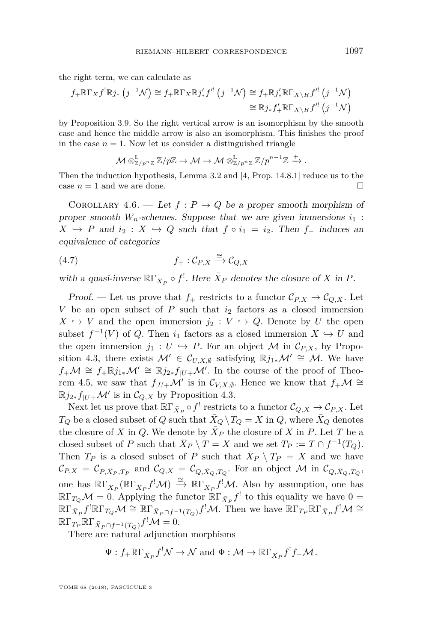the right term, we can calculate as

$$
f_{+}\mathbb{R}\Gamma_{X}f^{!}\mathbb{R}j_{*}\left(j^{-1}\mathcal{N}\right)\cong f_{+}\mathbb{R}\Gamma_{X}\mathbb{R}j'_{*}f^{'}\left(j^{-1}\mathcal{N}\right)\cong f_{+}\mathbb{R}j'_{*}\mathbb{R}\Gamma_{X\setminus H}f^{'}\left(j^{-1}\mathcal{N}\right)
$$

$$
\cong \mathbb{R}j_{*}f'_{+}\mathbb{R}\Gamma_{X\setminus H}f^{'}\left(j^{-1}\mathcal{N}\right)
$$

by Proposition [3.9.](#page-16-0) So the right vertical arrow is an isomorphism by the smooth case and hence the middle arrow is also an isomorphism. This finishes the proof in the case  $n = 1$ . Now let us consider a distinguished triangle

$$
\mathcal{M} \otimes_{\mathbb{Z}/p^n\mathbb{Z}}^{\mathbb{L}} \mathbb{Z}/p\mathbb{Z} \rightarrow \mathcal{M} \rightarrow \mathcal{M} \otimes_{\mathbb{Z}/p^n\mathbb{Z}}^{\mathbb{L}} \mathbb{Z}/p^{n-1}\mathbb{Z} \xrightarrow{+}.
$$

Then the induction hypothesis, Lemma [3.2](#page-12-6) and [\[4,](#page-44-2) Prop. 14.8.1] reduce us to the case  $n = 1$  and we are done.

<span id="page-21-0"></span>COROLLARY 4.6. — Let  $f: P \to Q$  be a proper smooth morphism of proper smooth  $W_n$ -schemes. Suppose that we are given immersions  $i_1$ :  $X \rightarrow P$  and  $i_2 : X \rightarrow Q$  such that  $f \circ i_1 = i_2$ . Then  $f_+$  induces an equivalence of categories

$$
(4.7) \t\t f_{+}: \mathcal{C}_{P,X} \xrightarrow{\cong} \mathcal{C}_{Q,X}
$$

with a quasi-inverse  $\mathbb{R}\Gamma_{\bar{X}_P} \circ f^!$ . Here  $\bar{X}_P$  denotes the closure of *X* in *P*.

Proof. — Let us prove that  $f_+$  restricts to a functor  $C_{P,X} \to C_{Q,X}$ . Let *V* be an open subset of *P* such that  $i_2$  factors as a closed immersion  $X \hookrightarrow V$  and the open immersion  $j_2 : V \hookrightarrow Q$ . Denote by *U* the open subset  $f^{-1}(V)$  of *Q*. Then  $i_1$  factors as a closed immersion  $X \hookrightarrow U$  and the open immersion  $j_1 : U \hookrightarrow P$ . For an object M in  $\mathcal{C}_{P,X}$ , by Propo-sition [4.3,](#page-18-1) there exists  $\mathcal{M}' \in \mathcal{C}_{U,X,\emptyset}$  satisfying  $\mathbb{R}j_{1*}\mathcal{M}' \cong \mathcal{M}$ . We have  $f_+ \mathcal{M} \cong f_+ \mathbb{R} j_{1*} \mathcal{M}' \cong \mathbb{R} j_{2*} f_{|U+} \mathcal{M}'$ . In the course of the proof of Theo-rem [4.5,](#page-19-2) we saw that  $f_{|U+} \mathcal{M}'$  is in  $\mathcal{C}_{V,X,\emptyset}$ . Hence we know that  $f_{+} \mathcal{M} \cong$  $\mathbb{R} j_{2*} f_{|U+} \mathcal{M}'$  is in  $\mathcal{C}_{Q,X}$  by Proposition [4.3.](#page-18-1)

Next let us prove that  $\mathbb{R}\Gamma_{\bar{X}_P}\circ f^!$  restricts to a functor  $\mathcal{C}_{Q,X}\to \mathcal{C}_{P,X}$ . Let  $T_Q$  be a closed subset of *Q* such that  $\bar{X}_Q \setminus T_Q = X$  in *Q*, where  $\bar{X}_Q$  denotes the closure of *X* in *Q*. We denote by  $\bar{X}_P$  the closure of *X* in *P*. Let *T* be a closed subset of *P* such that  $\overline{X}_P \setminus T = X$  and we set  $T_P := T \cap f^{-1}(T_Q)$ . Then  $T_P$  is a closed subset of *P* such that  $\bar{X}_P \setminus T_P = X$  and we have  $\mathcal{C}_{P,X} = \mathcal{C}_{P,\bar{X}_P,T_P}$  and  $\mathcal{C}_{Q,X} = \mathcal{C}_{Q,\bar{X}_Q,T_Q}$ . For an object  $\mathcal M$  in  $\mathcal{C}_{Q,\bar{X}_Q,T_Q}$ , one has  $\mathbb{R}\Gamma_{\bar{X}_P}(\mathbb{R}\Gamma_{\bar{X}_P}f^!\mathcal{M}) \stackrel{\cong}{\to} \mathbb{R}\Gamma_{\bar{X}_P}f^!\mathcal{M}$ . Also by assumption, one has  $\mathbb{R}\Gamma_{T_Q}\mathcal{M}=0.$  Applying the functor  $\mathbb{R}\Gamma_{\bar{X}_P}f^!$  to this equality we have  $0=$  $\mathbb{R}\Gamma_{\bar{X}_P}f^!\mathbb{R}\Gamma_{T_Q}\mathcal{M} \cong \mathbb{R}\Gamma_{\bar{X}_P\cap f^{-1}(T_Q)}f^!\mathcal{M}.$  Then we have  $\mathbb{R}\Gamma_{T_P}\mathbb{R}\Gamma_{\bar{X}_P}f^!\mathcal{M} \cong$  $\mathbb{R}\Gamma_{T_P}\mathbb{R}\Gamma_{\bar{X}_P\cap f^{-1}(T_Q)}f^{!}\mathcal{M}=0.$ 

There are natural adjunction morphisms

$$
\Psi: f_{+} \mathbb{R} \Gamma_{\bar{X}_{P}} f^{!} \mathcal{N} \to \mathcal{N}
$$
 and  $\Phi: \mathcal{M} \to \mathbb{R} \Gamma_{\bar{X}_{P}} f^{!} f_{+} \mathcal{M}.$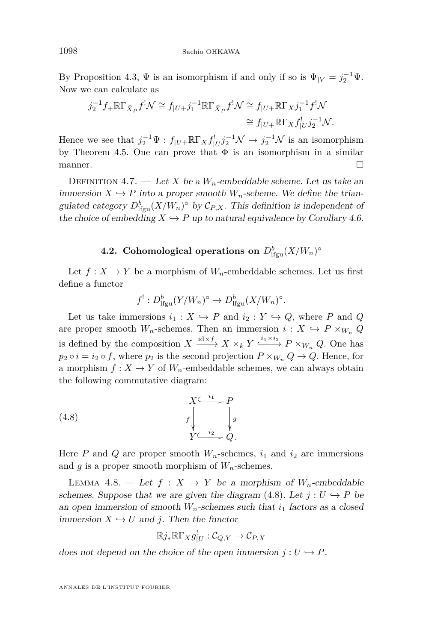By Proposition [4.3,](#page-18-1)  $\Psi$  is an isomorphism if and only if so is  $\Psi_{|V} = j_2^{-1} \Psi$ . Now we can calculate as

$$
j_2^{-1} f_+ \mathbb{R} \Gamma_{\bar{X}_P} f^! \mathcal{N} \cong f_{|U+} j_1^{-1} \mathbb{R} \Gamma_{\bar{X}_P} f^! \mathcal{N} \cong f_{|U+} \mathbb{R} \Gamma_X j_1^{-1} f^! \mathcal{N}
$$
  

$$
\cong f_{|U+} \mathbb{R} \Gamma_X f_{|U}^! j_2^{-1} \mathcal{N}.
$$

Hence we see that  $j_2^{-1}\Psi : f_{|U^+}\R\Gamma_X f_{|U}^! j_2^{-1}\mathcal{N} \to j_2^{-1}\mathcal{N}$  is an isomorphism by Theorem [4.5.](#page-19-2) One can prove that  $\Phi$  is an isomorphism in a similar manner.

DEFINITION 4.7. — Let *X* be a  $W_n$ -embeddable scheme. Let us take an immersion  $X \hookrightarrow P$  into a proper smooth  $W_n$ -scheme. We define the triangulated category  $D_{\text{lfgu}}^b(X/W_n)^\circ$  by  $\mathcal{C}_{P,X}$ . This definition is independent of the choice of embedding  $X \hookrightarrow P$  up to natural equivalence by Corollary [4.6.](#page-21-0)

## **4.2.** Cohomological operations on  $D_{\text{lfgu}}^b(X/W_n)^\circ$

<span id="page-22-0"></span>Let  $f: X \to Y$  be a morphism of  $W_n$ -embeddable schemes. Let us first define a functor

<span id="page-22-1"></span>
$$
f^{!}: D^{b}_{\mathrm{lfgu}}(Y/W_{n})^{\circ} \to D^{b}_{\mathrm{lfgu}}(X/W_{n})^{\circ}.
$$

Let us take immersions  $i_1 : X \hookrightarrow P$  and  $i_2 : Y \hookrightarrow Q$ , where P and Q are proper smooth  $W_n$ -schemes. Then an immersion  $i: X \hookrightarrow P \times_{W_n} Q$ is defined by the composition  $X \xrightarrow{\mathrm{id} \times f} X \times_k Y \xrightarrow{\mathrm{i}_1 \times \mathrm{i}_2} P \times_{W_n} Q$ . One has  $p_2 \circ i = i_2 \circ f$ , where  $p_2$  is the second projection  $P \times_{W_n} Q \to Q$ . Hence, for a morphism  $f: X \to Y$  of  $W_n$ -embeddable schemes, we can always obtain the following commutative diagram:

(4.8) 
$$
X \xrightarrow{t_1} P
$$
\n
$$
f \downarrow g
$$
\n
$$
Y \xrightarrow{i_2} Q.
$$

Here *P* and *Q* are proper smooth  $W_n$ -schemes,  $i_1$  and  $i_2$  are immersions and  $g$  is a proper smooth morphism of  $W_n$ -schemes.

<span id="page-22-2"></span>LEMMA 4.8. — Let  $f: X \rightarrow Y$  be a morphism of  $W_n$ -embeddable schemes. Suppose that we are given the diagram [\(4.8\)](#page-22-1). Let  $j: U \hookrightarrow P$  be an open immersion of smooth  $W_n$ -schemes such that  $i_1$  factors as a closed immersion  $X \hookrightarrow U$  and *j*. Then the functor

$$
\mathbb{R}j_*\mathbb{R}\Gamma_Xg^!_{|U}:\mathcal{C}_{Q,Y}\to\mathcal{C}_{P,X}
$$

does not depend on the choice of the open immersion  $j: U \hookrightarrow P$ .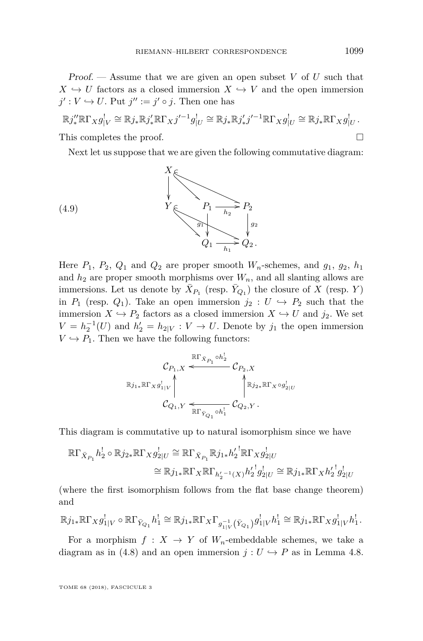Proof. — Assume that we are given an open subset *V* of *U* such that  $X \hookrightarrow U$  factors as a closed immersion  $X \hookrightarrow V$  and the open immersion  $j': V \hookrightarrow U$ . Put  $j'':= j' \circ j$ . Then one has

$$
\mathbb{R}j''_*\mathbb{R}\Gamma_Xg^!_{|V}\cong\mathbb{R}j_*\mathbb{R}j'_*\mathbb{R}\Gamma_Xj'^{-1}g^!_{|U}\cong\mathbb{R}j_*\mathbb{R}j'_*j'^{-1}\mathbb{R}\Gamma_Xg^!_{|U}\cong\mathbb{R}j_*\mathbb{R}\Gamma_Xg^!_{|U}.
$$
  
This completes the proof.

<span id="page-23-0"></span>Next let us suppose that we are given the following commutative diagram:

(4.9)  

$$
Y \xrightarrow{\begin{array}{c} P_1 \longrightarrow P_2 \\ \hline h_2 \end{array}} P_2
$$

$$
Q_1 \xrightarrow{\begin{array}{c} p_2 \\ \hline h_1 \end{array}} Q_2.
$$

Here  $P_1$ ,  $P_2$ ,  $Q_1$  and  $Q_2$  are proper smooth  $W_n$ -schemes, and  $q_1$ ,  $q_2$ ,  $h_1$ and  $h_2$  are proper smooth morphisms over  $W_n$ , and all slanting allows are immersions. Let us denote by  $\bar{X}_{P_1}$  (resp.  $\bar{Y}_{Q_1}$ ) the closure of *X* (resp. *Y*) in  $P_1$  (resp.  $Q_1$ ). Take an open immersion  $j_2 : U \hookrightarrow P_2$  such that the immersion  $X \hookrightarrow P_2$  factors as a closed immersion  $X \hookrightarrow U$  and  $j_2$ . We set  $V = h_2^{-1}(U)$  and  $h'_2 = h_{2|V} : V \to U$ . Denote by  $j_1$  the open immersion  $V \hookrightarrow P_1$ . Then we have the following functors:

$$
\mathcal{C}_{P_1,X} \xleftarrow{\mathbb{R}\Gamma_{\bar{X}_{P_1}} \circ h_2^!} \mathcal{C}_{P_2,X}
$$
  
\n
$$
\mathbb{R}j_{1*}\mathbb{R}\Gamma_X g_{1|V}^! \qquad \qquad \uparrow \qquad \qquad \uparrow \qquad \qquad \uparrow \qquad \qquad \uparrow \qquad \qquad \uparrow \qquad \qquad \downarrow \qquad \qquad \downarrow \qquad \qquad \downarrow \qquad \qquad \downarrow \qquad \qquad \downarrow \qquad \qquad \downarrow \qquad \qquad \downarrow \qquad \qquad \downarrow \qquad \qquad \downarrow \qquad \qquad \downarrow \qquad \qquad \downarrow \qquad \qquad \downarrow \qquad \qquad \downarrow \qquad \qquad \downarrow \qquad \qquad \downarrow \qquad \qquad \downarrow \qquad \qquad \downarrow \qquad \qquad \downarrow \qquad \qquad \downarrow \qquad \qquad \downarrow \qquad \qquad \downarrow \qquad \qquad \downarrow \qquad \qquad \downarrow \qquad \qquad \downarrow \qquad \qquad \downarrow \qquad \qquad \downarrow \qquad \qquad \downarrow \qquad \qquad \downarrow \qquad \qquad \downarrow \qquad \qquad \downarrow \qquad \qquad \downarrow \qquad \qquad \downarrow \qquad \qquad \downarrow \qquad \qquad \downarrow \qquad \qquad \downarrow \qquad \qquad \downarrow \qquad \qquad \downarrow \qquad \qquad \downarrow \qquad \qquad \downarrow \qquad \qquad \downarrow \qquad \qquad \downarrow \qquad \qquad \downarrow \qquad \qquad \downarrow \qquad \qquad \downarrow \qquad \qquad \downarrow \qquad \qquad \downarrow \qquad \qquad \downarrow \qquad \qquad \downarrow \qquad \qquad \downarrow \qquad \qquad \downarrow \qquad \qquad \downarrow \qquad \qquad \downarrow \qquad \qquad \downarrow \qquad \qquad \downarrow \qquad \qquad \downarrow \qquad \qquad \downarrow \qquad \qquad \downarrow \qquad \qquad \downarrow \qquad \qquad \downarrow \qquad \qquad \downarrow \qquad \qquad \downarrow \qquad \qquad \downarrow \qquad \qquad \downarrow \qquad \qquad \downarrow \qquad \qquad \downarrow \qquad \qquad \downarrow \qquad \downarrow \qquad \qquad \downarrow \qquad \qquad \downarrow \qquad \qquad \downarrow \
$$

This diagram is commutative up to natural isomorphism since we have

$$
\mathbb{R}\Gamma_{\bar{X}_{P_1}}h_2^! \circ \mathbb{R}j_{2*}\mathbb{R}\Gamma_X g_{2|U}^! \cong \mathbb{R}\Gamma_{\bar{X}_{P_1}}\mathbb{R}j_{1*}h_2'^! \mathbb{R}\Gamma_X g_{2|U}^! \cong \mathbb{R}j_{1*}\mathbb{R}\Gamma_X\mathbb{R}\Gamma_{h_2'^{-1}(X)}h_2'^!g_{2|U}^! \cong \mathbb{R}j_{1*}\mathbb{R}\Gamma_X h_2'^!g_{2|U}^!
$$

(where the first isomorphism follows from the flat base change theorem) and

$$
\mathbb{R}j_{1*}\mathbb{R}\Gamma_Xg_{1|V}^! \circ \mathbb{R}\Gamma_{\bar{Y}_{Q_1}}h_1^! \cong \mathbb{R}j_{1*}\mathbb{R}\Gamma_X\Gamma_{g_{1|V}^{-1}}(\bar{Y}_{Q_1})g_{1|V}^!h_1^! \cong \mathbb{R}j_{1*}\mathbb{R}\Gamma_Xg_{1|V}^!h_1^!.
$$

For a morphism  $f: X \to Y$  of  $W_n$ -embeddable schemes, we take a diagram as in [\(4.8\)](#page-22-1) and an open immersion  $j: U \hookrightarrow P$  as in Lemma [4.8.](#page-22-2)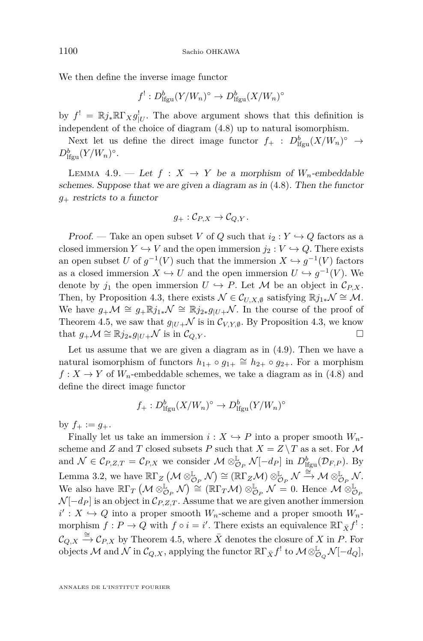We then define the inverse image functor

$$
f^!: D^b_{\text{lfgu}}(Y/W_n)^\circ \to D^b_{\text{lfgu}}(X/W_n)^\circ
$$

by  $f' = \mathbb{R} j_* \mathbb{R} \Gamma_X g'_{|U}$ . The above argument shows that this definition is independent of the choice of diagram [\(4.8\)](#page-22-1) up to natural isomorphism.

Next let us define the direct image functor  $f_+$  :  $D^b_{\text{lfgu}}(X/W_n)^\circ \to$  $D^b_{\text{lfgu}}(Y/W_n)^\circ$ .

LEMMA 4.9. — Let  $f: X \rightarrow Y$  be a morphism of  $W_n$ -embeddable schemes. Suppose that we are given a diagram as in [\(4.8\)](#page-22-1). Then the functor *g*<sup>+</sup> restricts to a functor

$$
g_+:\mathcal{C}_{P,X}\to\mathcal{C}_{Q,Y}.
$$

Proof. — Take an open subset *V* of *Q* such that  $i_2 : Y \hookrightarrow Q$  factors as a closed immersion  $Y \hookrightarrow V$  and the open immersion  $j_2 : V \hookrightarrow Q$ . There exists an open subset *U* of  $g^{-1}(V)$  such that the immersion  $X \hookrightarrow g^{-1}(V)$  factors as a closed immersion  $X \hookrightarrow U$  and the open immersion  $U \hookrightarrow g^{-1}(V)$ . We denote by  $j_1$  the open immersion  $U \hookrightarrow P$ . Let M be an object in  $\mathcal{C}_{P,X}$ . Then, by Proposition [4.3,](#page-18-1) there exists  $\mathcal{N} \in \mathcal{C}_{U,X,\emptyset}$  satisfying  $\mathbb{R}j_{1*}\mathcal{N} \cong \mathcal{M}$ . We have  $g_{+}\mathcal{M} \cong g_{+}\mathbb{R}j_{1*}\mathcal{N} \cong \mathbb{R}j_{2*}g_{|U+}\mathcal{N}$ . In the course of the proof of Theorem [4.5,](#page-19-2) we saw that  $g_{|U+}$  is in  $\mathcal{C}_{V,Y,\emptyset}$ . By Proposition [4.3,](#page-18-1) we know that  $g_+ \mathcal{M} \cong \mathbb{R} j_{2*} g_{|U+} \mathcal{N}$  is in  $\mathcal{C}_{Q,Y}$ . □

Let us assume that we are given a diagram as in [\(4.9\)](#page-23-0). Then we have a natural isomorphism of functors  $h_{1+} \circ g_{1+} \cong h_{2+} \circ g_{2+}$ . For a morphism  $f: X \to Y$  of  $W_n$ -embeddable schemes, we take a diagram as in [\(4.8\)](#page-22-1) and define the direct image functor

$$
f_+ : D^b_{\text{lfgu}}(X/W_n)^\circ \to D^b_{\text{lfgu}}(Y/W_n)^\circ
$$

by  $f_+ := g_+$ .

Finally let us take an immersion  $i: X \hookrightarrow P$  into a proper smooth  $W_n$ scheme and *Z* and *T* closed subsets *P* such that  $X = Z \setminus T$  as a set. For M and  $\mathcal{N} \in \mathcal{C}_{P,Z,T} = \mathcal{C}_{P,X}$  we consider  $\mathcal{M} \otimes_{\mathcal{O}_P}^{\mathbb{L}} \mathcal{N}[-d_P]$  in  $D_{\text{lfgu}}^b(\mathcal{D}_{F,P})$ . By Lemma [3.2,](#page-12-6) we have  $\mathbb{R}\Gamma_Z \left( \mathcal{M} \otimes_{\mathcal{O}_P}^{\mathbb{L}} \mathcal{N} \right) \cong (\mathbb{R}\Gamma_Z \mathcal{M}) \otimes_{\mathcal{O}_P}^{\mathbb{L}} \mathcal{N} \stackrel{\cong}{\to} \mathcal{M} \otimes_{\mathcal{O}_P}^{\mathbb{L}} \mathcal{N}.$ We also have  $\mathbb{R}\Gamma_T \left( \mathcal{M} \otimes_{\mathcal{O}_P}^{\mathbb{L}} \mathcal{N} \right) \cong (\mathbb{R}\Gamma_T \mathcal{M}) \otimes_{\mathcal{O}_P}^{\mathbb{L}} \mathcal{N} = 0$ . Hence  $\mathcal{M} \otimes_{\mathcal{O}_P}^{\mathbb{L}}$  $\mathcal{N}[-d_P]$  is an object in  $\mathcal{C}_{P,Z,T}$ . Assume that we are given another immersion  $i': X \hookrightarrow Q$  into a proper smooth  $W_n$ -scheme and a proper smooth  $W_n$ morphism  $f: P \to Q$  with  $f \circ i = i'$ . There exists an equivalence  $\mathbb{R} \Gamma_{\bar{X}} f^!$ :  $\mathcal{C}_{Q,X} \stackrel{\cong}{\to} \mathcal{C}_{P,X}$  by Theorem [4.5,](#page-19-2) where  $\overline{X}$  denotes the closure of *X* in *P*. For  $\alpha$  objects M and N in  $\mathcal{C}_{Q,X}$ , applying the functor  $\mathbb{R}\Gamma_{\bar{X}}f^!$  to  $\mathcal{M}\otimes^{\mathbb{L}}_{\mathcal{O}_Q}\mathcal{N}[-d_Q],$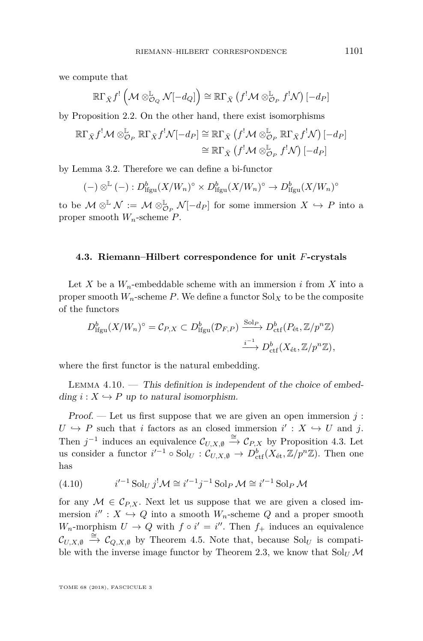we compute that

$$
\mathbb{R}\Gamma_{\bar{X}}f^{!}\left(\mathcal{M}\otimes^{\mathbb{L}}_{\mathcal{O}_{Q}}\mathcal{N}[-d_{Q}]\right)\cong\mathbb{R}\Gamma_{\bar{X}}\left(f^{!}\mathcal{M}\otimes^{\mathbb{L}}_{\mathcal{O}_{P}}f^{!}\mathcal{N}\right)[-d_{P}]
$$

by Proposition [2.2.](#page-9-0) On the other hand, there exist isomorphisms

$$
\mathbb{R}\Gamma_{\bar{X}}f^{!}\mathcal{M}\otimes^{\mathbb{L}}_{\mathcal{O}_{P}}\mathbb{R}\Gamma_{\bar{X}}f^{!}\mathcal{N}[-d_{P}] \cong \mathbb{R}\Gamma_{\bar{X}}\left(f^{!}\mathcal{M}\otimes^{\mathbb{L}}_{\mathcal{O}_{P}}\mathbb{R}\Gamma_{\bar{X}}f^{!}\mathcal{N}\right)[-d_{P}]
$$

$$
\cong \mathbb{R}\Gamma_{\bar{X}}\left(f^{!}\mathcal{M}\otimes^{\mathbb{L}}_{\mathcal{O}_{P}}f^{!}\mathcal{N}\right)[-d_{P}]
$$

by Lemma [3.2.](#page-12-6) Therefore we can define a bi-functor

$$
(-) \otimes^{\mathbb{L}} (-) : D^b_{\mathrm{lfgu}}(X/W_n)^{\circ} \times D^b_{\mathrm{lfgu}}(X/W_n)^{\circ} \to D^b_{\mathrm{lfgu}}(X/W_n)^{\circ}
$$

to be  $\mathcal{M} \otimes^{\mathbb{L}} \mathcal{N} := \mathcal{M} \otimes_{\mathcal{O}_P}^{\mathbb{L}} \mathcal{N}[-d_P]$  for some immersion  $X \hookrightarrow P$  into a proper smooth *Wn*-scheme *P*.

#### <span id="page-25-0"></span>**4.3. Riemann–Hilbert correspondence for unit** *F***-crystals**

Let *X* be a  $W_n$ -embeddable scheme with an immersion *i* from *X* into a proper smooth  $W_n$ -scheme  $P$ . We define a functor  $Sol<sub>X</sub>$  to be the composite of the functors

$$
D_{\text{lfgu}}^b(X/W_n)^\circ = \mathcal{C}_{P,X} \subset D_{\text{lfgu}}^b(\mathcal{D}_{F,P}) \xrightarrow{\text{Sol}_P} D_{\text{ctf}}^b(P_{\text{\'et}},\mathbb{Z}/p^n\mathbb{Z})
$$

$$
\xrightarrow{i^{-1}} D_{\text{ctf}}^b(X_{\text{\'et}},\mathbb{Z}/p^n\mathbb{Z}),
$$

where the first functor is the natural embedding.

<span id="page-25-1"></span>LEMMA  $4.10.$  — This definition is independent of the choice of embedding  $i: X \hookrightarrow P$  up to natural isomorphism.

Proof. — Let us first suppose that we are given an open immersion  $j$ :  $U \hookrightarrow P$  such that *i* factors as an closed immersion  $i' : X \hookrightarrow U$  and *j*. Then  $j^{-1}$  induces an equivalence  $\mathcal{C}_{U,X,\emptyset} \stackrel{\cong}{\to} \mathcal{C}_{P,X}$  by Proposition [4.3.](#page-18-1) Let us consider a functor  $i'^{-1} \circ Sol_{U} : \mathcal{C}_{U,X,\emptyset} \to D^b_{\text{ctf}}(X_{\text{\'et}}, \mathbb{Z}/p^n\mathbb{Z})$ . Then one has

<span id="page-25-2"></span>(4.10) 
$$
i'^{-1} \text{ Sol}_U j^! \mathcal{M} \cong i'^{-1} j^{-1} \text{ Sol}_P \mathcal{M} \cong i'^{-1} \text{ Sol}_P \mathcal{M}
$$

for any  $M \in \mathcal{C}_{P,X}$ . Next let us suppose that we are given a closed immersion  $i'' : X \hookrightarrow Q$  into a smooth  $W_n$ -scheme  $Q$  and a proper smooth *W<sub>n</sub>*-morphism  $U \rightarrow Q$  with  $f \circ i' = i''$ . Then  $f_+$  induces an equivalence  $\mathcal{C}_{U,X,\emptyset} \stackrel{\simeq}{\to} \mathcal{C}_{Q,X,\emptyset}$  by Theorem [4.5.](#page-19-2) Note that, because  $Sol_U$  is compati-ble with the inverse image functor by Theorem [2.3,](#page-10-0) we know that  $\text{Sol}_U \mathcal{M}$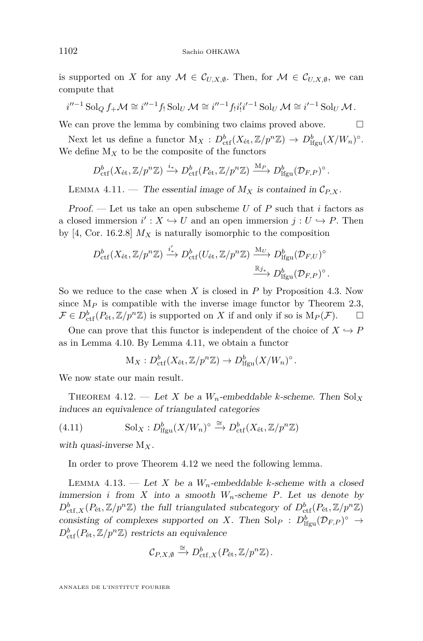is supported on *X* for any  $M \in \mathcal{C}_{U,X,\emptyset}$ . Then, for  $M \in \mathcal{C}_{U,X,\emptyset}$ , we can compute that

$$
i''^{-1} \operatorname{Sol}_Q f_+ \mathcal{M} \cong i''^{-1} f_! \operatorname{Sol}_U \mathcal{M} \cong i''^{-1} f_! i'_! i'^{-1} \operatorname{Sol}_U \mathcal{M} \cong i'^{-1} \operatorname{Sol}_U \mathcal{M}.
$$

We can prove the lemma by combining two claims proved above.  $\Box$ 

Next let us define a functor  $M_X: D^b_{\text{ctf}}(X_{\text{\'et}}, \mathbb{Z}/p^n\mathbb{Z}) \to D^b_{\text{lfgu}}(X/W_n)^\circ$ . We define  $M_X$  to be the composite of the functors

$$
D^b_{\mathrm{ctf}}(X_{\mathrm{\acute{e}t}},\mathbb{Z}/p^n\mathbb{Z}) \xrightarrow{i_*} D^b_{\mathrm{ctf}}(P_{\mathrm{\acute{e}t}},\mathbb{Z}/p^n\mathbb{Z}) \xrightarrow{\mathrm{M}_P} D^b_{\mathrm{lfgu}}(\mathcal{D}_{F,P})^\circ.
$$

<span id="page-26-1"></span>LEMMA 4.11. — The essential image of  $M_X$  is contained in  $\mathcal{C}_{P,X}$ .

Proof. — Let us take an open subscheme *U* of *P* such that *i* factors as a closed immersion  $i' : X \hookrightarrow U$  and an open immersion  $j : U \hookrightarrow P$ . Then by [\[4,](#page-44-2) Cor. 16.2.8]  $M_X$  is naturally isomorphic to the composition

$$
D_{\mathrm{ctf}}^{b}(X_{\mathrm{\acute{e}t}},\mathbb{Z}/p^{n}\mathbb{Z}) \xrightarrow{i'_{*}} D_{\mathrm{ctf}}^{b}(U_{\mathrm{\acute{e}t}},\mathbb{Z}/p^{n}\mathbb{Z}) \xrightarrow{\mathrm{M}_{U}} D_{\mathrm{lfgu}}^{b}(\mathcal{D}_{F,U})^{\circ} \xrightarrow{\mathbb{R}_{j_{*}}} D_{\mathrm{lfgu}}^{b}(\mathcal{D}_{F,U})^{\circ}.
$$

So we reduce to the case when *X* is closed in *P* by Proposition [4.3.](#page-18-1) Now since  $M_P$  is compatible with the inverse image functor by Theorem [2.3,](#page-10-0)  $\mathcal{F} \in D^b_{\text{ctf}}(P_{\text{\'et}}, \mathbb{Z}/p^n\mathbb{Z})$  is supported on *X* if and only if so is  $M_P(\mathcal{F})$ .  $\Box$ 

One can prove that this functor is independent of the choice of  $X \hookrightarrow P$ as in Lemma [4.10.](#page-25-1) By Lemma [4.11,](#page-26-1) we obtain a functor

$$
\mathcal{M}_X: D^b_{\mathrm{ctf}}(X_{\mathrm{\acute{e}t}}, \mathbb{Z}/p^n\mathbb{Z}) \to D^b_{\mathrm{lfgu}}(X/W_n)^\circ.
$$

We now state our main result.

<span id="page-26-0"></span>THEOREM 4.12. — Let *X* be a  $W_n$ -embeddable *k*-scheme. Then  $Sol_X$ induces an equivalence of triangulated categories

(4.11) 
$$
\text{Sol}_X: D^b_{\text{lfgu}}(X/W_n)^\circ \xrightarrow{\cong} D^b_{\text{ctf}}(X_{\text{\'et}}, \mathbb{Z}/p^n\mathbb{Z})
$$

with quasi-inverse M*X*.

In order to prove Theorem [4.12](#page-26-0) we need the following lemma.

<span id="page-26-2"></span>LEMMA 4.13. — Let X be a  $W_n$ -embeddable *k*-scheme with a closed immersion *i* from *X* into a smooth  $W_n$ -scheme *P*. Let us denote by  $D^b_{\text{ctf},X}(P_{\text{\'{e}t}}, \mathbb{Z}/p^n\mathbb{Z})$  the full triangulated subcategory of  $D^b_{\text{ctf}}(P_{\text{\'{e}t}}, \mathbb{Z}/p^n\mathbb{Z})$ consisting of complexes supported on *X*. Then  $Sol_P : D^b_{\text{lfgu}}(\mathcal{D}_{F,P})^{\circ} \to$  $D_{\text{ctf}}^{b}(P_{\text{\'et}}, \mathbb{Z}/p^n\mathbb{Z})$  restricts an equivalence

$$
\mathcal{C}_{P,X,\emptyset}\xrightarrow{\cong} D^b_{{\mathrm{ctf}},X}(P_{\mathrm{\acute{e}t}},\mathbb{Z}/p^n\mathbb{Z}).
$$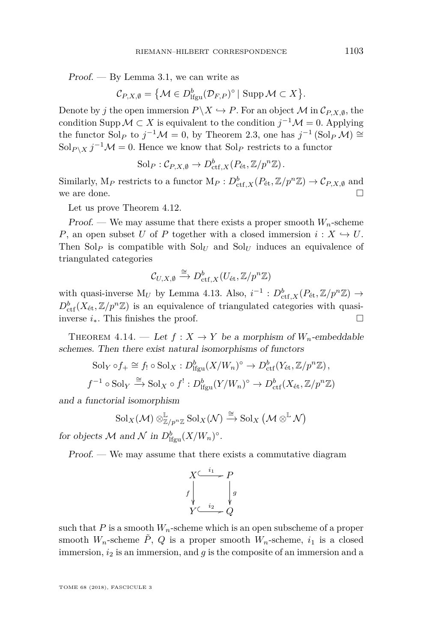$Proof. - By Lemma 3.1, we can write as$  $Proof. - By Lemma 3.1, we can write as$  $Proof. - By Lemma 3.1, we can write as$ 

$$
\mathcal{C}_{P,X,\emptyset} = \{ \mathcal{M} \in D^b_{\text{lfgu}}(\mathcal{D}_{F,P})^\circ \mid \text{Supp}\,\mathcal{M} \subset X \}.
$$

Denote by *j* the open immersion  $P \backslash X \hookrightarrow P$ . For an object M in  $\mathcal{C}_{P,X,\emptyset}$ , the condition Supp  $\mathcal{M} \subset X$  is equivalent to the condition  $j^{-1}\mathcal{M} = 0$ . Applying the functor Sol<sub>*P*</sub> to  $j^{-1}M = 0$ , by Theorem [2.3,](#page-10-0) one has  $j^{-1}(\text{Sol}_P M) \cong$  $\text{Sol}_{P \setminus X} j^{-1} \mathcal{M} = 0$ . Hence we know that  $\text{Sol}_P$  restricts to a functor

$$
Sol_P: \mathcal{C}_{P,X,\emptyset} \to D^b_{\mathrm{ctf},X}(P_{\mathrm{\acute{e}t}}, \mathbb{Z}/p^n\mathbb{Z}).
$$

Similarly,  $M_P$  restricts to a functor  $M_P: D^b_{\text{ctf},X}(P_{\text{\'et}}, \mathbb{Z}/p^n\mathbb{Z}) \to \mathcal{C}_{P,X,\emptyset}$  and we are done.

Let us prove Theorem [4.12.](#page-26-0)

Proof. — We may assume that there exists a proper smooth  $W_n$ -scheme *P*, an open subset *U* of *P* together with a closed immersion  $i: X \hookrightarrow U$ . Then  $\text{Sol}_P$  is compatible with  $\text{Sol}_U$  and  $\text{Sol}_U$  induces an equivalence of triangulated categories

$$
\mathcal{C}_{U,X,\emptyset}\xrightarrow{\cong} D^b_{{\mathrm{ctf}},X}(U_{\mathrm{\acute{e}t}},\mathbb{Z}/p^n\mathbb{Z})
$$

with quasi-inverse  $M_U$  by Lemma [4.13.](#page-26-2) Also,  $i^{-1}$ :  $D_{\text{ctf},X}^b(P_{\text{\'et}}, \mathbb{Z}/p^n\mathbb{Z}) \rightarrow$  $D_{\text{ctf}}^{b}(X_{\text{\'et}},\mathbb{Z}/p^n\mathbb{Z})$  is an equivalence of triangulated categories with quasiinverse *i*∗. This finishes the proof.

<span id="page-27-0"></span>THEOREM 4.14. — Let  $f: X \to Y$  be a morphism of  $W_n$ -embeddable schemes. Then there exist natural isomorphisms of functors

$$
Sol_Y \circ f_+ \cong f_! \circ Sol_X : D^b_{\text{Ifgu}}(X/W_n)^\circ \to D^b_{\text{ctf}}(Y_{\text{\'et}}, \mathbb{Z}/p^n\mathbb{Z}),
$$
  

$$
f^{-1} \circ Sol_Y \xrightarrow{\cong} Sol_X \circ f^!: D^b_{\text{Ifgu}}(Y/W_n)^\circ \to D^b_{\text{ctf}}(X_{\text{\'et}}, \mathbb{Z}/p^n\mathbb{Z})
$$

and a functorial isomorphism

$$
\mathrm{Sol}_X(\mathcal{M}) \otimes_{\mathbb{Z}/p^n\mathbb{Z}}^{\mathbb{L}} \mathrm{Sol}_X(\mathcal{N}) \xrightarrow{\cong} \mathrm{Sol}_X \left(\mathcal{M} \otimes^{\mathbb{L}} \mathcal{N}\right)
$$

for objects M and N in  $D^b_{\text{lfgu}}(X/W_n)^\circ$ .

Proof. — We may assume that there exists a commutative diagram

$$
\begin{array}{ccc}\nX^{\underset{i}{\underbrace{\leftarrow i_{1}}}} & P \\
f \downarrow & & \downarrow g \\
Y^{\underset{i_{2}}{\underbrace{\leftarrow i_{2}}}} & Q\n\end{array}
$$

such that  $P$  is a smooth  $W_n$ -scheme which is an open subscheme of a proper smooth  $W_n$ -scheme  $\tilde{P}$ ,  $Q$  is a proper smooth  $W_n$ -scheme,  $i_1$  is a closed immersion, *i*<sup>2</sup> is an immersion, and *g* is the composite of an immersion and a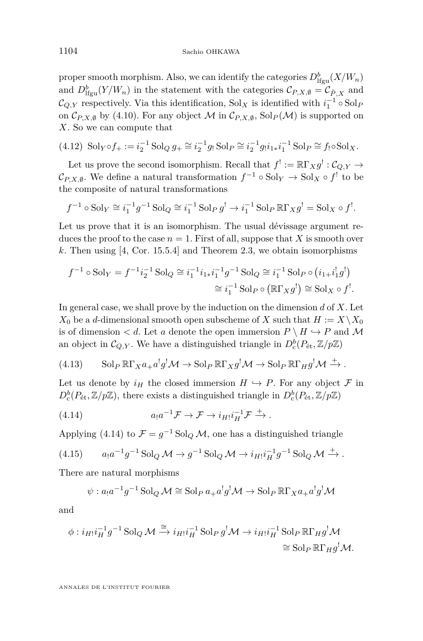proper smooth morphism. Also, we can identify the categories  $D^b_{\text{lfgu}}(X/W_n)$ and  $D_{\text{lfgu}}^b(Y/W_n)$  in the statement with the categories  $\mathcal{C}_{P,X,\emptyset} = \mathcal{C}_{\tilde{P},X}$  and  $\mathcal{C}_{Q,Y}$  respectively. Via this identification,  $Sol_X$  is identified with  $i_1^{-1} \circ Sol_P$ on  $\mathcal{C}_{P,X,\emptyset}$  by [\(4.10\)](#page-25-2). For any object M in  $\mathcal{C}_{P,X,\emptyset}$ , Sol $_P(\mathcal{M})$  is supported on *X*. So we can compute that

$$
(4.12) \ \mathrm{Sol}_Y \circ f_+ := i_2^{-1} \mathrm{Sol}_Q g_+ \cong i_2^{-1} g_! \mathrm{Sol}_P \cong i_2^{-1} g_! i_{1*} i_1^{-1} \mathrm{Sol}_P \cong f_! \circ \mathrm{Sol}_X.
$$

Let us prove the second isomorphism. Recall that  $f' := \mathbb{R}\Gamma_X g' : \mathcal{C}_{Q,Y} \to$  $\mathcal{C}_{P,X,\emptyset}$ . We define a natural transformation  $f^{-1} \circ Sol_Y \to Sol_X \circ f'$  to be the composite of natural transformations

$$
f^{-1} \circ \operatorname{Sol}_Y \cong i_1^{-1} g^{-1} \operatorname{Sol}_Q \cong i_1^{-1} \operatorname{Sol}_P g^! \to i_1^{-1} \operatorname{Sol}_P \mathbb{R} \Gamma_X g^! = \operatorname{Sol}_X \circ f^!.
$$

Let us prove that it is an isomorphism. The usual dévissage argument reduces the proof to the case  $n = 1$ . First of all, suppose that X is smooth over *k*. Then using [\[4,](#page-44-2) Cor. 15.5.4] and Theorem [2.3,](#page-10-0) we obtain isomorphisms

$$
f^{-1} \circ \text{Sol}_Y = f^{-1} i_2^{-1} \text{ Sol}_Q \cong i_1^{-1} i_{1*} i_1^{-1} g^{-1} \text{ Sol}_Q \cong i_1^{-1} \text{ Sol}_P \circ (i_{1+} i_1^! g^!) \\
\cong i_1^{-1} \text{ Sol}_P \circ (\mathbb{R} \Gamma_X g^!) \cong \text{Sol}_X \circ f^!.
$$

In general case, we shall prove by the induction on the dimension *d* of *X*. Let  $X_0$  be a *d*-dimensional smooth open subscheme of *X* such that  $H := X \setminus X_0$ is of dimension  $\lt d$ . Let *a* denote the open immersion  $P \setminus H \hookrightarrow P$  and M an object in  $\mathcal{C}_{Q,Y}$ . We have a distinguished triangle in  $D_c^b(P_{\text{\'et}}, \mathbb{Z}/p\mathbb{Z})$ 

<span id="page-28-2"></span>(4.13) 
$$
\text{Sol}_P \ \mathbb{R}\Gamma_X a_+ a^! g^! \mathcal{M} \to \text{Sol}_P \ \mathbb{R}\Gamma_X g^! \mathcal{M} \to \text{Sol}_P \ \mathbb{R}\Gamma_H g^! \mathcal{M} \xrightarrow{+}.
$$

Let us denote by  $i_H$  the closed immersion  $H \hookrightarrow P$ . For any object  $\mathcal F$  in  $D_c^b(P_{\text{\'et}},\mathbb{Z}/p\mathbb{Z})$ , there exists a distinguished triangle in  $D_c^b(P_{\text{\'et}},\mathbb{Z}/p\mathbb{Z})$ 

<span id="page-28-0"></span>(4.14) 
$$
a_!a^{-1}\mathcal{F} \to \mathcal{F} \to i_{H!}i_H^{-1}\mathcal{F} \xrightarrow{+}
$$

Applying [\(4.14\)](#page-28-0) to  $\mathcal{F} = g^{-1}$  Sol<sub>Q</sub> M, one has a distinguished triangle

<span id="page-28-1"></span>(4.15) 
$$
a_1 a^{-1} g^{-1} \operatorname{Sol}_Q \mathcal{M} \to g^{-1} \operatorname{Sol}_Q \mathcal{M} \to i_{H!} i_H^{-1} g^{-1} \operatorname{Sol}_Q \mathcal{M} \xrightarrow{+}.
$$

There are natural morphisms

$$
\psi: a_1 a^{-1} g^{-1} \operatorname{Sol}_Q \mathcal{M} \cong \operatorname{Sol}_P a_+ a^! g^! \mathcal{M} \to \operatorname{Sol}_P \mathbb{R} \Gamma_X a_+ a^! g^! \mathcal{M}
$$

and

$$
\phi : i_{H!} i_H^{-1} g^{-1} \text{Sol}_Q \mathcal{M} \xrightarrow{\cong} i_{H!} i_H^{-1} \text{Sol}_P g^! \mathcal{M} \to i_{H!} i_H^{-1} \text{Sol}_P \mathbb{R} \Gamma_H g^! \mathcal{M}
$$

$$
\cong \text{Sol}_P \mathbb{R} \Gamma_H g^! \mathcal{M}.
$$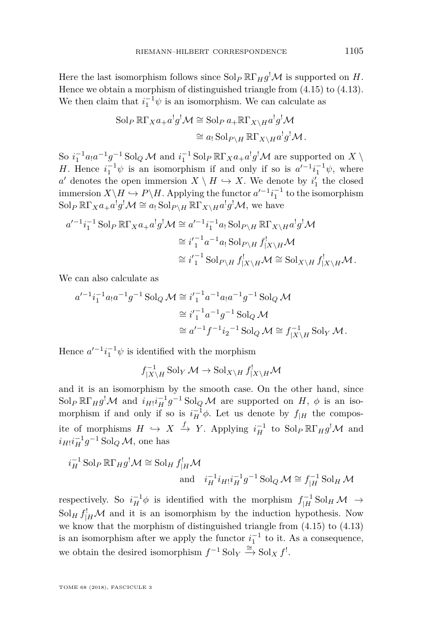Here the last isomorphism follows since  $\text{Sol}_P \mathbb{R}\Gamma_H g^! \mathcal{M}$  is supported on *H*. Hence we obtain a morphism of distinguished triangle from [\(4.15\)](#page-28-1) to [\(4.13\)](#page-28-2). We then claim that  $i_1^{-1}\psi$  is an isomorphism. We can calculate as

$$
\operatorname{Sol}_P \mathbb{R}\Gamma_X a_+ a^! g^! \mathcal{M} \cong \operatorname{Sol}_P a_+ \mathbb{R}\Gamma_{X\backslash H} a^! g^! \mathcal{M}
$$

$$
\cong a_! \operatorname{Sol}_{P\backslash H} \mathbb{R}\Gamma_{X\backslash H} a^! g^! \mathcal{M}.
$$

So  $i_1^{-1}a_1a^{-1}g^{-1}$  Sol<sub>Q</sub></sub> M and  $i_1^{-1}$  Sol<sub>P</sub> R<sub>Γ</sub>*x* $a_+a^!g^!$ *M* are supported on *X* \ *H*. Hence  $i_1^{-1}\psi$  is an isomorphism if and only if so is  $a'^{-1}i_1^{-1}\psi$ , where *a*<sup> $d$ </sup> denotes the open immersion  $X \setminus H \hookrightarrow X$ . We denote by  $i'_1$  the closed immersion  $X \backslash H \hookrightarrow P \backslash H$ . Applying the functor  $a'^{-1}i_1^{-1}$  to the isomorphism  $\text{Sol}_P \ \mathbb{R}\Gamma_X a_+ a^! g^! \mathcal{M} \cong a_! \text{Sol}_{P \setminus H} \ \mathbb{R}\Gamma_{X \setminus H} a^! g^! \mathcal{M},$  we have

$$
a'^{-1}i_1^{-1}\operatorname{Sol}_P \R\Gamma_X a_+a^!g^! \mathcal{M} \cong a'^{-1}i_1^{-1}a_1\operatorname{Sol}_{P\backslash H} \R\Gamma_{X\backslash H}a^!g^! \mathcal{M}
$$

$$
\cong i'_1{}^{-1}a^{-1}a_1\operatorname{Sol}_{P\backslash H}f^!_{|X\backslash H} \mathcal{M}
$$

$$
\cong i'_1{}^{-1}\operatorname{Sol}_{P\backslash H}f^!_{|X\backslash H} \mathcal{M} \cong \operatorname{Sol}_{X\backslash H}f^!_{|X\backslash H} \mathcal{M}.
$$

We can also calculate as

$$
a'^{-1}i_1^{-1}a_1a^{-1}g^{-1} \text{Sol}_Q \mathcal{M} \cong i'_1{}^{-1}a^{-1}a_1a^{-1}g^{-1} \text{Sol}_Q \mathcal{M}
$$

$$
\cong i'_1{}^{-1}a^{-1}g^{-1} \text{Sol}_Q \mathcal{M}
$$

$$
\cong a'^{-1}f^{-1}i_2{}^{-1} \text{Sol}_Q \mathcal{M} \cong f_{|X\backslash H}^{-1} \text{Sol}_Y \mathcal{M}.
$$

Hence  $a'^{-1}i_1^{-1}\psi$  is identified with the morphism

$$
f_{|X\backslash H}^{-1}\,\textrm{Sol}_Y\,\mathcal{M}\to\textrm{Sol}_{X\backslash H}\,f_{|X\backslash H}^!\mathcal{M}
$$

and it is an isomorphism by the smooth case. On the other hand, since Sol<sub>P</sub>  $\mathbb{R}\Gamma_H g^! \mathcal{M}$  and  $i_H i_H^{-1} g^{-1}$  Sol<sub>Q</sub>  $\mathcal{M}$  are supported on  $H$ ,  $\phi$  is an isomorphism if and only if so is  $i_H^{-1}\phi$ . Let us denote by  $f_{|H}$  the composite of morphisms  $H \hookrightarrow X \xrightarrow{f} Y$ . Applying  $i_H^{-1}$  to  $\text{Sol}_P \R\Gamma_H g^! \mathcal{M}$  and  $i_{H}$ ! $i_{H}^{-1}$ *g*<sup>-1</sup> Sol<sub>Q</sub> M, one has

$$
i_H^{-1} \operatorname{Sol}_P \mathbb{R} \Gamma_H g^! \mathcal{M} \cong \operatorname{Sol}_H f^!_H \mathcal{M}
$$
  
and 
$$
i_H^{-1} i_{H!} i_H^{-1} g^{-1} \operatorname{Sol}_Q \mathcal{M} \cong f^{-1}_{|H} \operatorname{Sol}_H \mathcal{M}
$$

respectively. So  $i_H^{-1} \phi$  is identified with the morphism  $f_{|H}^{-1}$  Sol<sub>H</sub> M  $\rightarrow$  $\text{Sol}_H f_{\mid H}^! \mathcal{M}$  and it is an isomorphism by the induction hypothesis. Now we know that the morphism of distinguished triangle from [\(4.15\)](#page-28-1) to [\(4.13\)](#page-28-2) is an isomorphism after we apply the functor  $i_1^{-1}$  to it. As a consequence, we obtain the desired isomorphism  $f^{-1}$  Sol $\sim$   $x \xrightarrow{\cong}$  Sol $X$   $f'$ .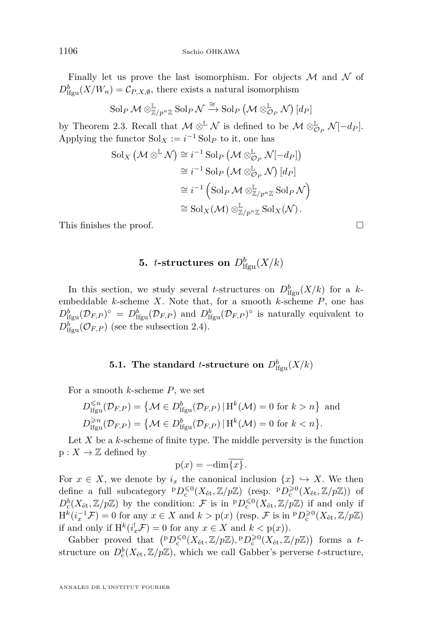Finally let us prove the last isomorphism. For objects  $M$  and  $N$  of  $D_{\text{lfgu}}^b(X/W_n) = C_{P,X,\emptyset}$ , there exists a natural isomorphism

$$
\mathrm{Sol}_P\,\mathcal{M}\otimes^{\mathbb{L}}_{\mathbb{Z}/p^n\mathbb{Z}}\mathrm{Sol}_P\,\mathcal{N}\xrightarrow{\cong}\mathrm{Sol}_P\left(\mathcal{M}\otimes^{\mathbb{L}}_{\mathcal{O}_P}\mathcal{N}\right)[d_P]
$$

by Theorem [2.3.](#page-10-0) Recall that  $M \otimes^{\mathbb{L}} \mathcal{N}$  is defined to be  $M \otimes_{\mathcal{O}_P}^{\mathbb{L}} \mathcal{N}[-d_P].$ Applying the functor  $Sol_X := i^{-1} Sol_P$  to it, one has

$$
\mathrm{Sol}_X \left( \mathcal{M} \otimes^{\mathbb{L}} \mathcal{N} \right) \cong i^{-1} \mathrm{Sol}_P \left( \mathcal{M} \otimes_{\mathcal{O}_P}^{\mathbb{L}} \mathcal{N}[-d_P] \right)
$$

$$
\cong i^{-1} \mathrm{Sol}_P \left( \mathcal{M} \otimes_{\mathcal{O}_P}^{\mathbb{L}} \mathcal{N} \right) [d_P]
$$

$$
\cong i^{-1} \left( \mathrm{Sol}_P \mathcal{M} \otimes_{\mathbb{Z}/p^n \mathbb{Z}}^{\mathbb{L}} \mathrm{Sol}_P \mathcal{N} \right)
$$

$$
\cong \mathrm{Sol}_X(\mathcal{M}) \otimes_{\mathbb{Z}/p^n \mathbb{Z}}^{\mathbb{L}} \mathrm{Sol}_X(\mathcal{N}).
$$

This finishes the proof.

# $\mathbf{5.}$  *t***-structures on**  $D^b_{\text{lfgu}}(X/k)$

In this section, we study several *t*-structures on  $D^b_{\text{lfgu}}(X/k)$  for a *k*embeddable *k*-scheme *X*. Note that, for a smooth *k*-scheme *P*, one has  $D_{\text{lfgu}}^b(\mathcal{D}_{F,P})^{\circ} = D_{\text{lfgu}}^b(\mathcal{D}_{F,P})$  and  $D_{\text{lfgu}}^b(\mathcal{D}_{F,P})^{\circ}$  is naturally equivalent to  $D_{\text{lfgu}}^b(\mathcal{O}_{F,P})$  (see the subsection [2.4\)](#page-11-0).

## **5.1.** The standard *t*-structure on  $D^b_{\text{lfgu}}(X/k)$

<span id="page-30-0"></span>For a smooth *k*-scheme *P*, we set

$$
D_{\text{Ifgu}}^{\leq n}(\mathcal{D}_{F,P}) = \left\{ \mathcal{M} \in D_{\text{Ifgu}}^b(\mathcal{D}_{F,P}) \,|\, \text{H}^k(\mathcal{M}) = 0 \text{ for } k > n \right\} \text{ and}
$$
\n
$$
D_{\text{Ifgu}}^{\geq n}(\mathcal{D}_{F,P}) = \left\{ \mathcal{M} \in D_{\text{Ifgu}}^b(\mathcal{D}_{F,P}) \,|\, \text{H}^k(\mathcal{M}) = 0 \text{ for } k < n \right\}.
$$

Let *X* be a *k*-scheme of finite type. The middle perversity is the function  $p: X \to \mathbb{Z}$  defined by

$$
p(x) = -\dim\overline{\{x\}}.
$$

For  $x \in X$ , we denote by  $i_x$  the canonical inclusion  $\{x\} \hookrightarrow X$ . We then define a full subcategory  ${}^p D_c^{\leq 0}(X_{\text{\'et}}, \mathbb{Z}/p\mathbb{Z})$  (resp.  ${}^p D_c^{\geq 0}(X_{\text{\'et}}, \mathbb{Z}/p\mathbb{Z})$ ) of  $D_c^b(X_{\text{\'et}},\mathbb{Z}/p\mathbb{Z})$  by the condition: F is in  ${}^pD_c^{\leq 0}(X_{\text{\'et}},\mathbb{Z}/p\mathbb{Z})$  if and only if  $H^{\tilde{k}}(i_x^{-1}\mathcal{F}) = 0$  for any  $x \in X$  and  $k > p(x)$  (resp.  $\mathcal{F}$  is in  ${}^pD_c^{\geq 0}(X_{\text{\'et}}, \mathbb{Z}/p\mathbb{Z})$ if and only if  $H^k(i_x^! \mathcal{F}) = 0$  for any  $x \in X$  and  $k < p(x)$ ).

Gabber proved that  $(PD_c^{\leq 0}(X_{\text{\'et}}, \mathbb{Z}/p\mathbb{Z}), PD_c^{\geq 0}(X_{\text{\'et}}, \mathbb{Z}/p\mathbb{Z}))$  forms a *t*structure on  $D_c^b(X_{\text{\'et}}, \mathbb{Z}/p\mathbb{Z})$ , which we call Gabber's perverse *t*-structure,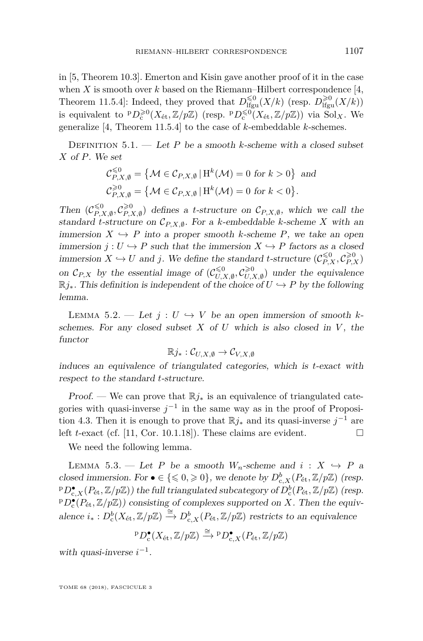in [\[5,](#page-44-3) Theorem 10.3]. Emerton and Kisin gave another proof of it in the case when  $X$  is smooth over  $k$  based on the Riemann–Hilbert correspondence [\[4,](#page-44-2) Theorem 11.5.4]: Indeed, they proved that  $D_{\text{lfgu}}^{\leq 0}(X/k)$  (resp.  $D_{\text{lfgu}}^{\geq 0}(X/k)$ ) is equivalent to  ${}^p D_c^{\geq 0}(X_{\text{\'et}}, \mathbb{Z}/p\mathbb{Z})$  (resp.  ${}^p D_c^{\leq 0}(X_{\text{\'et}}, \mathbb{Z}/p\mathbb{Z})$ ) via  $\text{Sol}_X$ . We generalize [\[4,](#page-44-2) Theorem 11.5.4] to the case of *k*-embeddable *k*-schemes.

DEFINITION  $5.1.$  — Let *P* be a smooth *k*-scheme with a closed subset *X* of *P*. We set

$$
\mathcal{C}_{P,X,\emptyset}^{\leq 0} = \{ \mathcal{M} \in \mathcal{C}_{P,X,\emptyset} \mid \mathcal{H}^k(\mathcal{M}) = 0 \text{ for } k > 0 \} \text{ and}
$$
  

$$
\mathcal{C}_{P,X,\emptyset}^{\geq 0} = \{ \mathcal{M} \in \mathcal{C}_{P,X,\emptyset} \mid \mathcal{H}^k(\mathcal{M}) = 0 \text{ for } k < 0 \}.
$$

Then  $(\mathcal{C}_{P}^{\leq 0})$ *P,X,*∅ *,* C >0  $\mathcal{L}_{P,X,\emptyset}^{\geq 0}$  defines a *t*-structure on  $\mathcal{C}_{P,X,\emptyset}$ , which we call the standard *t*-structure on  $\mathcal{C}_{P,X,\emptyset}$ . For a *k*-embeddable *k*-scheme *X* with an immersion  $X \hookrightarrow P$  into a proper smooth *k*-scheme *P*, we take an open immersion  $j: U \hookrightarrow P$  such that the immersion  $X \hookrightarrow P$  factors as a closed immersion  $X \hookrightarrow U$  and *j*. We define the standard *t*-structure  $(\mathcal{C}_{P,X}^{\leq 0}, \mathcal{C}_{P,X}^{\geq 0})$ on  $\mathcal{C}_{P,X}$  by the essential image of  $(\mathcal{C}_{U,X}^{\leq 0})$  $\mathcal{C}^{<0}_{U,X,\emptyset}, \mathcal{C}^{\geqslant 0}_{U,\lambda}$  $\mathcal{U}_{U,X,\emptyset}^{\geq 0}$  under the equivalence  $\mathbb{R}j_*$ . This definition is independent of the choice of  $U \hookrightarrow P$  by the following lemma.

<span id="page-31-1"></span>LEMMA 5.2. — Let  $j: U \hookrightarrow V$  be an open immersion of smooth kschemes. For any closed subset  $X$  of  $U$  which is also closed in  $V$ , the functor

$$
\mathbb{R}j_*:\mathcal{C}_{U,X,\emptyset}\to\mathcal{C}_{V,X,\emptyset}
$$

induces an equivalence of triangulated categories, which is *t*-exact with respect to the standard *t*-structure.

Proof. — We can prove that  $\mathbb{R}i_{*}$  is an equivalence of triangulated categories with quasi-inverse  $j^{-1}$  in the same way as in the proof of Proposi-tion [4.3.](#page-18-1) Then it is enough to prove that  $\mathbb{R}j_*$  and its quasi-inverse  $j^{-1}$  are left *t*-exact (cf. [\[11,](#page-44-12) Cor. 10.1.18]). These claims are evident.  $\square$ 

We need the following lemma.

<span id="page-31-0"></span>LEMMA 5.3. — Let *P* be a smooth  $W_n$ -scheme and  $i: X \hookrightarrow P$  a closed immersion. For  $\bullet \in \{\leq 0, \geq 0\}$ , we denote by  $D_{c,X}^b(P_{\text{\'et}}, \mathbb{Z}/p\mathbb{Z})$  (resp.  $p^p D_{c,X}^{\bullet}(P_{\text{\'et}}, \mathbb{Z}/p\mathbb{Z})$ ) the full triangulated subcategory of  $D_c^b(P_{\text{\'et}}, \mathbb{Z}/p\mathbb{Z})$  (resp.  $PD_{\mathbf{c}}^{\bullet}(P_{\text{\'et}},\mathbb{Z}/p\mathbb{Z})$  consisting of complexes supported on *X*. Then the equivalence  $i_*: D_c^b(X_{\text{\'et}}, \mathbb{Z}/p\mathbb{Z}) \xrightarrow{\cong} D_{c,X}^b(P_{\text{\'et}}, \mathbb{Z}/p\mathbb{Z})$  restricts to an equivalence

$$
{}^{\mathrm{p}}D_{\mathrm{c}}^{\bullet}(X_{\mathrm{\acute{e}t}},\mathbb{Z}/p\mathbb{Z})\xrightarrow{\cong} {}^{\mathrm{p}}D_{\mathrm{c},X}^{\bullet}(P_{\mathrm{\acute{e}t}},\mathbb{Z}/p\mathbb{Z})
$$

with quasi-inverse  $i^{-1}$ .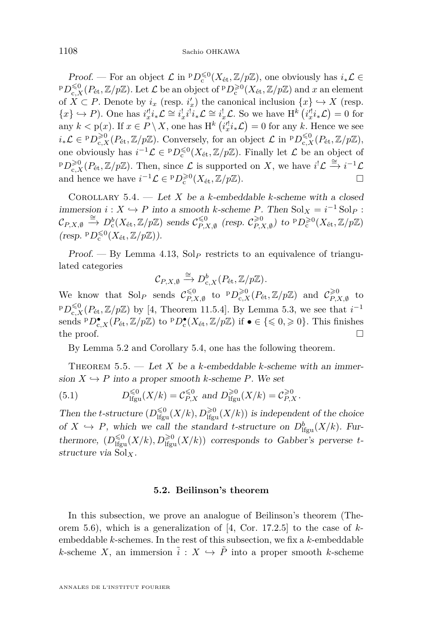Proof. — For an object  $\mathcal{L}$  in  ${}^pD_c^{\leq 0}(X_{\text{\'et}}, \mathbb{Z}/p\mathbb{Z})$ , one obviously has  $i_*\mathcal{L} \in$  ${}^{\mathrm{p}}D_{\mathrm{c},X}^{\leq 0}(P_{\mathrm{\acute{e}t}},\mathbb{Z}/p\mathbb{Z})$ . Let  $\mathcal L$  be an object of  ${}^{\mathrm{p}}D_{\mathrm{c}}^{\geq 0}(X_{\mathrm{\acute{e}t}},\mathbb{Z}/p\mathbb{Z})$  and  $x$  an element of  $\overline{X} \subset P$ . Denote by  $i_x$  (resp.  $i'_x$ ) the canonical inclusion  $\{x\} \hookrightarrow X$  (resp.  ${x} \leftrightarrow P$ ). One has  $i_x'^{l}i_*\mathcal{L} \cong i_x^{l}i^{l}i_*\mathcal{L} \cong i_x^{l}\mathcal{L}$ . So we have H<sup>k</sup>  $(i_x'^{l}i_*\mathcal{L}) = 0$  for any  $k < p(x)$ . If  $x \in P \setminus X$ , one has  $H^k(ix'_{x} \mathcal{L}) = 0$  for any  $k$ . Hence we see  $i_*\mathcal{L} \in {}^p D^{\geq 0}_{c,X}(P_{\text{\'et}}, \mathbb{Z}/p\mathbb{Z})$ . Conversely, for an object  $\mathcal{L}$  in  ${}^p D^{\leq 0}_{c,X}(P_{\text{\'et}}, \mathbb{Z}/p\mathbb{Z})$ , one obviously has  $i^{-1}\mathcal{L} \in {}^pD_c^{\leq 0}(X_{\text{\'et}}, \mathbb{Z}/p\mathbb{Z})$ . Finally let  $\mathcal L$  be an object of <sup>p</sup> $D_{c,X}^{\geq 0}(P_{\text{\'et}}, \mathbb{Z}/p\mathbb{Z})$ . Then, since  $\mathcal L$  is supported on *X*, we have  $i^!\mathcal L \stackrel{\cong}{\to} i^{-1}\mathcal L$ and hence we have  $i^{-1}\mathcal{L} \in {}^p D_c^{\geq 0}(X_{\text{\'et}}, \mathbb{Z}/p\mathbb{Z}).$ 

<span id="page-32-2"></span>COROLLARY 5.4.  $-$  Let *X* be a *k*-embeddable *k*-scheme with a closed immersion  $i: X \hookrightarrow P$  into a smooth *k*-scheme *P*. Then  $Sol_X = i^{-1} Sol_P$ :  $\mathcal{C}_{P,X,\emptyset} \stackrel{\cong}{\to} D^b_{\rm c}(X_{\rm \acute{e}t}, \mathbb{Z}/p\mathbb{Z})$  sends  $\mathcal{C}_{P,Y}^{\leq 0}$  $\leqslant$ <sup>0</sup> (resp.  $\mathcal{C}_{P, \lambda}^{\geqslant 0}$  $\chi_{P,X,\emptyset}^{>0}$  to  ${}^{\mathrm{p}}D_{\mathrm{c}}^{>0}(X_{\mathrm{\acute{e}t}}, \mathbb{Z}/p\mathbb{Z})$  $(\text{resp. } {}^{\text{p}}D_{\text{c}}^{\leqslant 0}(X_{\text{\'et}}, {\mathbb Z}/p{\mathbb Z})).$ 

Proof. — By Lemma [4.13,](#page-26-2) Sol<sub>P</sub> restricts to an equivalence of triangulated categories

$$
\mathcal{C}_{P,X,\emptyset}\xrightarrow{\cong} D^b_{c,X}(P_{\text{\'et}},\mathbb{Z}/p\mathbb{Z}).
$$

We know that  $\text{Sol}_P$  sends  $\mathcal{C}_{P,2}^{\leq 0}$  $\sum_{P,X,\emptyset}^{\leq 0}$  to  ${}^pD^{\geq 0}_{c,X}(P_{\text{\'et}}, \mathbb{Z}/p\mathbb{Z})$  and  $\mathcal{C}_{P,\mathcal{I}}^{\geq 0}$  $\widetilde{P}_{P,X,\emptyset}^{\cup}$  to <sup>p</sup> $D_{c,X}^{\leq 0}(P_{\text{\'et}},\mathbb{Z}/p\mathbb{Z})$  by [\[4,](#page-44-2) Theorem 11.5.4]. By Lemma [5.3,](#page-31-0) we see that  $i^{-1}$ sends  $P D_{c,X}^{\bullet}(P_{\text{\'et}}, \mathbb{Z}/p\mathbb{Z})$  to  $P D_{c}^{\bullet}(X_{\text{\'et}}, \mathbb{Z}/p\mathbb{Z})$  if  $\bullet \in \{\leq 0, \geq 0\}$ . This finishes the proof.  $\Box$ 

By Lemma [5.2](#page-31-1) and Corollary [5.4,](#page-32-2) one has the following theorem.

<span id="page-32-0"></span>THEOREM 5.5. — Let X be a k-embeddable k-scheme with an immersion  $X \hookrightarrow P$  into a proper smooth *k*-scheme *P*. We set

(5.1) 
$$
D_{\text{lfgu}}^{\leq 0}(X/k) = C_{P,X}^{\leq 0} \text{ and } D_{\text{lfgu}}^{\geq 0}(X/k) = C_{P,X}^{\geq 0}.
$$

Then the *t*-structure  $(D_{\text{lfgu}}^{\leq 0}(X/k), D_{\text{lfgu}}^{\geq 0}(X/k))$  is independent of the choice of  $X \hookrightarrow P$ , which we call the standard *t*-structure on  $D^b_{\text{lfgu}}(X/k)$ . Furthermore,  $(D_{\text{lfgu}}^{\leq 0}(X/k), D_{\text{lfgu}}^{\geq 0}(X/k))$  corresponds to Gabber's perverse *t*structure via Sol*X*.

#### **5.2. Beilinson's theorem**

<span id="page-32-1"></span>In this subsection, we prove an analogue of Beilinson's theorem (Theorem [5.6\)](#page-33-0), which is a generalization of [\[4,](#page-44-2) Cor. 17.2.5] to the case of *k*embeddable *k*-schemes. In the rest of this subsection, we fix a *k*-embeddable *k*-scheme *X*, an immersion  $\tilde{i}: X \hookrightarrow \tilde{P}$  into a proper smooth *k*-scheme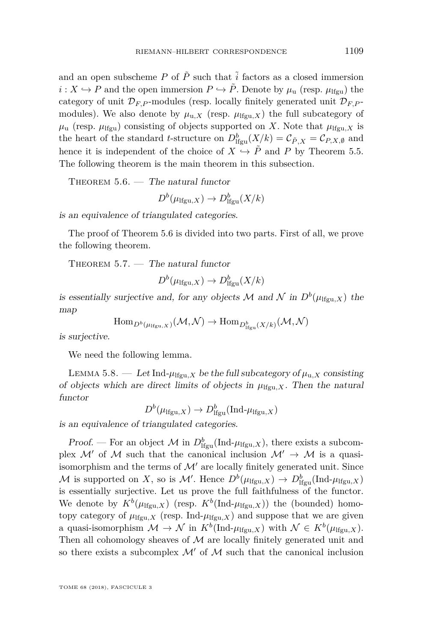and an open subscheme  $P$  of  $\tilde{P}$  such that  $\tilde{i}$  factors as a closed immersion  $i: X \hookrightarrow P$  and the open immersion  $P \hookrightarrow \tilde{P}$ . Denote by  $\mu_{\text{u}}$  (resp.  $\mu_{\text{lfqu}}$ ) the category of unit  $\mathcal{D}_{F,P}$ -modules (resp. locally finitely generated unit  $\mathcal{D}_{F,P}$ modules). We also denote by  $\mu_{u,X}$  (resp.  $\mu_{\text{lfgu},X}$ ) the full subcategory of  $\mu$ <sub>u</sub> (resp.  $\mu$ <sub>lfgu</sub>) consisting of objects supported on *X*. Note that  $\mu$ <sub>lfgu</sub>*x* is the heart of the standard *t*-structure on  $D_{\text{lfgu}}^b(X/k) = \mathcal{C}_{\tilde{P},X} = \mathcal{C}_{P,X,\emptyset}$  and hence it is independent of the choice of  $X \hookrightarrow \tilde{P}$  and *P* by Theorem [5.5.](#page-32-0) The following theorem is the main theorem in this subsection.

<span id="page-33-0"></span>THEOREM  $5.6.$  — The natural functor

$$
D^b(\mu_{\text{lfgu},X}) \to D^b_{\text{lfgu}}(X/k)
$$

is an equivalence of triangulated categories.

The proof of Theorem [5.6](#page-33-0) is divided into two parts. First of all, we prove the following theorem.

<span id="page-33-1"></span>THEOREM  $5.7.$  — The natural functor

$$
D^b(\mu_{\text{lfgu},X}) \to D^b_{\text{lfgu}}(X/k)
$$

is essentially surjective and, for any objects M and N in  $D^b(\mu_{\text{Ifgu},X})$  the map

$$
\operatorname{Hom}_{D^b(\mu_{\operatorname{Hgu},X})}(\mathcal{M},\mathcal{N})\to \operatorname{Hom}_{D^b_{\operatorname{Hgu}}(X/k)}(\mathcal{M},\mathcal{N})
$$

is surjective.

We need the following lemma.

<span id="page-33-2"></span>LEMMA 5.8. — Let Ind- $\mu_{\text{lfgu},X}$  be the full subcategory of  $\mu_{u,X}$  consisting of objects which are direct limits of objects in  $\mu_{\text{lfgu},X}$ . Then the natural functor

$$
D^b(\mu_{\text{lfgu},X}) \to D^b_{\text{lfgu}}(\text{Ind-}\mu_{\text{lfgu},X})
$$

is an equivalence of triangulated categories.

Proof. — For an object  $\mathcal M$  in  $D^b_{\text{lfgu}}(\text{Ind-}\mu_{\text{lfgu},X}),$  there exists a subcomplex M' of M such that the canonical inclusion  $\mathcal{M}' \to \mathcal{M}$  is a quasiisomorphism and the terms of  $\mathcal{M}'$  are locally finitely generated unit. Since M is supported on X, so is  $\mathcal{M}'$ . Hence  $D^b(\mu_{\text{lfgu},X}) \to D^b_{\text{lfgu}}(\text{Ind-}\mu_{\text{lfgu},X})$ is essentially surjective. Let us prove the full faithfulness of the functor. We denote by  $K^b(\mu_{\text{Ifgu},X})$  (resp.  $K^b(\text{Ind-}\mu_{\text{Ifgu},X}))$  the (bounded) homotopy category of  $\mu_{\text{lfgu},X}$  (resp. Ind- $\mu_{\text{lfgu},X}$ ) and suppose that we are given a quasi-isomorphism  $\mathcal{M} \to \mathcal{N}$  in  $K^b(\text{Ind-}\mu_{\text{Ifgu},X})$  with  $\mathcal{N} \in K^b(\mu_{\text{Ifgu},X})$ . Then all cohomology sheaves of  $M$  are locally finitely generated unit and so there exists a subcomplex  $\mathcal{M}'$  of  $\mathcal M$  such that the canonical inclusion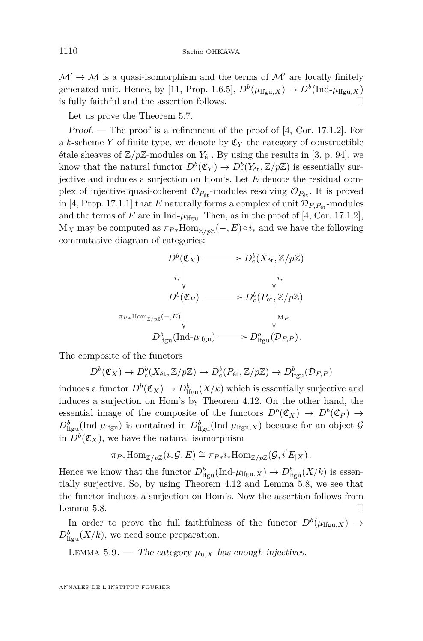$\mathcal{M}' \to \mathcal{M}$  is a quasi-isomorphism and the terms of  $\mathcal{M}'$  are locally finitely generated unit. Hence, by [\[11,](#page-44-12) Prop. 1.6.5],  $D^b(\mu_{\text{lfgu},X}) \to D^b(\text{Ind-}\mu_{\text{lfgu},X})$ is fully faithful and the assertion follows.  $\hfill \square$ 

Let us prove the Theorem [5.7.](#page-33-1)

Proof. — The proof is a refinement of the proof of [\[4,](#page-44-2) Cor. 17.1.2]. For a *k*-scheme *Y* of finite type, we denote by  $\mathfrak{C}_Y$  the category of constructible étale sheaves of  $\mathbb{Z}/p\mathbb{Z}$ -modules on  $Y_{\text{\'et}}$ . By using the results in [\[3,](#page-44-13) p. 94], we know that the natural functor  $D^b(\mathfrak{C}_Y) \to D^b_c(Y_{\text{\'et}}, \mathbb{Z}/p\mathbb{Z})$  is essentially surjective and induces a surjection on Hom's. Let *E* denote the residual complex of injective quasi-coherent  $\mathcal{O}_{P_{\text{\'et}}}$ -modules resolving  $\mathcal{O}_{P_{\text{\'et}}}$ . It is proved in [\[4,](#page-44-2) Prop. 17.1.1] that *E* naturally forms a complex of unit  $\mathcal{D}_{F,P_{\text{\'et}}}$ -modules and the terms of *E* are in Ind- $\mu_{\text{lfgu}}$ . Then, as in the proof of [\[4,](#page-44-2) Cor. 17.1.2],  $M_X$  may be computed as  $\pi_{P*} \underline{\text{Hom}}_{\mathbb{Z}/p\mathbb{Z}}(-, E) \circ i_*$  and we have the following commutative diagram of categories:



The composite of the functors

$$
D^{b}(\mathfrak{C}_{X}) \to D^{b}_{c}(X_{\mathrm{\acute{e}t}}, \mathbb{Z}/p\mathbb{Z}) \to D^{b}_{c}(P_{\mathrm{\acute{e}t}}, \mathbb{Z}/p\mathbb{Z}) \to D^{b}_{\mathrm{lfgu}}(\mathcal{D}_{F, P})
$$

induces a functor  $D^b(\mathfrak{C}_X) \to D^b_{\text{lfgu}}(X/k)$  which is essentially surjective and induces a surjection on Hom's by Theorem [4.12.](#page-26-0) On the other hand, the essential image of the composite of the functors  $D^b(\mathfrak{C}_X) \to D^b(\mathfrak{C}_P) \to$  $D_{\text{lfgu}}^b(\text{Ind-}\mu_{\text{lfgu}})$  is contained in  $D_{\text{lfgu}}^b(\text{Ind-}\mu_{\text{lfgu},X})$  because for an object  $\mathcal G$ in  $D^b(\mathfrak{C}_X)$ , we have the natural isomorphism

$$
\pi_{P*}\underline{\mathrm{Hom}}_{\mathbb{Z}/p\mathbb{Z}}(i_*\mathcal{G},E) \cong \pi_{P*}i_*\underline{\mathrm{Hom}}_{\mathbb{Z}/p\mathbb{Z}}(\mathcal{G},i^!E_{|X}).
$$

Hence we know that the functor  $D_{\text{lfgu}}^b(\text{Ind-}\mu_{\text{lfgu},X}) \to D_{\text{lfgu}}^b(X/k)$  is essentially surjective. So, by using Theorem [4.12](#page-26-0) and Lemma [5.8,](#page-33-2) we see that the functor induces a surjection on Hom's. Now the assertion follows from Lemma [5.8.](#page-33-2)  $\Box$ 

In order to prove the full faithfulness of the functor  $D^b(\mu_{\text{lfgu},X}) \rightarrow$  $D^b_{\text{lfgu}}(X/k)$ , we need some preparation.

<span id="page-34-0"></span>LEMMA 5.9. — The category  $\mu_{u,X}$  has enough injectives.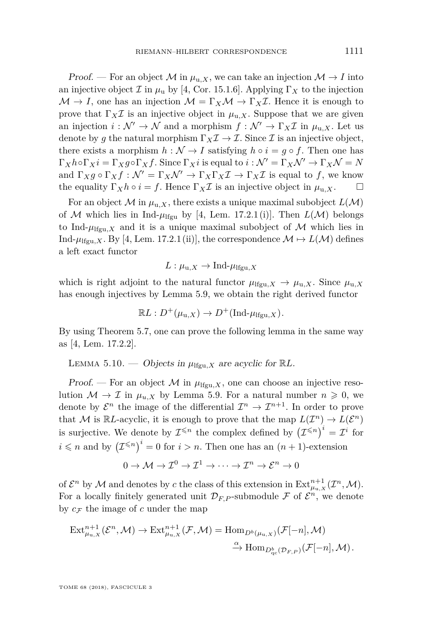Proof. — For an object M in  $\mu_{u,X}$ , we can take an injection  $\mathcal{M} \to I$  into an injective object  $\mathcal I$  in  $\mu_{\text{u}}$  by [\[4,](#page-44-2) Cor. 15.1.6]. Applying  $\Gamma_X$  to the injection  $\mathcal{M} \to I$ , one has an injection  $\mathcal{M} = \Gamma_X \mathcal{M} \to \Gamma_X \mathcal{I}$ . Hence it is enough to prove that  $\Gamma_X \mathcal{I}$  is an injective object in  $\mu_{u,X}$ . Suppose that we are given an injection  $i : \mathcal{N}' \to \mathcal{N}$  and a morphism  $f : \mathcal{N}' \to \Gamma_X \mathcal{I}$  in  $\mu_{\mathfrak{u},X}$ . Let us denote by g the natural morphism  $\Gamma_X \mathcal{I} \to \mathcal{I}$ . Since  $\mathcal{I}$  is an injective object, there exists a morphism  $h : \mathcal{N} \to I$  satisfying  $h \circ i = q \circ f$ . Then one has  $\Gamma_X h \circ \Gamma_X i = \Gamma_X g \circ \Gamma_X f$ . Since  $\Gamma_X i$  is equal to  $i : \mathcal{N}' = \Gamma_X \mathcal{N}' \to \Gamma_X \mathcal{N} = N$ and  $\Gamma_X g \circ \Gamma_X f : \mathcal{N}' = \Gamma_X \mathcal{N}' \to \Gamma_X \Gamma_X \mathcal{I} \to \Gamma_X \mathcal{I}$  is equal to f, we know the equality  $\Gamma_X h \circ i = f$ . Hence  $\Gamma_X \mathcal{I}$  is an injective object in  $\mu_{\mathfrak{u},X}$ .

For an object  $\mathcal M$  in  $\mu_{\mathbf{u},X}$ , there exists a unique maximal subobject  $L(\mathcal M)$ of M which lies in Ind- $\mu_{\text{lfqu}}$  by [\[4,](#page-44-2) Lem. 17.2.1(i)]. Then  $L(\mathcal{M})$  belongs to Ind- $\mu_{\text{Ifgu},X}$  and it is a unique maximal subobject of M which lies in Ind- $\mu_{\text{lfgu},X}$ . By [\[4,](#page-44-2) Lem. 17.2.1 (ii)], the correspondence  $\mathcal{M} \mapsto L(\mathcal{M})$  defines a left exact functor

$$
L: \mu_{\mathbf{u},X} \to \text{Ind-}\mu_{\text{lfgu},X}
$$

which is right adjoint to the natural functor  $\mu_{\text{lfgu},X} \to \mu_{u,X}$ . Since  $\mu_{u,X}$ has enough injectives by Lemma [5.9,](#page-34-0) we obtain the right derived functor

$$
\mathbb{R}L:D^+(\mu_{\mathbf{u},X})\to D^+(\mathrm{Ind}\text{-}\mu_{\mathrm{Hgu},X}).
$$

By using Theorem [5.7,](#page-33-1) one can prove the following lemma in the same way as [\[4,](#page-44-2) Lem. 17.2.2].

#### <span id="page-35-0"></span>LEMMA 5.10. — Objects in  $\mu_{\text{lfgu},X}$  are acyclic for  $\mathbb{R}L$ .

Proof. — For an object  $\mathcal M$  in  $\mu_{\text{lfgu},X}$ , one can choose an injective resolution  $\mathcal{M} \to \mathcal{I}$  in  $\mu_{u,X}$  by Lemma [5.9.](#page-34-0) For a natural number  $n \geq 0$ , we denote by  $\mathcal{E}^n$  the image of the differential  $\mathcal{I}^n \to \mathcal{I}^{n+1}$ . In order to prove that M is  $\mathbb{R}L$ -acyclic, it is enough to prove that the map  $L(\mathcal{I}^n) \to L(\mathcal{E}^n)$ is surjective. We denote by  $\mathcal{I}^{\leq n}$  the complex defined by  $(\mathcal{I}^{\leq n})^i = \mathcal{I}^i$  for  $i \leq n$  and by  $(\mathcal{I}^{\leq n})^i = 0$  for  $i > n$ . Then one has an  $(n + 1)$ -extension

$$
0 \to \mathcal{M} \to \mathcal{I}^0 \to \mathcal{I}^1 \to \cdots \to \mathcal{I}^n \to \mathcal{E}^n \to 0
$$

of  $\mathcal{E}^n$  by  $\mathcal M$  and denotes by  $c$  the class of this extension in  $\text{Ext}_{\mu_{\text{u},X}}^{n+1}(\mathcal I^n,\mathcal M)$ . For a locally finitely generated unit  $\mathcal{D}_{F,P}$ -submodule  $\mathcal F$  of  $\mathcal E^n$ , we denote by  $c_F$  the image of  $c$  under the map

$$
\mathrm{Ext}^{n+1}_{\mu_{\mathrm{u},X}}(\mathcal{E}^n,\mathcal{M}) \to \mathrm{Ext}^{n+1}_{\mu_{\mathrm{u},X}}(\mathcal{F},\mathcal{M}) = \mathrm{Hom}_{D^b(\mu_{\mathrm{u},X})}(\mathcal{F}[-n],\mathcal{M})
$$

$$
\xrightarrow{\alpha} \mathrm{Hom}_{D^b_{\mathrm{qc}}(\mathcal{D}_{F,P})}(\mathcal{F}[-n],\mathcal{M}).
$$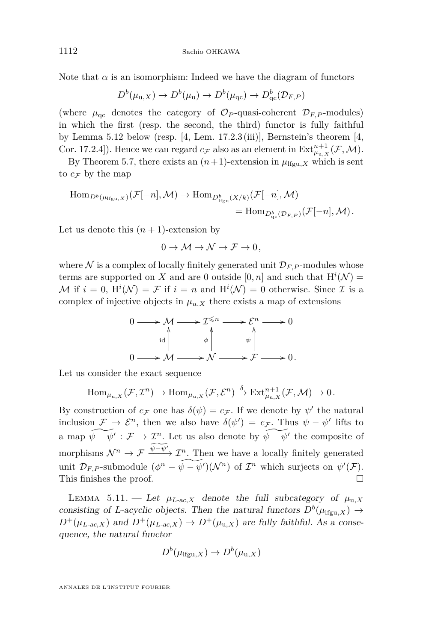Note that  $\alpha$  is an isomorphism: Indeed we have the diagram of functors

$$
D^{b}(\mu_{\mathrm{u},X}) \to D^{b}(\mu_{\mathrm{u}}) \to D^{b}(\mu_{\mathrm{qc}}) \to D^{b}_{\mathrm{qc}}(\mathcal{D}_{F,P})
$$

(where  $\mu_{\rm qc}$  denotes the category of  $\mathcal{O}_P$ -quasi-coherent  $\mathcal{D}_{F,P}$ -modules) in which the first (resp. the second, the third) functor is fully faithful by Lemma [5.12](#page-37-0) below (resp.  $[4, \text{ Lem. } 17.2.3 \text{ (iii)}],$  $[4, \text{ Lem. } 17.2.3 \text{ (iii)}],$  Bernstein's theorem  $[4, \text{$ Cor. 17.2.4]). Hence we can regard  $c_{\mathcal{F}}$  also as an element in  $\text{Ext}_{\mu_{u,X}}^{n+1}(\mathcal{F},\mathcal{M})$ .

By Theorem [5.7,](#page-33-1) there exists an  $(n+1)$ -extension in  $\mu_{\text{lfgu},X}$  which is sent to  $c_{\mathcal{F}}$  by the map

$$
\begin{split} \text{Hom}_{D^b(\mu_{\text{H}\text{gu},X})}(\mathcal{F}[-n],\mathcal{M}) &\to \text{Hom}_{D^b_{\text{H}\text{gu}}(X/k)}(\mathcal{F}[-n],\mathcal{M}) \\ &= \text{Hom}_{D^b_{\text{qc}}(\mathcal{D}_{F,P})}(\mathcal{F}[-n],\mathcal{M}). \end{split}
$$

Let us denote this  $(n + 1)$ -extension by

$$
0 \to \mathcal{M} \to \mathcal{N} \to \mathcal{F} \to 0,
$$

where  $\mathcal N$  is a complex of locally finitely generated unit  $\mathcal D_{F,P}$ -modules whose terms are supported on *X* and are 0 outside  $[0, n]$  and such that  $H^{i}(\mathcal{N}) =$ M if  $i = 0$ ,  $\mathrm{H}^i(\mathcal{N}) = \mathcal{F}$  if  $i = n$  and  $\mathrm{H}^i(\mathcal{N}) = 0$  otherwise. Since  $\mathcal{I}$  is a complex of injective objects in  $\mu_{u,X}$  there exists a map of extensions



Let us consider the exact sequence

$$
\text{Hom}_{\mu_{\mathbf{u},X}}(\mathcal{F},\mathcal{I}^n)\to\text{Hom}_{\mu_{\mathbf{u},X}}(\mathcal{F},\mathcal{E}^n)\stackrel{\delta}{\to}\text{Ext}_{\mu_{\mathbf{u},X}}^{n+1}(\mathcal{F},\mathcal{M})\to 0.
$$

By construction of  $c_F$  one has  $\delta(\psi) = c_F$ . If we denote by  $\psi'$  the natural inclusion  $\mathcal{F} \to \mathcal{E}^n$ , then we also have  $\delta(\psi') = c_{\mathcal{F}}$ . Thus  $\psi - \psi'$  lifts to a map  $\widetilde{\psi - \psi'} : \mathcal{F} \to \mathcal{I}^n$ . Let us also denote by  $\widetilde{\psi - \psi'}$  the composite of morphisms  $\mathcal{N}^n \to \mathcal{F} \xrightarrow{\widehat{\psi-\psi'}} \mathcal{I}^n$ . Then we have a locally finitely generated unit  $\mathcal{D}_{F,P}$ -submodule  $(\phi^n - \widetilde{\psi} - \widetilde{\psi}')(\mathcal{N}^n)$  of  $\mathcal{I}^n$  which surjects on  $\psi'(\mathcal{F})$ . This finishes the proof.

<span id="page-36-0"></span>LEMMA 5.11. — Let  $\mu_{L-ac,X}$  denote the full subcategory of  $\mu_{u,X}$ consisting of *L*-acyclic objects. Then the natural functors  $D^b(\mu_{\text{Ifgu},X}) \to$  $D^+(\mu_{L\text{-}ac,X})$  and  $D^+(\mu_{L\text{-}ac,X}) \to D^+(\mu_{u,X})$  are fully faithful. As a consequence, the natural functor

$$
D^b(\mu_{\text{lfgu},X}) \to D^b(\mu_{\text{u},X})
$$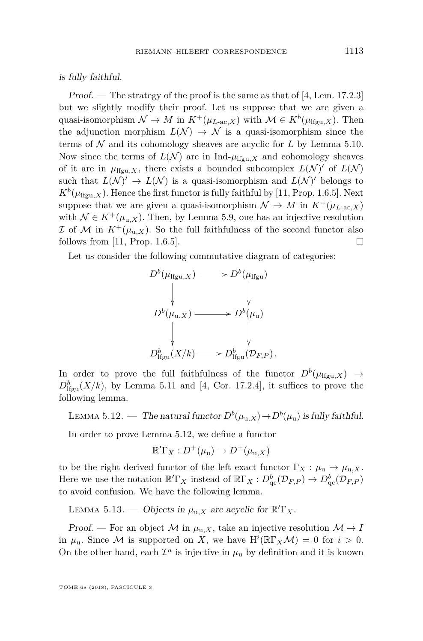is fully faithful.

Proof. — The strategy of the proof is the same as that of [\[4,](#page-44-2) Lem. 17.2.3] but we slightly modify their proof. Let us suppose that we are given a quasi-isomorphism  $\mathcal{N} \to M$  in  $K^+(\mu_{L\text{-ac},X})$  with  $\mathcal{M} \in K^b(\mu_{\text{lfgu},X})$ . Then the adjunction morphism  $L(\mathcal{N}) \to \mathcal{N}$  is a quasi-isomorphism since the terms of  $N$  and its cohomology sheaves are acyclic for  $L$  by Lemma [5.10.](#page-35-0) Now since the terms of  $L(\mathcal{N})$  are in Ind- $\mu_{\text{Ifgu},X}$  and cohomology sheaves of it are in  $\mu_{\text{lfgu},X}$ , there exists a bounded subcomplex  $L(\mathcal{N})'$  of  $L(\mathcal{N})$ such that  $L(\mathcal{N})' \to L(\mathcal{N})$  is a quasi-isomorphism and  $L(\mathcal{N})'$  belongs to  $K^b(\mu_{\text{lfgu},X})$ . Hence the first functor is fully faithful by [\[11,](#page-44-12) Prop. 1.6.5]. Next suppose that we are given a quasi-isomorphism  $\mathcal{N} \to M$  in  $K^+(\mu_{L\text{-ac},X})$ with  $\mathcal{N} \in K^+(\mu_{\mathfrak{u},X})$ . Then, by Lemma [5.9,](#page-34-0) one has an injective resolution I of M in  $K^+(\mu_{u,X})$ . So the full faithfulness of the second functor also follows from [\[11,](#page-44-12) Prop. 1.6.5].

Let us consider the following commutative diagram of categories:



In order to prove the full faithfulness of the functor  $D^b(\mu_{\text{lfgu},X}) \rightarrow$  $D_{\text{lfgu}}^b(X/k)$ , by Lemma [5.11](#page-36-0) and [\[4,](#page-44-2) Cor. 17.2.4], it suffices to prove the following lemma.

<span id="page-37-0"></span>LEMMA 5.12. — The natural functor  $D^b(\mu_{\text{u},X}) \to D^b(\mu_{\text{u}})$  is fully faithful.

In order to prove Lemma [5.12,](#page-37-0) we define a functor

$$
\mathbb{R}'\Gamma_X: D^+(\mu_{\mathbf{u}}) \to D^+(\mu_{\mathbf{u},X})
$$

to be the right derived functor of the left exact functor  $\Gamma_X : \mu_u \to \mu_{u,X}$ . Here we use the notation  $\mathbb{R}^T\Gamma_X$  instead of  $\mathbb{R}\Gamma_X: D^b_{\text{qc}}(\mathcal{D}_{F,P}) \to D^b_{\text{qc}}(\mathcal{D}_{F,P})$ to avoid confusion. We have the following lemma.

<span id="page-37-1"></span>LEMMA 5.13. — Objects in  $\mu_{u,X}$  are acyclic for  $\mathbb{R}^7Y_x$ .

Proof. — For an object M in  $\mu_{u,X}$ , take an injective resolution  $\mathcal{M} \to I$ in  $\mu_{\mathbf{u}}$ . Since M is supported on X, we have  $\mathbf{H}^i(\mathbb{R}\Gamma_X\mathcal{M})=0$  for  $i>0$ . On the other hand, each  $\mathcal{I}^n$  is injective in  $\mu$ <sub>u</sub> by definition and it is known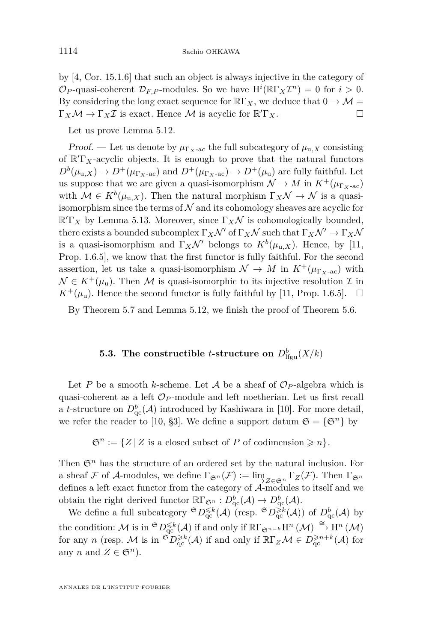by [\[4,](#page-44-2) Cor. 15.1.6] that such an object is always injective in the category of  $\mathcal{O}_P$ -quasi-coherent  $\mathcal{D}_{F,P}$ -modules. So we have  $H^i(\mathbb{R}\Gamma_X\mathcal{I}^n) = 0$  for  $i > 0$ . By considering the long exact sequence for  $\mathbb{R}\Gamma_X$ , we deduce that  $0 \to \mathcal{M} =$  $\Gamma_X \mathcal{M} \to \Gamma_X \mathcal{I}$  is exact. Hence  $\mathcal M$  is acyclic for  $\mathbb{R}' \Gamma_X$ .

Let us prove Lemma [5.12.](#page-37-0)

Proof. — Let us denote by  $\mu_{\Gamma_X \text{-ac}}$  the full subcategory of  $\mu_{u,X}$  consisting of  $\mathbb{R}^{T}$ <sub>X</sub>-acyclic objects. It is enough to prove that the natural functors  $D^b(\mu_{u,X}) \to D^+(\mu_{\Gamma_X \text{-ac}})$  and  $D^+(\mu_{\Gamma_X \text{-ac}}) \to D^+(\mu_u)$  are fully faithful. Let us suppose that we are given a quasi-isomorphism  $\mathcal{N} \to M$  in  $K^+(\mu_{\Gamma_X\text{-ac}})$ with  $\mathcal{M} \in K^b(\mu_{u,X})$ . Then the natural morphism  $\Gamma_X \mathcal{N} \to \mathcal{N}$  is a quasiisomorphism since the terms of  $N$  and its cohomology sheaves are acyclic for  $\mathbb{R}^T K$  by Lemma [5.13.](#page-37-1) Moreover, since  $\Gamma_X \mathcal{N}$  is cohomologically bounded, there exists a bounded subcomplex  $\Gamma_X \mathcal{N}'$  of  $\Gamma_X \mathcal{N}$  such that  $\Gamma_X \mathcal{N}' \to \Gamma_X \mathcal{N}$ is a quasi-isomorphism and  $\Gamma_X \mathcal{N}'$  belongs to  $K^b(\mu_{u,X})$ . Hence, by [\[11,](#page-44-12) Prop. 1.6.5], we know that the first functor is fully faithful. For the second assertion, let us take a quasi-isomorphism  $\mathcal{N} \to M$  in  $K^+(\mu_{\Gamma_X \text{-ac}})$  with  $\mathcal{N} \in K^+(\mu_\mathrm{u})$ . Then M is quasi-isomorphic to its injective resolution  $\mathcal I$  in  $K^+(\mu_{\rm u})$ . Hence the second functor is fully faithful by [\[11,](#page-44-12) Prop. 1.6.5].  $\Box$ 

By Theorem [5.7](#page-33-1) and Lemma [5.12,](#page-37-0) we finish the proof of Theorem [5.6.](#page-33-0)

## **5.3.** The constructible *t*-structure on  $D^b_{\text{lfgu}}(X/k)$

<span id="page-38-0"></span>Let *P* be a smooth *k*-scheme. Let *A* be a sheaf of  $\mathcal{O}_P$ -algebra which is quasi-coherent as a left  $\mathcal{O}_P$ -module and left noetherian. Let us first recall a *t*-structure on  $D^b_{\text{qc}}(\mathcal{A})$  introduced by Kashiwara in [\[10\]](#page-44-4). For more detail, we refer the reader to [\[10,](#page-44-4) §3]. We define a support datum  $\mathfrak{S} = {\mathfrak{S}^n}$  by

 $\mathfrak{S}^n := \{ Z \mid Z \text{ is a closed subset of } P \text{ of codimension } \geq n \}.$ 

Then  $\mathfrak{S}^n$  has the structure of an ordered set by the natural inclusion. For a sheaf F of A-modules, we define  $\Gamma_{\mathfrak{S}^n}(\mathcal{F}) := \lim_{\mathcal{I} \to \mathcal{I} \in \mathfrak{S}^n} \Gamma_Z(\mathcal{F})$ . Then  $\Gamma_{\mathfrak{S}^n}$ defines a left exact functor from the category of A-modules to itself and we obtain the right derived functor  $\mathbb{R}\Gamma_{\mathfrak{S}^n}: D^b_{\mathrm{qc}}(\mathcal{A}) \to D^b_{\mathrm{qc}}(\mathcal{A}).$ 

We define a full subcategory  ${}^{\mathfrak{S}}D_{\mathrm{qc}}^{\leq k}(\mathcal{A})$  (resp.  ${}^{\mathfrak{S}}D_{\mathrm{qc}}^{\geq k}(\mathcal{A})$ ) of  $D_{\mathrm{qc}}^b(\mathcal{A})$  by the condition: M is in  ${}^{\mathfrak{S}}D_{\mathbf{qc}}^{\leq k}(\mathcal{A})$  if and only if  $\mathbb{R}\Gamma_{\mathfrak{S}^{n-k}}H^n(\mathcal{M}) \stackrel{\cong}{\to} \mathbf{H}^n(\mathcal{M})$ for any *n* (resp. M is in  ${}^{\mathfrak{S}}D_{\mathfrak{q}c}^{\geq k}(\mathcal{A})$  if and only if  $\mathbb{R}\Gamma_Z\mathcal{M}\in D_{\mathfrak{q}c}^{\geq n+k}(\mathcal{A})$  for any *n* and  $Z \in \mathfrak{S}^n$ ).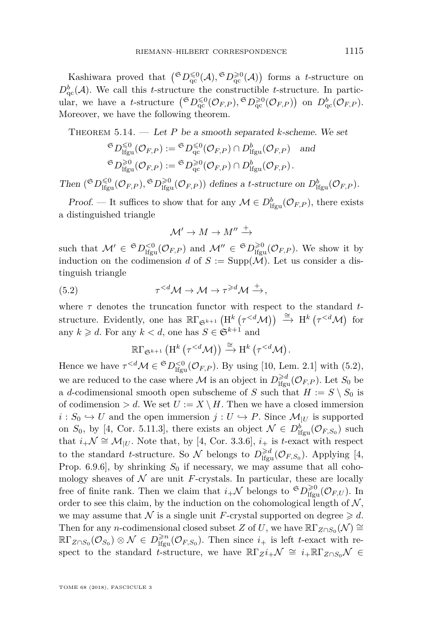Kashiwara proved that  $({}^{\mathfrak{S}}D^{\leq 0}_{\rm qc}(\mathcal{A}), {}^{\mathfrak{S}}D^{\geq 0}_{\rm qc}(\mathcal{A}))$  forms a *t*-structure on  $D_{\text{qc}}^b(\mathcal{A})$ . We call this *t*-structure the constructible *t*-structure. In particular, we have a *t*-structure  $({}^{\mathfrak{S}}D_{\mathrm{qc}}^{\leqslant0}(\mathcal{O}_{F,P}),{}^{\mathfrak{S}}D_{\mathrm{qc}}^{\geqslant0}(\mathcal{O}_{F,P})$  on  $D_{\mathrm{qc}}^b(\mathcal{O}_{F,P}).$ Moreover, we have the following theorem.

<span id="page-39-1"></span>THEOREM  $5.14.$  — Let P be a smooth separated *k*-scheme. We set

$$
\begin{aligned}\n\mathfrak{S}_{D_{\mathrm{lfgu}}^{S(0)}}(\mathcal{O}_{F,P}) &:= \mathfrak{S}_{D_{\mathrm{qc}}^{S(0)}}(\mathcal{O}_{F,P}) \cap D_{\mathrm{lfgu}}^b(\mathcal{O}_{F,P}) \quad \text{and} \\
\mathfrak{S}_{D_{\mathrm{lfgu}}^{S(0)}}(\mathcal{O}_{F,P}) &:= \mathfrak{S}_{D_{\mathrm{qc}}^{S(0)}}(\mathcal{O}_{F,P}) \cap D_{\mathrm{lfgu}}^b(\mathcal{O}_{F,P}).\n\end{aligned}
$$

Then  $({}^{\mathfrak{S}}D^{\leq 0}_{\text{lfgu}}(\mathcal{O}_{F,P}),{}^{\mathfrak{S}}D^{\geq 0}_{\text{lfgu}}(\mathcal{O}_{F,P}))$  defines a *t*-structure on  $D^b_{\text{lfgu}}(\mathcal{O}_{F,P}).$ 

Proof. — It suffices to show that for any  $\mathcal{M} \in D^b_{\text{Ifgu}}(\mathcal{O}_{F,P})$ , there exists a distinguished triangle

<span id="page-39-0"></span>
$$
\mathcal{M}' \to M \to M'' \xrightarrow{+}
$$

such that  $\mathcal{M}' \in {}^{\mathfrak{S}}D_{\text{lfgu}}^{<0}(\mathcal{O}_{F,P})$  and  $\mathcal{M}'' \in {}^{\mathfrak{S}}D_{\text{lfgu}}^{>0}(\mathcal{O}_{F,P})$ . We show it by induction on the codimension *d* of  $S := \text{Supp}(\mathcal{M})$ . Let us consider a distinguish triangle

(5.2) 
$$
\tau^{\leq d} \mathcal{M} \to \mathcal{M} \to \tau^{\geq d} \mathcal{M} \xrightarrow{+},
$$

where *τ* denotes the truncation functor with respect to the standard *t*structure. Evidently, one has  $\mathbb{R}\Gamma_{\mathfrak{S}^{k+1}}\left(\mathrm{H}^{k}\left(\tau^{\leq d}\mathcal{M}\right)\right) \stackrel{\cong}{\to} \mathrm{H}^{k}\left(\tau^{\leq d}\mathcal{M}\right)$  for any  $k \geq d$ . For any  $k < d$ , one has  $S \in \mathfrak{S}^{k+1}$  and

$$
\R\Gamma_{\mathfrak{S}^{k+1}}\left(\mathrm{H}^k\left(\tau^{
$$

Hence we have  $\tau^{. By using [\[10,](#page-44-4) Lem. 2.1] with [\(5.2\)](#page-39-0),$ we are reduced to the case where M is an object in  $D_{\text{lfgu}}^{\ge d}(\mathcal{O}_{F,P})$ . Let  $S_0$  be a *d*-codimensional smooth open subscheme of *S* such that  $H := S \setminus S_0$  is of codimension  $> d$ . We set  $U := X \setminus H$ . Then we have a closed immersion  $i: S_0 \hookrightarrow U$  and the open immersion  $j: U \hookrightarrow P$ . Since  $\mathcal{M}_{|U}$  is supported on  $S_0$ , by [\[4,](#page-44-2) Cor. 5.11.3], there exists an object  $\mathcal{N} \in D^b_{\text{lfgu}}(\mathcal{O}_{F,S_0})$  such that  $i_+ \mathcal{N} \cong \mathcal{M}_{|U}$ . Note that, by [\[4,](#page-44-2) Cor. 3.3.6],  $i_+$  is *t*-exact with respect to the standard *t*-structure. So  $\mathcal{N}$  belongs to  $D_{\text{lfgu}}^{\geq d}(\mathcal{O}_{F,S_0})$ . Applying [\[4,](#page-44-2) Prop. 6.9.6], by shrinking  $S_0$  if necessary, we may assume that all cohomology sheaves of  $\mathcal N$  are unit *F*-crystals. In particular, these are locally free of finite rank. Then we claim that  $i_+\mathcal{N}$  belongs to  $\mathfrak{S}D^{\geqslant 0}_{\text{Ifgu}}(\mathcal{O}_{F,U})$ . In order to see this claim, by the induction on the cohomological length of  $N$ , we may assume that N is a single unit F-crystal supported on degree  $\geq d$ . Then for any *n*-codimensional closed subset *Z* of *U*, we have  $\mathbb{R}\Gamma_{Z\cap S_0}(\mathcal{N}) \cong$  $\mathbb{R}\Gamma_{Z\cap S_0}(\mathcal{O}_{S_0})\otimes \mathcal{N} \in D^{\geq n}_{\text{lfgu}}(\mathcal{O}_{F,S_0})$ . Then since  $i_+$  is left *t*-exact with respect to the standard *t*-structure, we have  $\mathbb{R}\Gamma_Z(i_+\mathcal{N}) \cong i_+\mathbb{R}\Gamma_{Z\cap S_0}\mathcal{N} \in$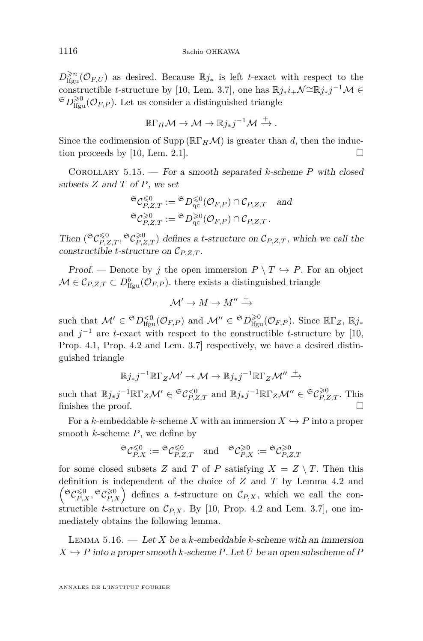$D^{\geq n}_{\text{ifgu}}(\mathcal{O}_{F,U})$  as desired. Because ℝj<sup>∗</sup> is left *t*-exact with respect to the constructible *t*-structure by [\[10,](#page-44-4) Lem. 3.7], one has  $\mathbb{R} j_* i_+\mathcal{N} \cong \mathbb{R} j_* j^{-1}\mathcal{M} \in$  ${}^{\mathfrak{S}}D_{\mathrm{lfgu}}^{\geq 0}(\mathcal{O}_{F,P})$ . Let us consider a distinguished triangle

$$
\mathbb{R}\Gamma_H\mathcal{M}\to \mathcal{M}\to \mathbb{R}j_*j^{-1}\mathcal{M}\xrightarrow{+}.
$$

Since the codimension of Supp ( $\mathbb{R}\Gamma_H\mathcal{M}$ ) is greater than *d*, then the induc-tion proceeds by [\[10,](#page-44-4) Lem. 2.1].

Corollary 5.15. — For a smooth separated *k*-scheme *P* with closed subsets *Z* and *T* of *P*, we set

$$
\mathfrak{S}_{\mathcal{C}_{P,Z,T}}^{\leq 0} := \mathfrak{S}_{D_{\mathrm{qc}}^{\leq 0}}(\mathcal{O}_{F,P}) \cap \mathcal{C}_{P,Z,T} \quad \text{and}
$$
  

$$
\mathfrak{S}_{\mathcal{C}_{P,Z,T}}^{\geq 0} := \mathfrak{S}_{D_{\mathrm{qc}}^{\geq 0}}(\mathcal{O}_{F,P}) \cap \mathcal{C}_{P,Z,T}.
$$

Then  $({}^{\mathfrak{S}}C_{P,Z,T}^{\leq0},{}^{\mathfrak{S}}C_{P,Z,T}^{\geq0})$  defines a *t*-structure on  $C_{P,Z,T}$ , which we call the constructible *t*-structure on C*P,Z,T* .

*Proof.* — Denote by *j* the open immersion  $P \setminus T \hookrightarrow P$ . For an object  $\mathcal{M} \in \mathcal{C}_{P,Z,T} \subset D^b_{\text{lfgu}}(\mathcal{O}_{F,P})$ . there exists a distinguished triangle

$$
\mathcal{M}' \to M \to M'' \xrightarrow{+}
$$

such that  $\mathcal{M}' \in {}^{\mathfrak{S}}D_{\text{lfgu}}^{<0}(\mathcal{O}_{F,P})$  and  $\mathcal{M}'' \in {}^{\mathfrak{S}}D_{\text{lfgu}}^{>0}(\mathcal{O}_{F,P})$ . Since  $\mathbb{R}\Gamma_Z$ ,  $\mathbb{R}j_*$ and  $j^{-1}$  are *t*-exact with respect to the constructible *t*-structure by [\[10,](#page-44-4) Prop. 4.1, Prop. 4.2 and Lem. 3.7] respectively, we have a desired distinguished triangle

$$
\mathbb{R}j_*j^{-1}\mathbb{R}\Gamma_Z\mathcal{M}'\to \mathcal{M}\to \mathbb{R}j_*j^{-1}\mathbb{R}\Gamma_Z\mathcal{M}''\xrightarrow{+}
$$

such that  $\mathbb{R}j_*j^{-1}\mathbb{R}\Gamma_Z\mathcal{M}' \in \mathfrak{S}C_{P,Z,T}^{<0}$  and  $\mathbb{R}j_*j^{-1}\mathbb{R}\Gamma_Z\mathcal{M}'' \in \mathfrak{S}C_{P,Z,T}^{\geq 0}$ . This finishes the proof.

For a *k*-embeddable *k*-scheme *X* with an immersion  $X \hookrightarrow P$  into a proper smooth *k*-scheme *P*, we define by

$$
{}^{\mathfrak{S}}\mathcal{C}^{\leq 0}_{P,X}:={}^{\mathfrak{S}}\mathcal{C}^{\leq 0}_{P,Z,T} \quad \text{and} \quad {}^{\mathfrak{S}}\mathcal{C}^{\geq 0}_{P,X}:={}^{\mathfrak{S}}\mathcal{C}^{\geq 0}_{P,Z,T}
$$

for some closed subsets *Z* and *T* of *P* satisfying  $X = Z \setminus T$ . Then this definition is independent of the choice of *Z* and *T* by Lemma [4.2](#page-17-1) and  $\left(\mathfrak{S}_{P,X}^{\leq 0}, \mathfrak{S}_{P,X}^{\geq 0}\right)$  defines a *t*-structure on  $\mathcal{C}_{P,X}$ , which we call the constructible *t*-structure on  $C_{P,X}$ . By [\[10,](#page-44-4) Prop. 4.2 and Lem. 3.7], one immediately obtains the following lemma.

Lemma 5.16. — Let *X* be a *k*-embeddable *k*-scheme with an immersion  $X \rightarrow P$  into a proper smooth *k*-scheme *P*. Let *U* be an open subscheme of *P*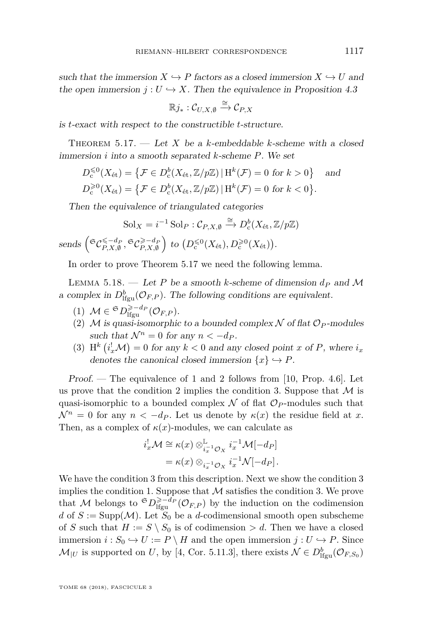such that the immersion  $X \hookrightarrow P$  factors as a closed immersion  $X \hookrightarrow U$  and the open immersion  $j: U \hookrightarrow X$ . Then the equivalence in Proposition [4.3](#page-18-1)

$$
\mathbb{R}j_*:\mathcal{C}_{U,X,\emptyset}\xrightarrow{\cong}\mathcal{C}_{P,X}
$$

is *t*-exact with respect to the constructible *t*-structure.

<span id="page-41-0"></span>Theorem 5.17. — Let *X* be a *k*-embeddable *k*-scheme with a closed immersion *i* into a smooth separated *k*-scheme *P*. We set

$$
D_c^{\leq 0}(X_{\text{\'et}}) = \{ \mathcal{F} \in D_c^b(X_{\text{\'et}}, \mathbb{Z}/p\mathbb{Z}) \mid H^k(\mathcal{F}) = 0 \text{ for } k > 0 \} \text{ and}
$$
  

$$
D_c^{\geq 0}(X_{\text{\'et}}) = \{ \mathcal{F} \in D_c^b(X_{\text{\'et}}, \mathbb{Z}/p\mathbb{Z}) \mid H^k(\mathcal{F}) = 0 \text{ for } k < 0 \}.
$$

Then the equivalence of triangulated categories

$$
Sol_X = i^{-1} Sol_P : \mathcal{C}_{P,X,\emptyset} \xrightarrow{\cong} D^b_c(X_{\text{\'et}}, \mathbb{Z}/p\mathbb{Z})
$$

 $\text{sends}\left(\mathfrak{S}_{P,X,\emptyset}^{\leq -d_P}, \mathfrak{S}_{P,X,\emptyset}^{\geq -d_P}\right) \text{ to } \left(D_{\text{c}}^{\leq 0}(X_{\text{\'et}}), D_{\text{c}}^{\geq 0}(X_{\text{\'et}})\right).$ 

In order to prove Theorem [5.17](#page-41-0) we need the following lemma.

<span id="page-41-1"></span>LEMMA 5.18. — Let P be a smooth *k*-scheme of dimension  $d_P$  and M a complex in  $D^b_{\text{lfgu}}(\mathcal{O}_{F,P})$ . The following conditions are equivalent.

- (1)  $\mathcal{M} \in \mathfrak{S}D_{\text{lfgu}}^{\geq -d_P}(\mathcal{O}_{F,P}).$
- (2) M is quasi-isomorphic to a bounded complex  $N$  of flat  $\mathcal{O}_P$ -modules such that  $\mathcal{N}^n = 0$  for any  $n < -d_P$ .
- (3) H<sup>k</sup>  $(i_x^! \mathcal{M}) = 0$  for any  $k < 0$  and any closed point *x* of *P*, where  $i_x$ denotes the canonical closed immersion  $\{x\} \hookrightarrow P$ .

Proof. — The equivalence of 1 and 2 follows from [\[10,](#page-44-4) Prop. 4.6]. Let us prove that the condition 2 implies the condition 3. Suppose that  $\mathcal M$  is quasi-isomorphic to a bounded complex  $\mathcal N$  of flat  $\mathcal O_P$ -modules such that  $\mathcal{N}^n = 0$  for any  $n < -dp$ . Let us denote by  $\kappa(x)$  the residue field at *x*. Then, as a complex of  $\kappa(x)$ -modules, we can calculate as

$$
i_x^! \mathcal{M} \cong \kappa(x) \otimes_{i_x^{-1} \mathcal{O}_X}^{\mathbb{L}} i_x^{-1} \mathcal{M}[-d_P]
$$
  
=  $\kappa(x) \otimes_{i_x^{-1} \mathcal{O}_X} i_x^{-1} \mathcal{N}[-d_P].$ 

We have the condition 3 from this description. Next we show the condition 3 implies the condition 1. Suppose that  $\mathcal M$  satisfies the condition 3. We prove that M belongs to  $\mathfrak{S}D_{\text{lfgu}}^{\geq -d_P}(\mathcal{O}_{F,P})$  by the induction on the codimension *d* of  $S := \text{Supp}(\mathcal{M})$ . Let  $S_0$  be a *d*-codimensional smooth open subscheme of *S* such that  $H := S \setminus S_0$  is of codimension  $> d$ . Then we have a closed immersion  $i: S_0 \hookrightarrow U := P \setminus H$  and the open immersion  $j: U \hookrightarrow P$ . Since  $\mathcal{M}_{|U}$  is supported on *U*, by [\[4,](#page-44-2) Cor. 5.11.3], there exists  $\mathcal{N} \in D^b_{\text{lfgu}}(\mathcal{O}_{F,S_0})$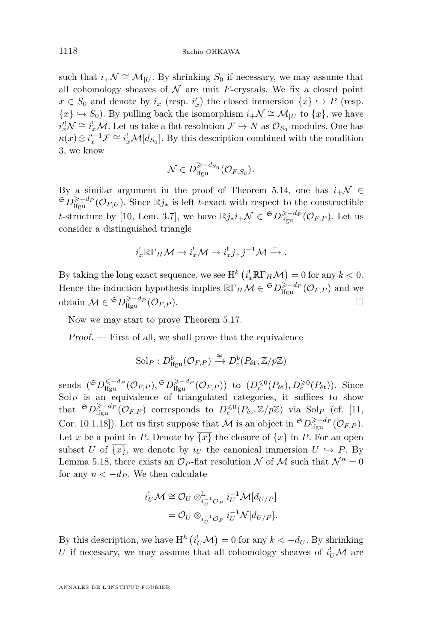such that  $i_{+}\mathcal{N} \cong \mathcal{M}_{|U}$ . By shrinking  $S_0$  if necessary, we may assume that all cohomology sheaves of  $N$  are unit *F*-crystals. We fix a closed point  $x \in S_0$  and denote by  $i_x$  (resp.  $i'_x$ ) the closed immersion  $\{x\} \hookrightarrow P$  (resp. {*x*}  $\rightarrow$  *S*<sub>0</sub>). By pulling back the isomorphism *i*<sub>+</sub> $\mathcal{N} \cong \mathcal{M}_{|U}$  to {*x*}, we have  $i_x^{\prime!}\mathcal{N} \cong i_x^{\prime}\mathcal{M}$ . Let us take a flat resolution  $\mathcal{F} \to N$  as  $\mathcal{O}_{S_0}$ -modules. One has  $\kappa(x) \otimes i_x'^{-1} \mathcal{F} \cong i_x^! \mathcal{M}[d_{S_0}]$ . By this description combined with the condition 3, we know

$$
\mathcal{N} \in D_{\text{lfgu}}^{\geqslant -d_{S_0}}(\mathcal{O}_{F,S_0}).
$$

By a similar argument in the proof of Theorem [5.14,](#page-39-1) one has  $i_{+}\mathcal{N} \in$  $\mathfrak{S}_{D} \geq -d_P(\mathcal{O}_{F,U})$ . Since  $\mathbb{R}j_*$  is left *t*-exact with respect to the constructible *t*-structure by [\[10,](#page-44-4) Lem. 3.7], we have  $\mathbb{R}j_*i_+\mathcal{N} \in \mathfrak{S}D_{\text{lfgu}}^{\geq -d_P}(\mathcal{O}_{F,P})$ . Let us consider a distinguished triangle

$$
i_x^!\mathbb{R}\Gamma_H\mathcal{M}\to i_x^!\mathcal{M}\to i_x^!j_+j^{-1}\mathcal{M}\xrightarrow{+}
$$
.

By taking the long exact sequence, we see  $H^k(i_x^!\mathbb{R}\Gamma_H\mathcal{M}) = 0$  for any  $k < 0$ . Hence the induction hypothesis implies  $\mathbb{R}\Gamma_H\mathcal{M} \in \mathfrak{S}D^{> -d_P}_{\text{lfgu}}(\mathcal{O}_{F,P})$  and we obtain  $M \in \mathfrak{S}D_{\text{lfgu}}^{\geq -d_P}(\mathcal{O}_{F,P}).$ 

Now we may start to prove Theorem [5.17.](#page-41-0)

Proof. — First of all, we shall prove that the equivalence

$$
Sol_P: D^b_{\mathrm{lfgu}}(\mathcal{O}_{F,P}) \xrightarrow{\cong} D^b_c(P_{\mathrm{\acute{e}t}}, \mathbb{Z}/p\mathbb{Z})
$$

sends  $({}^{\mathfrak{S}}D_{\text{lfgu}}^{\leq -d_P}(\mathcal{O}_{F,P}),{}^{\mathfrak{S}}D_{\text{lfgu}}^{\geq -d_P}(\mathcal{O}_{F,P}))$  to  $(D_{c}^{\leq 0}(P_{\text{\'et}}), D_{c}^{\geq 0}(P_{\text{\'et}})).$  Since  $Sol<sub>P</sub>$  is an equivalence of triangulated categories, it suffices to show that  $\mathfrak{S}D_{\text{Ifgu}}^{\geq -d_P}(\mathcal{O}_{F,P})$  corresponds to  $D_{\text{c}}^{\leq 0}(P_{\text{\'et}}, \mathbb{Z}/p\mathbb{Z})$  via Sol<sub>*P*</sub> (cf. [\[11,](#page-44-12) Cor. 10.1.18]). Let us first suppose that M is an object in  ${}^{\mathfrak{S}}D_{\text{lfgu}}^{\geq -d_P}(\mathcal{O}_{F,P})$ . Let *x* be a point in *P*. Denote by  $\overline{\{x\}}$  the closure of  $\{x\}$  in *P*. For an open subset *U* of  $\{x\}$ , we denote by  $i_U$  the canonical immersion  $U \hookrightarrow P$ . By Lemma [5.18,](#page-41-1) there exists an  $\mathcal{O}_P$ -flat resolution N of M such that  $\mathcal{N}^n = 0$ for any  $n < -d_P$ . We then calculate

$$
i_U^! \mathcal{M} \cong \mathcal{O}_U \otimes_{i_U^{-1} \mathcal{O}_P}^{\mathbb{L}} i_U^{-1} \mathcal{M}[d_{U/P}]
$$
  
=  $\mathcal{O}_U \otimes_{i_U^{-1} \mathcal{O}_P} i_U^{-1} \mathcal{N}[d_{U/P}].$ 

By this description, we have  $H^k(i_U^!\mathcal{M}) = 0$  for any  $k < -d_U$ . By shrinking *U* if necessary, we may assume that all cohomology sheaves of  $i_U^! \mathcal{M}$  are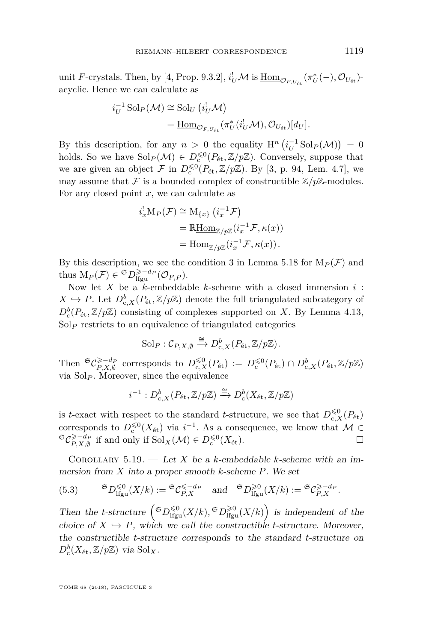unit *F*-crystals. Then, by [\[4,](#page-44-2) Prop. 9.3.2],  $i_U^! \mathcal{M}$  is  $\underline{\text{Hom}}_{\mathcal{O}_{F,U_{\text{\'et}}}}(\pi_U^*(-), \mathcal{O}_{U_{\text{\'et}}})$ acyclic. Hence we can calculate as

$$
i_U^{-1} \operatorname{Sol}_P(\mathcal{M}) \cong \operatorname{Sol}_U(i_U^! \mathcal{M})
$$
  
= 
$$
\underline{\operatorname{Hom}}_{\mathcal{O}_{F,U_{\text{\'et}}}}(\pi_U^*(i_U^! \mathcal{M}), \mathcal{O}_{U_{\text{\'et}}})[d_U].
$$

By this description, for any  $n > 0$  the equality  $H^n\left(i_U^{-1}\text{Sol}_P(\mathcal{M})\right) = 0$ holds. So we have  $\text{Sol}_P(\mathcal{M}) \in D_{\text{c}}^{\leq 0}(P_{\text{\'et}}, \mathbb{Z}/p\mathbb{Z})$ . Conversely, suppose that we are given an object  $\mathcal F$  in  $D_c^{\leq 0}(P_{\text{\'et}}, \mathbb Z/p\mathbb Z)$ . By [\[3,](#page-44-13) p. 94, Lem. 4.7], we may assume that  $\mathcal F$  is a bounded complex of constructible  $\mathbb Z/p\mathbb Z$ -modules. For any closed point *x*, we can calculate as

$$
i_x^! M_P(\mathcal{F}) \cong M_{\{x\}} (i_x^{-1} \mathcal{F})
$$
  
=  $\mathbb{R}$ Hom <sub>$\mathbb{Z}/p\mathbb{Z}} (i_x^{-1} \mathcal{F}, \kappa(x))$   
=  $\underline{\text{Hom}}_{\mathbb{Z}/p\mathbb{Z}} (i_x^{-1} \mathcal{F}, \kappa(x)).$</sub> 

By this description, we see the condition 3 in Lemma [5.18](#page-41-1) for  $M_P(\mathcal{F})$  and thus  $M_P(\mathcal{F}) \in {}^{\mathfrak{S}}D^{\geq -d_P}_{\text{lfgu}}(\mathcal{O}_{F,P}).$ 

Now let *X* be a *k*-embeddable *k*-scheme with a closed immersion *i* :  $X \hookrightarrow P$ . Let  $D^b_{c,X}(P_{\text{\'et}}, \mathbb{Z}/p\mathbb{Z})$  denote the full triangulated subcategory of  $D_c^b(P_{\text{\'et}},\mathbb{Z}/p\mathbb{Z})$  consisting of complexes supported on *X*. By Lemma [4.13,](#page-26-2)  $Sol<sub>P</sub>$  restricts to an equivalence of triangulated categories

$$
Sol_P: \mathcal{C}_{P,X,\emptyset} \xrightarrow{\cong} D^b_{c,X}(P_{\text{\'et}},\mathbb{Z}/p\mathbb{Z}).
$$

Then  ${}^{\mathfrak{S}}\mathcal{C}^{\geqslant -d_P}_{P, X, \emptyset}$  corresponds to  $D_{c, X}^{\leqslant 0}(P_{\text{\'et}}) := D_{c}^{\leqslant 0}(P_{\text{\'et}}) \cap D_{c, X}^{b}(P_{\text{\'et}}, \mathbb{Z}/p\mathbb{Z})$ via Sol*<sup>P</sup>* . Moreover, since the equivalence

$$
i^{-1}: D^b_{\text{c},X}(P_{\text{\'et}},\mathbb{Z}/p\mathbb{Z}) \xrightarrow{\cong} D^b_{\text{c}}(X_{\text{\'et}},\mathbb{Z}/p\mathbb{Z})
$$

is *t*-exact with respect to the standard *t*-structure, we see that  $D_{c,X}^{\leq 0}(P_{\text{\'et}})$ corresponds to  $D_{\rm c}^{\leq 0}(X_{\rm \acute{e}t})$  via  $i^{-1}$ . As a consequence, we know that  $\mathcal{M} \in$  ${}^{\mathfrak{S}}\mathcal{C}_{P,X,\emptyset}^{\geq -d_P}$  if and only if  $\mathrm{Sol}_X(\mathcal{M}) \in D_{\mathrm{c}}^{\leq 0}(X_{\mathrm{\acute{e}t}}).$ 

<span id="page-43-0"></span>COROLLARY 5.19. — Let *X* be a *k*-embeddable *k*-scheme with an immersion from *X* into a proper smooth *k*-scheme *P*. We set

(5.3) 
$$
{}^{\mathfrak{S}}D_{\mathrm{lfgu}}^{\leq 0}(X/k) := {}^{\mathfrak{S}}\mathcal{C}_{P,X}^{\leq -d_P} \quad \text{and} \quad {}^{\mathfrak{S}}D_{\mathrm{lfgu}}^{\geq 0}(X/k) := {}^{\mathfrak{S}}\mathcal{C}_{P,X}^{\geq -d_P}.
$$

Then the *t*-structure  $\left( {}^{\mathfrak{S}}D^{\leq 0}_{\text{lfgu}}(X/k), {}^{\mathfrak{S}}D^{\geq 0}_{\text{lfgu}}(X/k) \right)$  is independent of the choice of  $X \hookrightarrow P$ , which we call the constructible *t*-structure. Moreover, the constructible *t*-structure corresponds to the standard *t*-structure on  $D_{\rm c}^b(X_{\rm \acute{e}t}, \mathbb{Z}/p\mathbb{Z})$  via  $\rm Sol<sub>X</sub>$ .